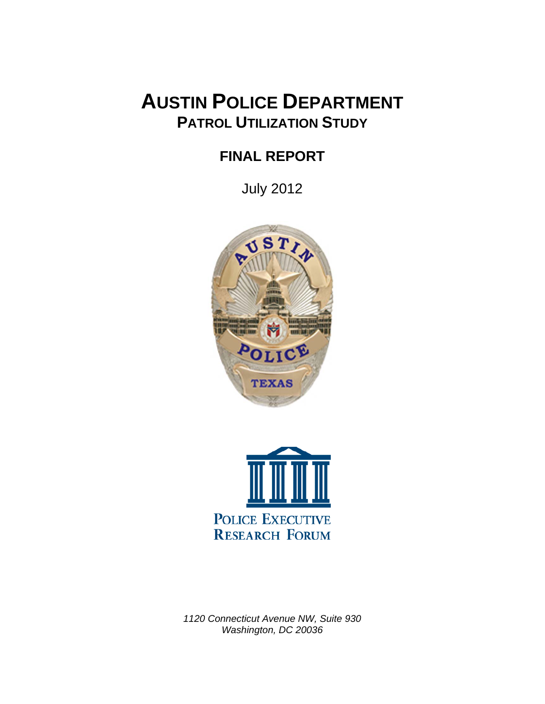# **AUSTIN POLICE DEPARTMENT PATROL UTILIZATION STUDY**

## **FINAL REPORT**

July 2012





*1120 Connecticut Avenue NW, Suite 930 Washington, DC 20036*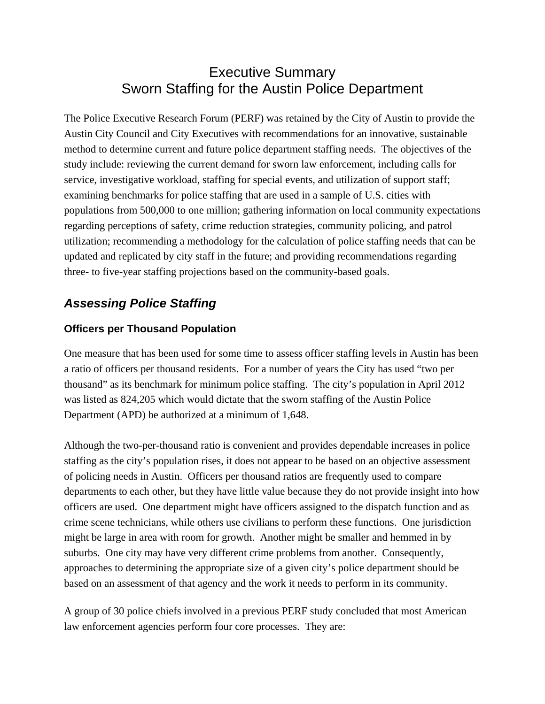## Executive Summary Sworn Staffing for the Austin Police Department

The Police Executive Research Forum (PERF) was retained by the City of Austin to provide the Austin City Council and City Executives with recommendations for an innovative, sustainable method to determine current and future police department staffing needs. The objectives of the study include: reviewing the current demand for sworn law enforcement, including calls for service, investigative workload, staffing for special events, and utilization of support staff; examining benchmarks for police staffing that are used in a sample of U.S. cities with populations from 500,000 to one million; gathering information on local community expectations regarding perceptions of safety, crime reduction strategies, community policing, and patrol utilization; recommending a methodology for the calculation of police staffing needs that can be updated and replicated by city staff in the future; and providing recommendations regarding three- to five-year staffing projections based on the community-based goals.

## *Assessing Police Staffing*

#### **Officers per Thousand Population**

One measure that has been used for some time to assess officer staffing levels in Austin has been a ratio of officers per thousand residents. For a number of years the City has used "two per thousand" as its benchmark for minimum police staffing. The city's population in April 2012 was listed as 824,205 which would dictate that the sworn staffing of the Austin Police Department (APD) be authorized at a minimum of 1,648.

Although the two-per-thousand ratio is convenient and provides dependable increases in police staffing as the city's population rises, it does not appear to be based on an objective assessment of policing needs in Austin. Officers per thousand ratios are frequently used to compare departments to each other, but they have little value because they do not provide insight into how officers are used. One department might have officers assigned to the dispatch function and as crime scene technicians, while others use civilians to perform these functions. One jurisdiction might be large in area with room for growth. Another might be smaller and hemmed in by suburbs. One city may have very different crime problems from another. Consequently, approaches to determining the appropriate size of a given city's police department should be based on an assessment of that agency and the work it needs to perform in its community.

A group of 30 police chiefs involved in a previous PERF study concluded that most American law enforcement agencies perform four core processes. They are: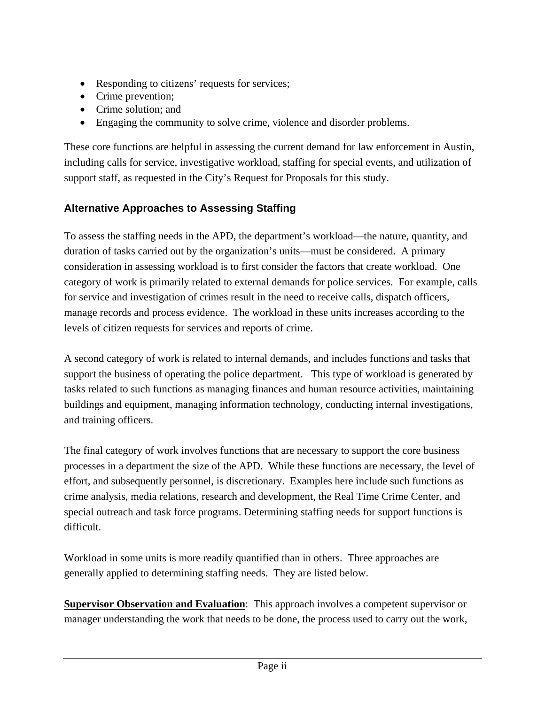- Responding to citizens' requests for services;
- Crime prevention:
- Crime solution: and
- Engaging the community to solve crime, violence and disorder problems.

These core functions are helpful in assessing the current demand for law enforcement in Austin, including calls for service, investigative workload, staffing for special events, and utilization of support staff, as requested in the City's Request for Proposals for this study.

## **Alternative Approaches to Assessing Staffing**

To assess the staffing needs in the APD, the department's workload—the nature, quantity, and duration of tasks carried out by the organization's units—must be considered. A primary consideration in assessing workload is to first consider the factors that create workload. One category of work is primarily related to external demands for police services. For example, calls for service and investigation of crimes result in the need to receive calls, dispatch officers, manage records and process evidence. The workload in these units increases according to the levels of citizen requests for services and reports of crime.

A second category of work is related to internal demands, and includes functions and tasks that support the business of operating the police department. This type of workload is generated by tasks related to such functions as managing finances and human resource activities, maintaining buildings and equipment, managing information technology, conducting internal investigations, and training officers.

The final category of work involves functions that are necessary to support the core business processes in a department the size of the APD. While these functions are necessary, the level of effort, and subsequently personnel, is discretionary. Examples here include such functions as crime analysis, media relations, research and development, the Real Time Crime Center, and special outreach and task force programs. Determining staffing needs for support functions is difficult.

Workload in some units is more readily quantified than in others. Three approaches are generally applied to determining staffing needs. They are listed below.

**Supervisor Observation and Evaluation:** This approach involves a competent supervisor or manager understanding the work that needs to be done, the process used to carry out the work,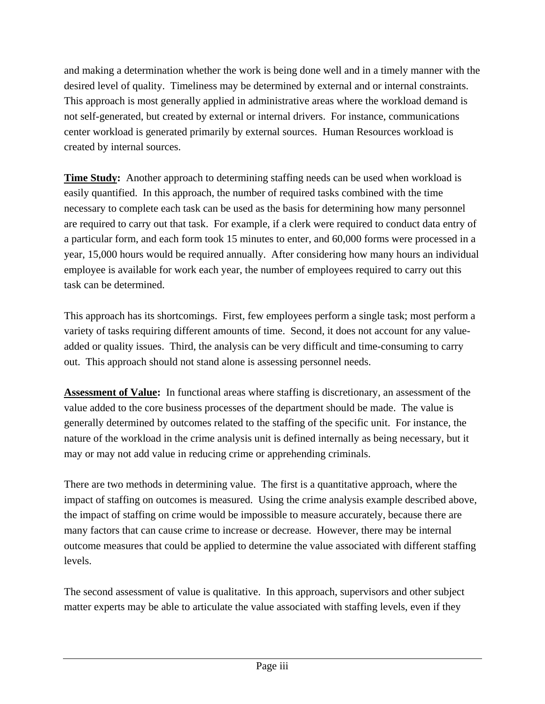and making a determination whether the work is being done well and in a timely manner with the desired level of quality. Timeliness may be determined by external and or internal constraints. This approach is most generally applied in administrative areas where the workload demand is not self-generated, but created by external or internal drivers. For instance, communications center workload is generated primarily by external sources. Human Resources workload is created by internal sources.

**Time Study:** Another approach to determining staffing needs can be used when workload is easily quantified. In this approach, the number of required tasks combined with the time necessary to complete each task can be used as the basis for determining how many personnel are required to carry out that task. For example, if a clerk were required to conduct data entry of a particular form, and each form took 15 minutes to enter, and 60,000 forms were processed in a year, 15,000 hours would be required annually. After considering how many hours an individual employee is available for work each year, the number of employees required to carry out this task can be determined.

This approach has its shortcomings. First, few employees perform a single task; most perform a variety of tasks requiring different amounts of time. Second, it does not account for any valueadded or quality issues. Third, the analysis can be very difficult and time-consuming to carry out. This approach should not stand alone is assessing personnel needs.

**Assessment of Value:** In functional areas where staffing is discretionary, an assessment of the value added to the core business processes of the department should be made. The value is generally determined by outcomes related to the staffing of the specific unit. For instance, the nature of the workload in the crime analysis unit is defined internally as being necessary, but it may or may not add value in reducing crime or apprehending criminals.

There are two methods in determining value. The first is a quantitative approach, where the impact of staffing on outcomes is measured. Using the crime analysis example described above, the impact of staffing on crime would be impossible to measure accurately, because there are many factors that can cause crime to increase or decrease. However, there may be internal outcome measures that could be applied to determine the value associated with different staffing levels.

The second assessment of value is qualitative. In this approach, supervisors and other subject matter experts may be able to articulate the value associated with staffing levels, even if they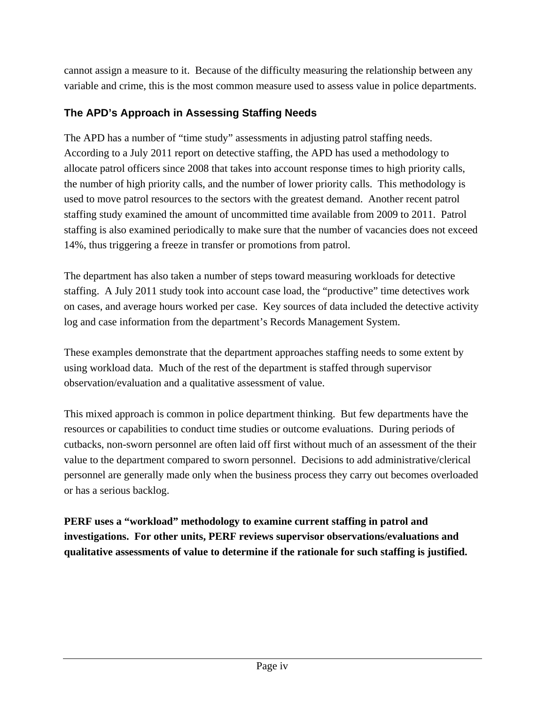cannot assign a measure to it. Because of the difficulty measuring the relationship between any variable and crime, this is the most common measure used to assess value in police departments.

## **The APD's Approach in Assessing Staffing Needs**

The APD has a number of "time study" assessments in adjusting patrol staffing needs. According to a July 2011 report on detective staffing, the APD has used a methodology to allocate patrol officers since 2008 that takes into account response times to high priority calls, the number of high priority calls, and the number of lower priority calls. This methodology is used to move patrol resources to the sectors with the greatest demand. Another recent patrol staffing study examined the amount of uncommitted time available from 2009 to 2011. Patrol staffing is also examined periodically to make sure that the number of vacancies does not exceed 14%, thus triggering a freeze in transfer or promotions from patrol.

The department has also taken a number of steps toward measuring workloads for detective staffing. A July 2011 study took into account case load, the "productive" time detectives work on cases, and average hours worked per case. Key sources of data included the detective activity log and case information from the department's Records Management System.

These examples demonstrate that the department approaches staffing needs to some extent by using workload data. Much of the rest of the department is staffed through supervisor observation/evaluation and a qualitative assessment of value.

This mixed approach is common in police department thinking. But few departments have the resources or capabilities to conduct time studies or outcome evaluations. During periods of cutbacks, non-sworn personnel are often laid off first without much of an assessment of the their value to the department compared to sworn personnel. Decisions to add administrative/clerical personnel are generally made only when the business process they carry out becomes overloaded or has a serious backlog.

**PERF uses a "workload" methodology to examine current staffing in patrol and investigations. For other units, PERF reviews supervisor observations/evaluations and qualitative assessments of value to determine if the rationale for such staffing is justified.**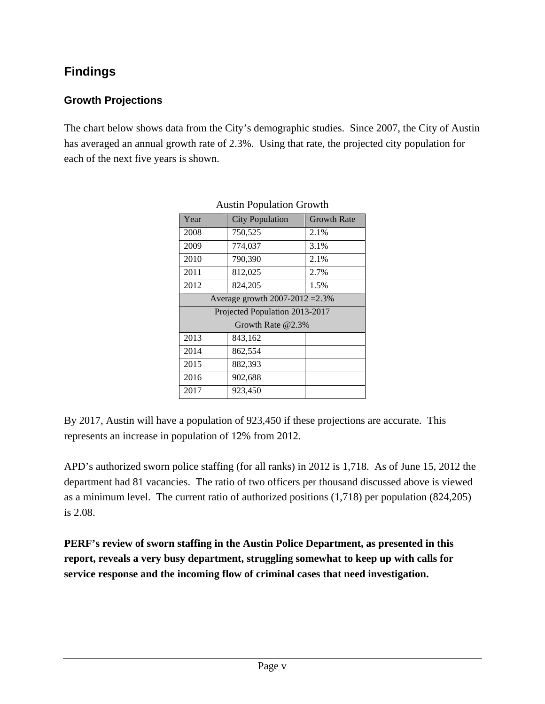## **Findings**

## **Growth Projections**

The chart below shows data from the City's demographic studies. Since 2007, the City of Austin has averaged an annual growth rate of 2.3%. Using that rate, the projected city population for each of the next five years is shown.

| Year                            | <b>City Population</b> | <b>Growth Rate</b> |  |  |
|---------------------------------|------------------------|--------------------|--|--|
| 2008                            | 750,525                | 2.1%               |  |  |
| 2009                            | 774,037                | 3.1%               |  |  |
| 2010                            | 790,390                | 2.1%               |  |  |
| 2011                            | 812,025                | 2.7%               |  |  |
| 2012                            | 824,205                | 1.5%               |  |  |
| Average growth 2007-2012 = 2.3% |                        |                    |  |  |
| Projected Population 2013-2017  |                        |                    |  |  |
| Growth Rate $@2.3\%$            |                        |                    |  |  |
| 2013                            | 843,162                |                    |  |  |
| 2014                            | 862,554                |                    |  |  |
| 2015                            | 882,393                |                    |  |  |
| 2016                            | 902,688                |                    |  |  |
| 2017                            | 923,450                |                    |  |  |

By 2017, Austin will have a population of 923,450 if these projections are accurate. This represents an increase in population of 12% from 2012.

APD's authorized sworn police staffing (for all ranks) in 2012 is 1,718. As of June 15, 2012 the department had 81 vacancies. The ratio of two officers per thousand discussed above is viewed as a minimum level. The current ratio of authorized positions (1,718) per population (824,205) is 2.08.

**PERF's review of sworn staffing in the Austin Police Department, as presented in this report, reveals a very busy department, struggling somewhat to keep up with calls for service response and the incoming flow of criminal cases that need investigation.**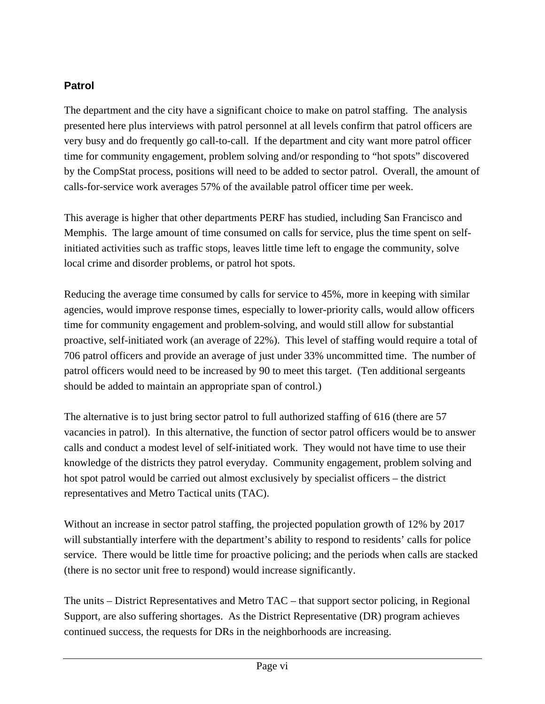### **Patrol**

The department and the city have a significant choice to make on patrol staffing. The analysis presented here plus interviews with patrol personnel at all levels confirm that patrol officers are very busy and do frequently go call-to-call. If the department and city want more patrol officer time for community engagement, problem solving and/or responding to "hot spots" discovered by the CompStat process, positions will need to be added to sector patrol. Overall, the amount of calls-for-service work averages 57% of the available patrol officer time per week.

This average is higher that other departments PERF has studied, including San Francisco and Memphis. The large amount of time consumed on calls for service, plus the time spent on selfinitiated activities such as traffic stops, leaves little time left to engage the community, solve local crime and disorder problems, or patrol hot spots.

Reducing the average time consumed by calls for service to 45%, more in keeping with similar agencies, would improve response times, especially to lower-priority calls, would allow officers time for community engagement and problem-solving, and would still allow for substantial proactive, self-initiated work (an average of 22%). This level of staffing would require a total of 706 patrol officers and provide an average of just under 33% uncommitted time. The number of patrol officers would need to be increased by 90 to meet this target. (Ten additional sergeants should be added to maintain an appropriate span of control.)

The alternative is to just bring sector patrol to full authorized staffing of 616 (there are 57 vacancies in patrol). In this alternative, the function of sector patrol officers would be to answer calls and conduct a modest level of self-initiated work. They would not have time to use their knowledge of the districts they patrol everyday. Community engagement, problem solving and hot spot patrol would be carried out almost exclusively by specialist officers – the district representatives and Metro Tactical units (TAC).

Without an increase in sector patrol staffing, the projected population growth of 12% by 2017 will substantially interfere with the department's ability to respond to residents' calls for police service. There would be little time for proactive policing; and the periods when calls are stacked (there is no sector unit free to respond) would increase significantly.

The units – District Representatives and Metro TAC – that support sector policing, in Regional Support, are also suffering shortages. As the District Representative (DR) program achieves continued success, the requests for DRs in the neighborhoods are increasing.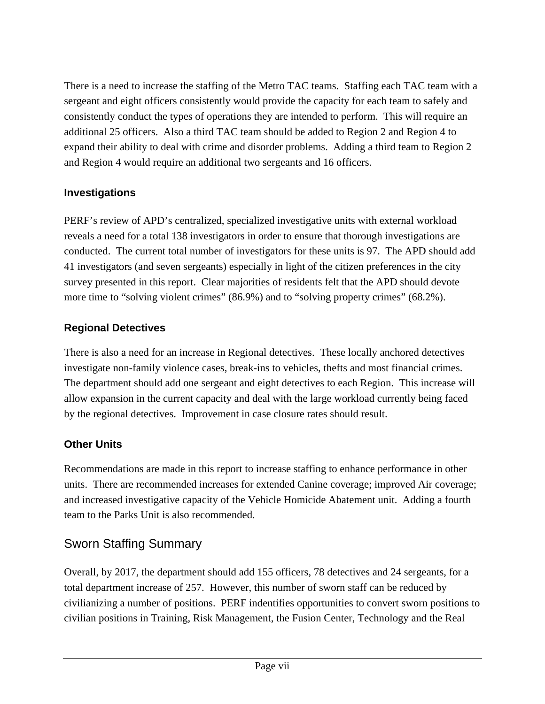There is a need to increase the staffing of the Metro TAC teams. Staffing each TAC team with a sergeant and eight officers consistently would provide the capacity for each team to safely and consistently conduct the types of operations they are intended to perform. This will require an additional 25 officers. Also a third TAC team should be added to Region 2 and Region 4 to expand their ability to deal with crime and disorder problems. Adding a third team to Region 2 and Region 4 would require an additional two sergeants and 16 officers.

### **Investigations**

PERF's review of APD's centralized, specialized investigative units with external workload reveals a need for a total 138 investigators in order to ensure that thorough investigations are conducted. The current total number of investigators for these units is 97. The APD should add 41 investigators (and seven sergeants) especially in light of the citizen preferences in the city survey presented in this report. Clear majorities of residents felt that the APD should devote more time to "solving violent crimes" (86.9%) and to "solving property crimes" (68.2%).

### **Regional Detectives**

There is also a need for an increase in Regional detectives. These locally anchored detectives investigate non-family violence cases, break-ins to vehicles, thefts and most financial crimes. The department should add one sergeant and eight detectives to each Region. This increase will allow expansion in the current capacity and deal with the large workload currently being faced by the regional detectives. Improvement in case closure rates should result.

## **Other Units**

Recommendations are made in this report to increase staffing to enhance performance in other units. There are recommended increases for extended Canine coverage; improved Air coverage; and increased investigative capacity of the Vehicle Homicide Abatement unit. Adding a fourth team to the Parks Unit is also recommended.

## Sworn Staffing Summary

Overall, by 2017, the department should add 155 officers, 78 detectives and 24 sergeants, for a total department increase of 257. However, this number of sworn staff can be reduced by civilianizing a number of positions. PERF indentifies opportunities to convert sworn positions to civilian positions in Training, Risk Management, the Fusion Center, Technology and the Real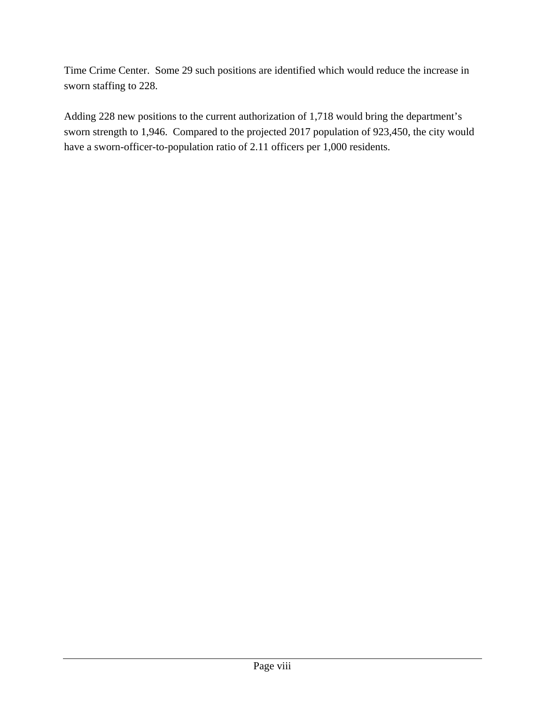Time Crime Center. Some 29 such positions are identified which would reduce the increase in sworn staffing to 228.

Adding 228 new positions to the current authorization of 1,718 would bring the department's sworn strength to 1,946. Compared to the projected 2017 population of 923,450, the city would have a sworn-officer-to-population ratio of 2.11 officers per 1,000 residents.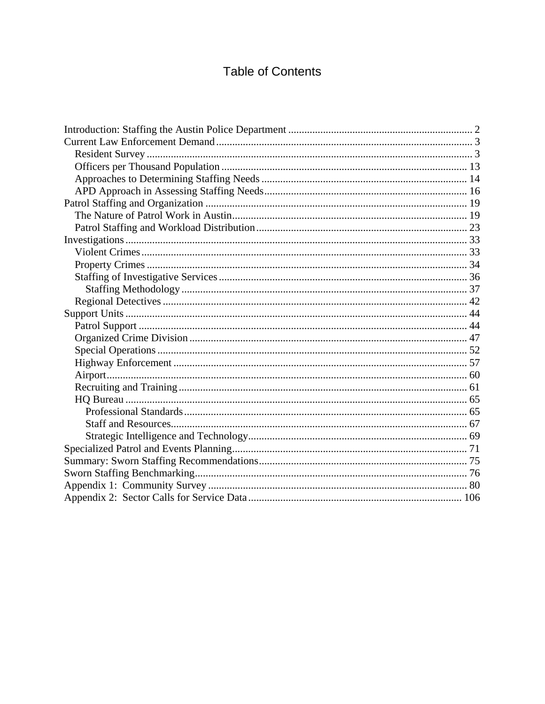## **Table of Contents**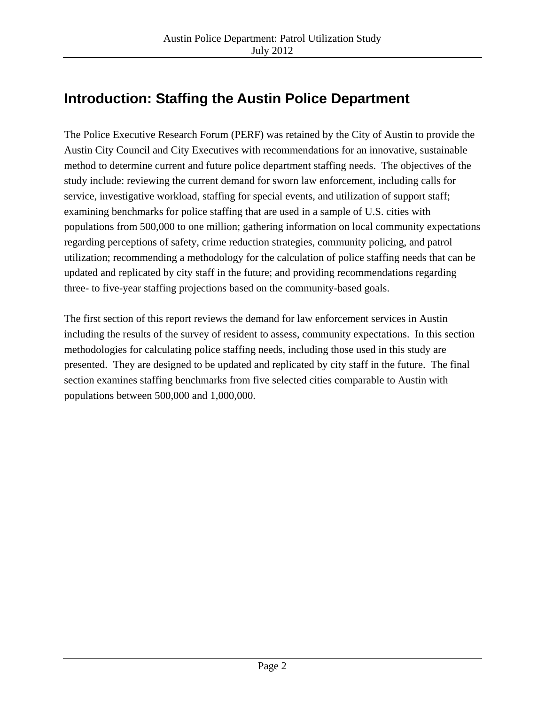## **Introduction: Staffing the Austin Police Department**

The Police Executive Research Forum (PERF) was retained by the City of Austin to provide the Austin City Council and City Executives with recommendations for an innovative, sustainable method to determine current and future police department staffing needs. The objectives of the study include: reviewing the current demand for sworn law enforcement, including calls for service, investigative workload, staffing for special events, and utilization of support staff; examining benchmarks for police staffing that are used in a sample of U.S. cities with populations from 500,000 to one million; gathering information on local community expectations regarding perceptions of safety, crime reduction strategies, community policing, and patrol utilization; recommending a methodology for the calculation of police staffing needs that can be updated and replicated by city staff in the future; and providing recommendations regarding three- to five-year staffing projections based on the community-based goals.

The first section of this report reviews the demand for law enforcement services in Austin including the results of the survey of resident to assess, community expectations. In this section methodologies for calculating police staffing needs, including those used in this study are presented. They are designed to be updated and replicated by city staff in the future. The final section examines staffing benchmarks from five selected cities comparable to Austin with populations between 500,000 and 1,000,000.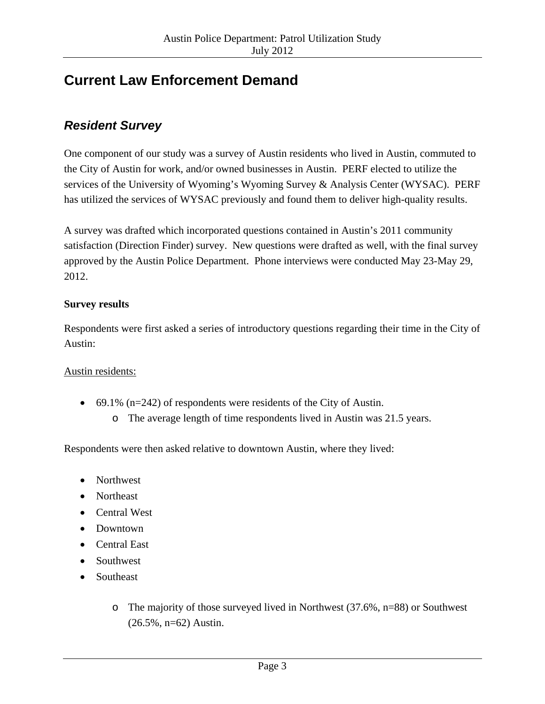## **Current Law Enforcement Demand**

## *Resident Survey*

One component of our study was a survey of Austin residents who lived in Austin, commuted to the City of Austin for work, and/or owned businesses in Austin. PERF elected to utilize the services of the University of Wyoming's Wyoming Survey & Analysis Center (WYSAC). PERF has utilized the services of WYSAC previously and found them to deliver high-quality results.

A survey was drafted which incorporated questions contained in Austin's 2011 community satisfaction (Direction Finder) survey. New questions were drafted as well, with the final survey approved by the Austin Police Department. Phone interviews were conducted May 23-May 29, 2012.

#### **Survey results**

Respondents were first asked a series of introductory questions regarding their time in the City of Austin:

#### Austin residents:

- 69.1% ( $n=242$ ) of respondents were residents of the City of Austin.
	- o The average length of time respondents lived in Austin was 21.5 years.

Respondents were then asked relative to downtown Austin, where they lived:

- Northwest
- Northeast
- Central West
- Downtown
- Central East
- Southwest
- Southeast
	- o The majority of those surveyed lived in Northwest (37.6%, n=88) or Southwest (26.5%, n=62) Austin.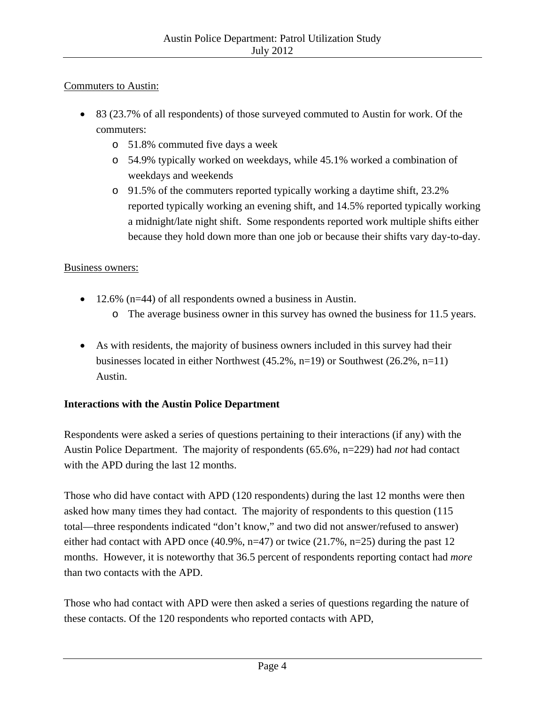#### Commuters to Austin:

- 83 (23.7% of all respondents) of those surveyed commuted to Austin for work. Of the commuters:
	- o 51.8% commuted five days a week
	- o 54.9% typically worked on weekdays, while 45.1% worked a combination of weekdays and weekends
	- o 91.5% of the commuters reported typically working a daytime shift, 23.2% reported typically working an evening shift, and 14.5% reported typically working a midnight/late night shift. Some respondents reported work multiple shifts either because they hold down more than one job or because their shifts vary day-to-day.

#### Business owners:

- 12.6% (n=44) of all respondents owned a business in Austin.
	- o The average business owner in this survey has owned the business for 11.5 years.
- As with residents, the majority of business owners included in this survey had their businesses located in either Northwest (45.2%, n=19) or Southwest (26.2%, n=11) Austin.

#### **Interactions with the Austin Police Department**

Respondents were asked a series of questions pertaining to their interactions (if any) with the Austin Police Department. The majority of respondents (65.6%, n=229) had *not* had contact with the APD during the last 12 months.

Those who did have contact with APD (120 respondents) during the last 12 months were then asked how many times they had contact. The majority of respondents to this question (115 total—three respondents indicated "don't know," and two did not answer/refused to answer) either had contact with APD once (40.9%, n=47) or twice (21.7%, n=25) during the past 12 months. However, it is noteworthy that 36.5 percent of respondents reporting contact had *more* than two contacts with the APD.

Those who had contact with APD were then asked a series of questions regarding the nature of these contacts. Of the 120 respondents who reported contacts with APD,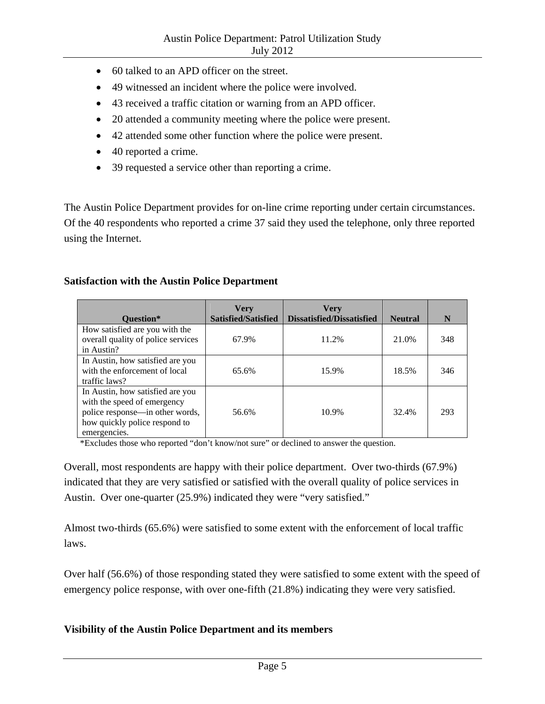- 60 talked to an APD officer on the street.
- 49 witnessed an incident where the police were involved.
- 43 received a traffic citation or warning from an APD officer.
- 20 attended a community meeting where the police were present.
- 42 attended some other function where the police were present.
- 40 reported a crime.
- 39 requested a service other than reporting a crime.

The Austin Police Department provides for on-line crime reporting under certain circumstances. Of the 40 respondents who reported a crime 37 said they used the telephone, only three reported using the Internet.

#### **Satisfaction with the Austin Police Department**

|                                    | <b>Very</b><br>Satisfied/Satisfied | <b>Very</b><br><b>Dissatisfied/Dissatisfied</b> | <b>Neutral</b> | N   |
|------------------------------------|------------------------------------|-------------------------------------------------|----------------|-----|
| <b>Ouestion*</b>                   |                                    |                                                 |                |     |
| How satisfied are you with the     |                                    |                                                 |                |     |
| overall quality of police services | 67.9%                              | 11.2%                                           | 21.0%          | 348 |
| in Austin?                         |                                    |                                                 |                |     |
| In Austin, how satisfied are you   |                                    |                                                 |                |     |
| with the enforcement of local      | 65.6%                              | 15.9%                                           | 18.5%          | 346 |
| traffic laws?                      |                                    |                                                 |                |     |
| In Austin, how satisfied are you   |                                    |                                                 |                |     |
| with the speed of emergency        |                                    |                                                 |                |     |
| police response—in other words,    | 56.6%                              | 10.9%                                           | 32.4%          | 293 |
| how quickly police respond to      |                                    |                                                 |                |     |
| emergencies.                       |                                    |                                                 |                |     |

\*Excludes those who reported "don't know/not sure" or declined to answer the question.

Overall, most respondents are happy with their police department. Over two-thirds (67.9%) indicated that they are very satisfied or satisfied with the overall quality of police services in Austin. Over one-quarter (25.9%) indicated they were "very satisfied."

Almost two-thirds (65.6%) were satisfied to some extent with the enforcement of local traffic laws.

Over half (56.6%) of those responding stated they were satisfied to some extent with the speed of emergency police response, with over one-fifth (21.8%) indicating they were very satisfied.

#### **Visibility of the Austin Police Department and its members**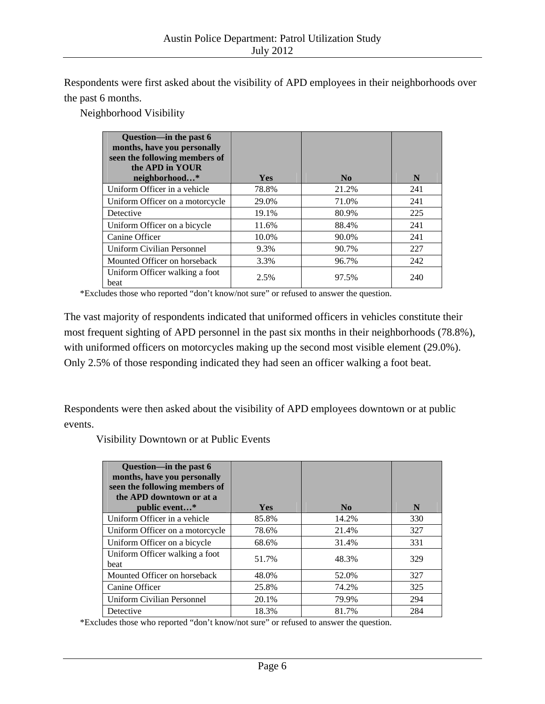Respondents were first asked about the visibility of APD employees in their neighborhoods over the past 6 months.

Neighborhood Visibility

| Question—in the past 6<br>months, have you personally<br>seen the following members of<br>the APD in YOUR |            |                |     |
|-----------------------------------------------------------------------------------------------------------|------------|----------------|-----|
| neighborhood*                                                                                             | <b>Yes</b> | $\mathbf{N_0}$ | N   |
| Uniform Officer in a vehicle                                                                              | 78.8%      | 21.2%          | 241 |
| Uniform Officer on a motorcycle                                                                           | 29.0%      | 71.0%          | 241 |
| Detective                                                                                                 | 19.1%      | 80.9%          | 225 |
| Uniform Officer on a bicycle                                                                              | 11.6%      | 88.4%          | 241 |
| Canine Officer                                                                                            | 10.0%      | 90.0%          | 241 |
| Uniform Civilian Personnel                                                                                | 9.3%       | 90.7%          | 227 |
| Mounted Officer on horseback                                                                              | 3.3%       | 96.7%          | 242 |
| Uniform Officer walking a foot<br>beat                                                                    | 2.5%       | 97.5%          | 240 |

\*Excludes those who reported "don't know/not sure" or refused to answer the question.

The vast majority of respondents indicated that uniformed officers in vehicles constitute their most frequent sighting of APD personnel in the past six months in their neighborhoods (78.8%), with uniformed officers on motorcycles making up the second most visible element (29.0%). Only 2.5% of those responding indicated they had seen an officer walking a foot beat.

Respondents were then asked about the visibility of APD employees downtown or at public events.

Visibility Downtown or at Public Events

| Question-in the past 6<br>months, have you personally<br>seen the following members of<br>the APD downtown or at a<br>public event* | <b>Yes</b> | N <sub>0</sub> | N   |
|-------------------------------------------------------------------------------------------------------------------------------------|------------|----------------|-----|
| Uniform Officer in a vehicle                                                                                                        | 85.8%      | 14.2%          | 330 |
| Uniform Officer on a motorcycle                                                                                                     | 78.6%      | 21.4%          | 327 |
| Uniform Officer on a bicycle                                                                                                        | 68.6%      | 31.4%          | 331 |
| Uniform Officer walking a foot<br>beat                                                                                              | 51.7%      | 48.3%          | 329 |
| Mounted Officer on horseback                                                                                                        | 48.0%      | 52.0%          | 327 |
| Canine Officer                                                                                                                      | 25.8%      | 74.2%          | 325 |
| Uniform Civilian Personnel                                                                                                          | 20.1%      | 79.9%          | 294 |
| Detective                                                                                                                           | 18.3%      | 81.7%          | 284 |

\*Excludes those who reported "don't know/not sure" or refused to answer the question.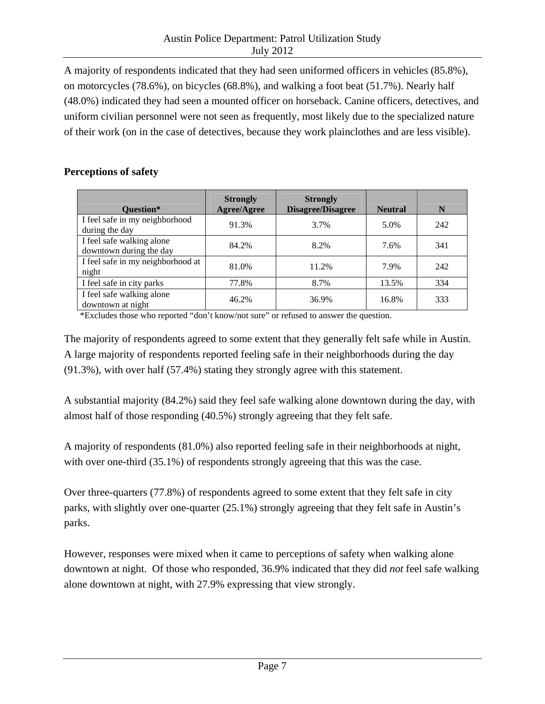A majority of respondents indicated that they had seen uniformed officers in vehicles (85.8%), on motorcycles (78.6%), on bicycles (68.8%), and walking a foot beat (51.7%). Nearly half (48.0%) indicated they had seen a mounted officer on horseback. Canine officers, detectives, and uniform civilian personnel were not seen as frequently, most likely due to the specialized nature of their work (on in the case of detectives, because they work plainclothes and are less visible).

#### **Perceptions of safety**

| Question*                                            | <b>Strongly</b><br><b>Agree/Agree</b> | <b>Strongly</b><br><b>Disagree/Disagree</b> | <b>Neutral</b> | N   |
|------------------------------------------------------|---------------------------------------|---------------------------------------------|----------------|-----|
| I feel safe in my neighborhood<br>during the day     | 91.3%                                 | 3.7%                                        | 5.0%           | 242 |
| I feel safe walking alone<br>downtown during the day | 84.2%                                 | 8.2%                                        | 7.6%           | 341 |
| I feel safe in my neighborhood at<br>night           | 81.0%                                 | 11.2%                                       | 7.9%           | 242 |
| I feel safe in city parks                            | 77.8%                                 | 8.7%                                        | 13.5%          | 334 |
| I feel safe walking alone<br>downtown at night       | 46.2%                                 | 36.9%                                       | 16.8%          | 333 |

\*Excludes those who reported "don't know/not sure" or refused to answer the question.

The majority of respondents agreed to some extent that they generally felt safe while in Austin. A large majority of respondents reported feeling safe in their neighborhoods during the day (91.3%), with over half (57.4%) stating they strongly agree with this statement.

A substantial majority (84.2%) said they feel safe walking alone downtown during the day, with almost half of those responding (40.5%) strongly agreeing that they felt safe.

A majority of respondents (81.0%) also reported feeling safe in their neighborhoods at night, with over one-third  $(35.1\%)$  of respondents strongly agreeing that this was the case.

Over three-quarters (77.8%) of respondents agreed to some extent that they felt safe in city parks, with slightly over one-quarter (25.1%) strongly agreeing that they felt safe in Austin's parks.

However, responses were mixed when it came to perceptions of safety when walking alone downtown at night. Of those who responded, 36.9% indicated that they did *not* feel safe walking alone downtown at night, with 27.9% expressing that view strongly.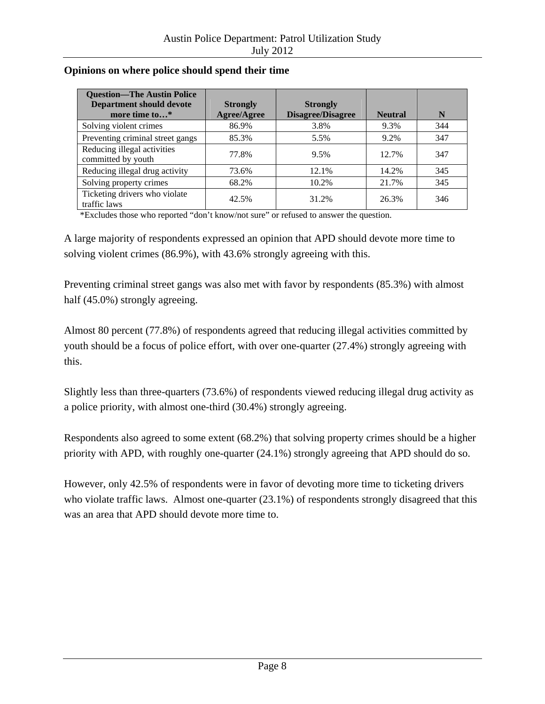| <b>Question—The Austin Police</b><br><b>Department should devote</b><br>more time to* | <b>Strongly</b><br>Agree/Agree | <b>Strongly</b><br><b>Disagree/Disagree</b> | <b>Neutral</b> | N   |
|---------------------------------------------------------------------------------------|--------------------------------|---------------------------------------------|----------------|-----|
| Solving violent crimes                                                                | 86.9%                          | 3.8%                                        | 9.3%           | 344 |
| Preventing criminal street gangs                                                      | 85.3%                          | 5.5%                                        | 9.2%           | 347 |
| Reducing illegal activities<br>committed by youth                                     | 77.8%                          | 9.5%                                        | 12.7%          | 347 |
| Reducing illegal drug activity                                                        | 73.6%                          | 12.1%                                       | 14.2%          | 345 |
| Solving property crimes                                                               | 68.2%                          | 10.2%                                       | 21.7%          | 345 |
| Ticketing drivers who violate<br>traffic laws                                         | 42.5%                          | 31.2%                                       | 26.3%          | 346 |

#### **Opinions on where police should spend their time**

\*Excludes those who reported "don't know/not sure" or refused to answer the question.

A large majority of respondents expressed an opinion that APD should devote more time to solving violent crimes (86.9%), with 43.6% strongly agreeing with this.

Preventing criminal street gangs was also met with favor by respondents (85.3%) with almost half (45.0%) strongly agreeing.

Almost 80 percent (77.8%) of respondents agreed that reducing illegal activities committed by youth should be a focus of police effort, with over one-quarter (27.4%) strongly agreeing with this.

Slightly less than three-quarters (73.6%) of respondents viewed reducing illegal drug activity as a police priority, with almost one-third (30.4%) strongly agreeing.

Respondents also agreed to some extent (68.2%) that solving property crimes should be a higher priority with APD, with roughly one-quarter (24.1%) strongly agreeing that APD should do so.

However, only 42.5% of respondents were in favor of devoting more time to ticketing drivers who violate traffic laws. Almost one-quarter (23.1%) of respondents strongly disagreed that this was an area that APD should devote more time to.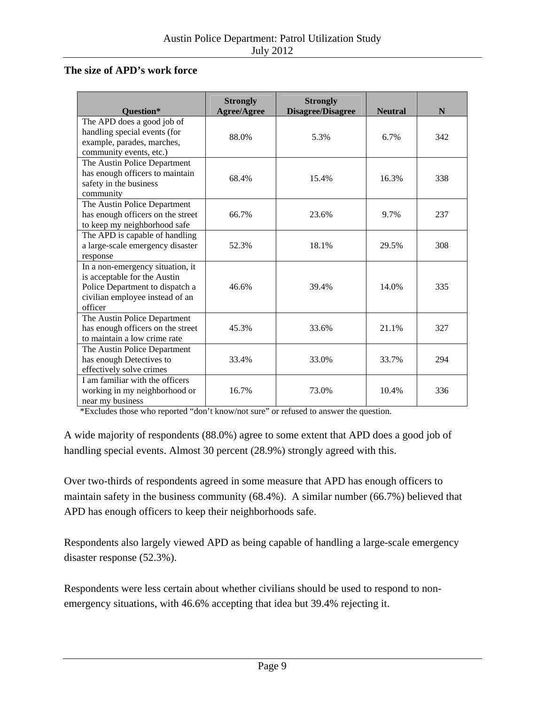#### **The size of APD's work force**

| <b>Ouestion*</b>                                                                                                                                  | <b>Strongly</b><br>Agree/Agree | <b>Strongly</b><br><b>Disagree/Disagree</b> | <b>Neutral</b> | N   |
|---------------------------------------------------------------------------------------------------------------------------------------------------|--------------------------------|---------------------------------------------|----------------|-----|
| The APD does a good job of<br>handling special events (for<br>example, parades, marches,<br>community events, etc.)                               | 88.0%                          | 5.3%                                        | 6.7%           | 342 |
| The Austin Police Department<br>has enough officers to maintain<br>safety in the business<br>community                                            | 68.4%                          | 15.4%                                       | 16.3%          | 338 |
| The Austin Police Department<br>has enough officers on the street<br>to keep my neighborhood safe                                                 | 66.7%                          | 23.6%                                       | 9.7%           | 237 |
| The APD is capable of handling<br>a large-scale emergency disaster<br>response                                                                    | 52.3%                          | 18.1%                                       | 29.5%          | 308 |
| In a non-emergency situation, it<br>is acceptable for the Austin<br>Police Department to dispatch a<br>civilian employee instead of an<br>officer | 46.6%                          | 39.4%                                       | 14.0%          | 335 |
| The Austin Police Department<br>has enough officers on the street<br>to maintain a low crime rate                                                 | 45.3%                          | 33.6%                                       | 21.1%          | 327 |
| The Austin Police Department<br>has enough Detectives to<br>effectively solve crimes                                                              | 33.4%                          | 33.0%                                       | 33.7%          | 294 |
| I am familiar with the officers<br>working in my neighborhood or<br>near my business                                                              | 16.7%                          | 73.0%                                       | 10.4%          | 336 |

\*Excludes those who reported "don't know/not sure" or refused to answer the question.

A wide majority of respondents (88.0%) agree to some extent that APD does a good job of handling special events. Almost 30 percent (28.9%) strongly agreed with this.

Over two-thirds of respondents agreed in some measure that APD has enough officers to maintain safety in the business community (68.4%). A similar number (66.7%) believed that APD has enough officers to keep their neighborhoods safe.

Respondents also largely viewed APD as being capable of handling a large-scale emergency disaster response (52.3%).

Respondents were less certain about whether civilians should be used to respond to nonemergency situations, with 46.6% accepting that idea but 39.4% rejecting it.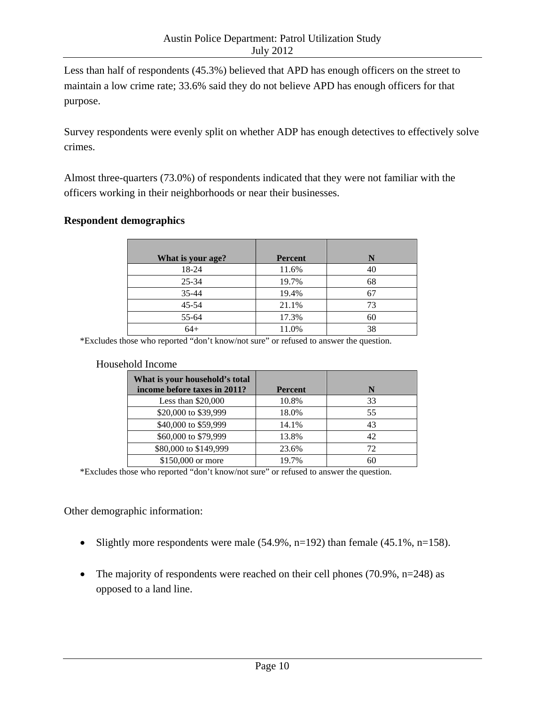Less than half of respondents (45.3%) believed that APD has enough officers on the street to maintain a low crime rate; 33.6% said they do not believe APD has enough officers for that purpose.

Survey respondents were evenly split on whether ADP has enough detectives to effectively solve crimes.

Almost three-quarters (73.0%) of respondents indicated that they were not familiar with the officers working in their neighborhoods or near their businesses.

#### **Respondent demographics**

| What is your age? | <b>Percent</b> | N  |
|-------------------|----------------|----|
| 18-24             | 11.6%          | 40 |
| $25 - 34$         | 19.7%          | 68 |
| 35-44             | 19.4%          |    |
| $45 - 54$         | 21.1%          | 73 |
| 55-64             | 17.3%          | 60 |
| $64+$             | 11.0%          | 38 |

\*Excludes those who reported "don't know/not sure" or refused to answer the question.

#### Household Income

| What is your household's total |                |    |
|--------------------------------|----------------|----|
| income before taxes in 2011?   | <b>Percent</b> | N  |
| Less than $$20,000$            | 10.8%          | 33 |
| \$20,000 to \$39,999           | 18.0%          | 55 |
| \$40,000 to \$59,999           | 14.1%          | 43 |
| \$60,000 to \$79,999           | 13.8%          |    |
| \$80,000 to \$149,999          | 23.6%          | 72 |
| \$150,000 or more              | 19.7%          |    |

\*Excludes those who reported "don't know/not sure" or refused to answer the question.

Other demographic information:

- Slightly more respondents were male  $(54.9\%, n=192)$  than female  $(45.1\%, n=158)$ .
- The majority of respondents were reached on their cell phones  $(70.9\%, n=248)$  as opposed to a land line.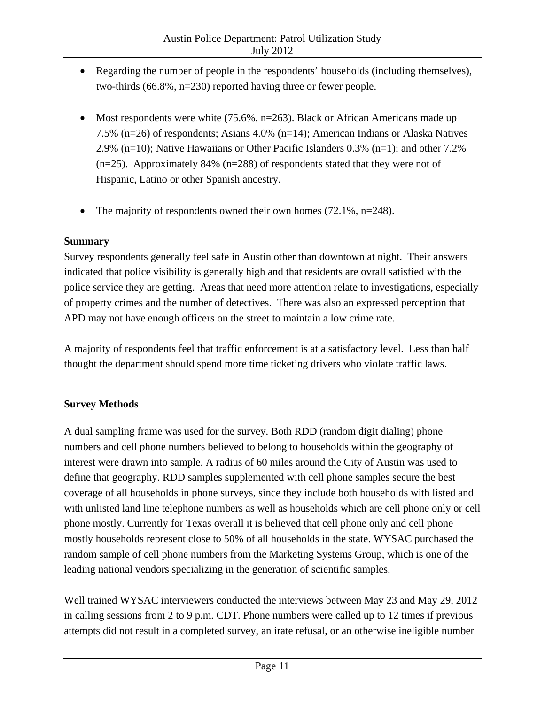- Regarding the number of people in the respondents' households (including themselves), two-thirds (66.8%, n=230) reported having three or fewer people.
- Most respondents were white  $(75.6\%, n=263)$ . Black or African Americans made up 7.5% (n=26) of respondents; Asians 4.0% (n=14); American Indians or Alaska Natives 2.9% (n=10); Native Hawaiians or Other Pacific Islanders 0.3% (n=1); and other 7.2%  $(n=25)$ . Approximately 84% (n=288) of respondents stated that they were not of Hispanic, Latino or other Spanish ancestry.
- The majority of respondents owned their own homes  $(72.1\%, n=248)$ .

#### **Summary**

Survey respondents generally feel safe in Austin other than downtown at night. Their answers indicated that police visibility is generally high and that residents are ovrall satisfied with the police service they are getting. Areas that need more attention relate to investigations, especially of property crimes and the number of detectives. There was also an expressed perception that APD may not have enough officers on the street to maintain a low crime rate.

A majority of respondents feel that traffic enforcement is at a satisfactory level. Less than half thought the department should spend more time ticketing drivers who violate traffic laws.

#### **Survey Methods**

A dual sampling frame was used for the survey. Both RDD (random digit dialing) phone numbers and cell phone numbers believed to belong to households within the geography of interest were drawn into sample. A radius of 60 miles around the City of Austin was used to define that geography. RDD samples supplemented with cell phone samples secure the best coverage of all households in phone surveys, since they include both households with listed and with unlisted land line telephone numbers as well as households which are cell phone only or cell phone mostly. Currently for Texas overall it is believed that cell phone only and cell phone mostly households represent close to 50% of all households in the state. WYSAC purchased the random sample of cell phone numbers from the Marketing Systems Group, which is one of the leading national vendors specializing in the generation of scientific samples.

Well trained WYSAC interviewers conducted the interviews between May 23 and May 29, 2012 in calling sessions from 2 to 9 p.m. CDT. Phone numbers were called up to 12 times if previous attempts did not result in a completed survey, an irate refusal, or an otherwise ineligible number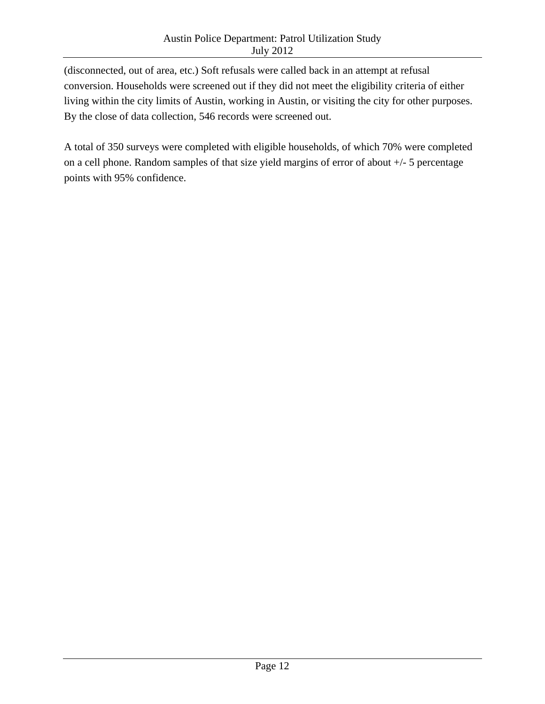(disconnected, out of area, etc.) Soft refusals were called back in an attempt at refusal conversion. Households were screened out if they did not meet the eligibility criteria of either living within the city limits of Austin, working in Austin, or visiting the city for other purposes. By the close of data collection, 546 records were screened out.

A total of 350 surveys were completed with eligible households, of which 70% were completed on a cell phone. Random samples of that size yield margins of error of about +/- 5 percentage points with 95% confidence.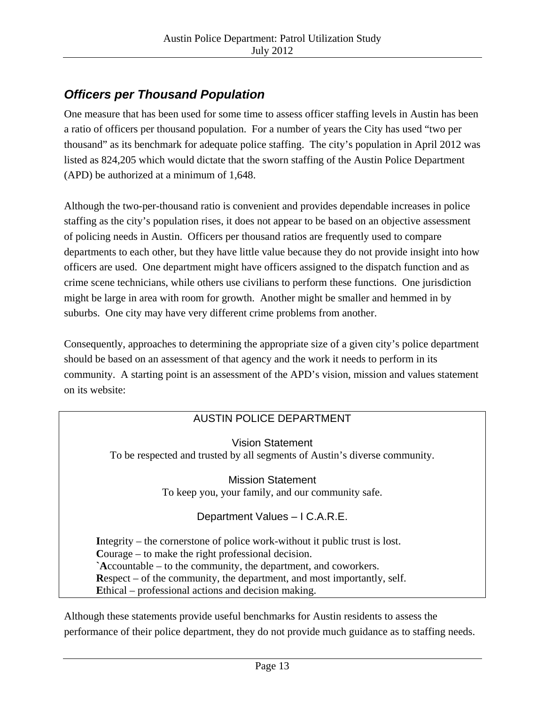## *Officers per Thousand Population*

One measure that has been used for some time to assess officer staffing levels in Austin has been a ratio of officers per thousand population. For a number of years the City has used "two per thousand" as its benchmark for adequate police staffing. The city's population in April 2012 was listed as 824,205 which would dictate that the sworn staffing of the Austin Police Department (APD) be authorized at a minimum of 1,648.

Although the two-per-thousand ratio is convenient and provides dependable increases in police staffing as the city's population rises, it does not appear to be based on an objective assessment of policing needs in Austin. Officers per thousand ratios are frequently used to compare departments to each other, but they have little value because they do not provide insight into how officers are used. One department might have officers assigned to the dispatch function and as crime scene technicians, while others use civilians to perform these functions. One jurisdiction might be large in area with room for growth. Another might be smaller and hemmed in by suburbs. One city may have very different crime problems from another.

Consequently, approaches to determining the appropriate size of a given city's police department should be based on an assessment of that agency and the work it needs to perform in its community. A starting point is an assessment of the APD's vision, mission and values statement on its website:

#### AUSTIN POLICE DEPARTMENT

Vision Statement To be respected and trusted by all segments of Austin's diverse community.

> Mission Statement To keep you, your family, and our community safe.

#### Department Values – I C.A.R.E.

**I**ntegrity – the cornerstone of police work-without it public trust is lost. **C**ourage – to make the right professional decision. **`A**ccountable – to the community, the department, and coworkers. **R**espect – of the community, the department, and most importantly, self. **E**thical – professional actions and decision making.

Although these statements provide useful benchmarks for Austin residents to assess the performance of their police department, they do not provide much guidance as to staffing needs.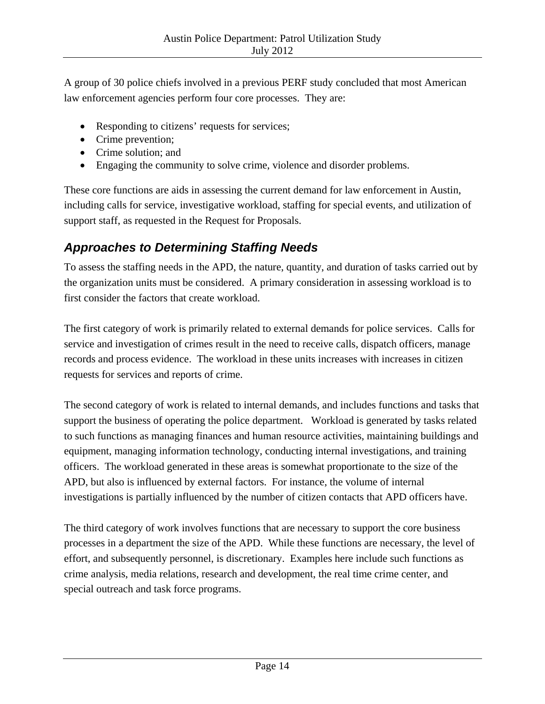A group of 30 police chiefs involved in a previous PERF study concluded that most American law enforcement agencies perform four core processes. They are:

- Responding to citizens' requests for services;
- Crime prevention;
- Crime solution: and
- Engaging the community to solve crime, violence and disorder problems.

These core functions are aids in assessing the current demand for law enforcement in Austin, including calls for service, investigative workload, staffing for special events, and utilization of support staff, as requested in the Request for Proposals.

## *Approaches to Determining Staffing Needs*

To assess the staffing needs in the APD, the nature, quantity, and duration of tasks carried out by the organization units must be considered. A primary consideration in assessing workload is to first consider the factors that create workload.

The first category of work is primarily related to external demands for police services. Calls for service and investigation of crimes result in the need to receive calls, dispatch officers, manage records and process evidence. The workload in these units increases with increases in citizen requests for services and reports of crime.

The second category of work is related to internal demands, and includes functions and tasks that support the business of operating the police department. Workload is generated by tasks related to such functions as managing finances and human resource activities, maintaining buildings and equipment, managing information technology, conducting internal investigations, and training officers. The workload generated in these areas is somewhat proportionate to the size of the APD, but also is influenced by external factors. For instance, the volume of internal investigations is partially influenced by the number of citizen contacts that APD officers have.

The third category of work involves functions that are necessary to support the core business processes in a department the size of the APD. While these functions are necessary, the level of effort, and subsequently personnel, is discretionary. Examples here include such functions as crime analysis, media relations, research and development, the real time crime center, and special outreach and task force programs.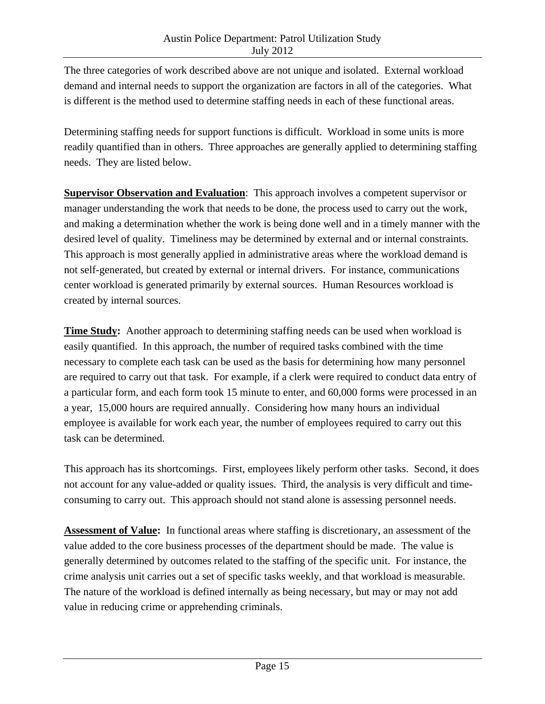The three categories of work described above are not unique and isolated. External workload demand and internal needs to support the organization are factors in all of the categories. What is different is the method used to determine staffing needs in each of these functional areas.

Determining staffing needs for support functions is difficult. Workload in some units is more readily quantified than in others. Three approaches are generally applied to determining staffing needs. They are listed below.

**Supervisor Observation and Evaluation:** This approach involves a competent supervisor or manager understanding the work that needs to be done, the process used to carry out the work, and making a determination whether the work is being done well and in a timely manner with the desired level of quality. Timeliness may be determined by external and or internal constraints. This approach is most generally applied in administrative areas where the workload demand is not self-generated, but created by external or internal drivers. For instance, communications center workload is generated primarily by external sources. Human Resources workload is created by internal sources.

**Time Study:** Another approach to determining staffing needs can be used when workload is easily quantified. In this approach, the number of required tasks combined with the time necessary to complete each task can be used as the basis for determining how many personnel are required to carry out that task. For example, if a clerk were required to conduct data entry of a particular form, and each form took 15 minute to enter, and 60,000 forms were processed in an a year, 15,000 hours are required annually. Considering how many hours an individual employee is available for work each year, the number of employees required to carry out this task can be determined.

This approach has its shortcomings. First, employees likely perform other tasks. Second, it does not account for any value-added or quality issues. Third, the analysis is very difficult and timeconsuming to carry out. This approach should not stand alone is assessing personnel needs.

**Assessment of Value:** In functional areas where staffing is discretionary, an assessment of the value added to the core business processes of the department should be made. The value is generally determined by outcomes related to the staffing of the specific unit. For instance, the crime analysis unit carries out a set of specific tasks weekly, and that workload is measurable. The nature of the workload is defined internally as being necessary, but may or may not add value in reducing crime or apprehending criminals.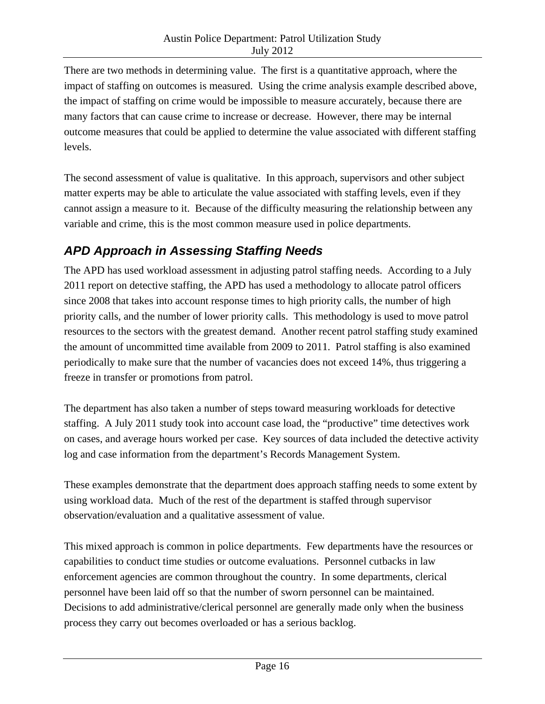There are two methods in determining value. The first is a quantitative approach, where the impact of staffing on outcomes is measured. Using the crime analysis example described above, the impact of staffing on crime would be impossible to measure accurately, because there are many factors that can cause crime to increase or decrease. However, there may be internal outcome measures that could be applied to determine the value associated with different staffing levels.

The second assessment of value is qualitative. In this approach, supervisors and other subject matter experts may be able to articulate the value associated with staffing levels, even if they cannot assign a measure to it. Because of the difficulty measuring the relationship between any variable and crime, this is the most common measure used in police departments.

## *APD Approach in Assessing Staffing Needs*

The APD has used workload assessment in adjusting patrol staffing needs. According to a July 2011 report on detective staffing, the APD has used a methodology to allocate patrol officers since 2008 that takes into account response times to high priority calls, the number of high priority calls, and the number of lower priority calls. This methodology is used to move patrol resources to the sectors with the greatest demand. Another recent patrol staffing study examined the amount of uncommitted time available from 2009 to 2011. Patrol staffing is also examined periodically to make sure that the number of vacancies does not exceed 14%, thus triggering a freeze in transfer or promotions from patrol.

The department has also taken a number of steps toward measuring workloads for detective staffing. A July 2011 study took into account case load, the "productive" time detectives work on cases, and average hours worked per case. Key sources of data included the detective activity log and case information from the department's Records Management System.

These examples demonstrate that the department does approach staffing needs to some extent by using workload data. Much of the rest of the department is staffed through supervisor observation/evaluation and a qualitative assessment of value.

This mixed approach is common in police departments. Few departments have the resources or capabilities to conduct time studies or outcome evaluations. Personnel cutbacks in law enforcement agencies are common throughout the country. In some departments, clerical personnel have been laid off so that the number of sworn personnel can be maintained. Decisions to add administrative/clerical personnel are generally made only when the business process they carry out becomes overloaded or has a serious backlog.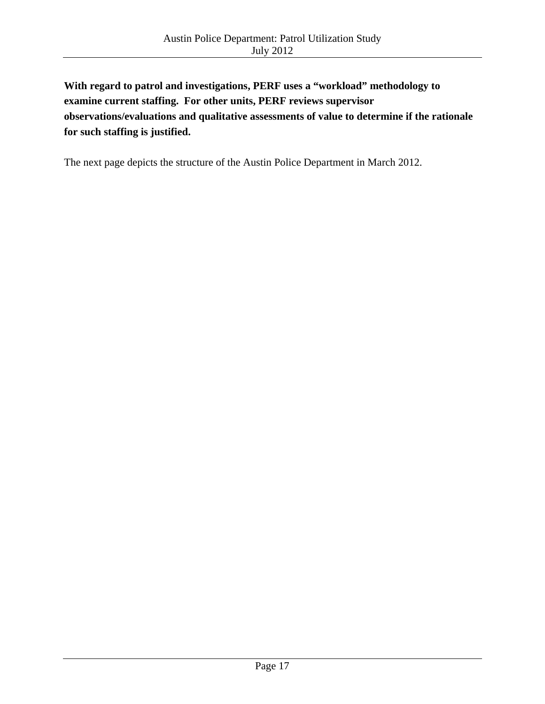**With regard to patrol and investigations, PERF uses a "workload" methodology to examine current staffing. For other units, PERF reviews supervisor observations/evaluations and qualitative assessments of value to determine if the rationale for such staffing is justified.** 

The next page depicts the structure of the Austin Police Department in March 2012.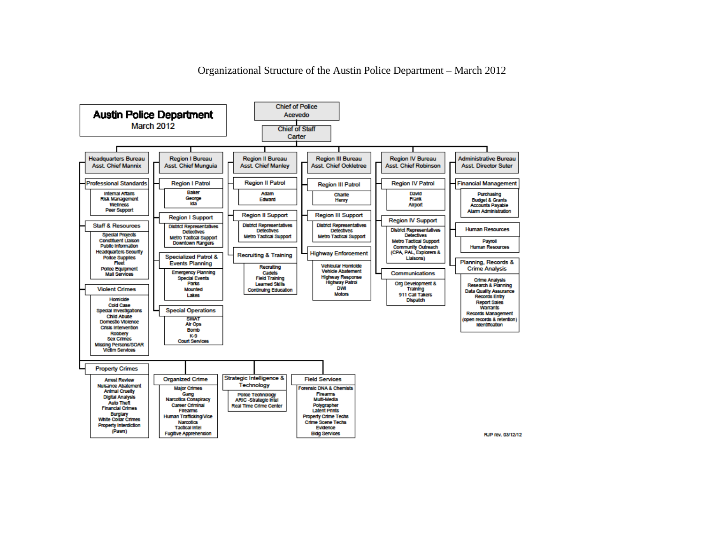**Chief of Police Austin Police Department** Acevedo March 2012 **Chief of Staff** Carter **Headquarters Bureau Region I Bureau Region II Bureau Region III Bureau Region IV Bureau Administrative Bureau** Asst. Chief Mannix Asst. Chief Munguia **Asst. Chief Manley** Asst. Chief Ockletree **Asst. Chief Robinson Asst. Director Suter Professional Standards Region II Patrol Region I Patrol Region IV Patrol Financial Management Region III Patrol Baker Internal Affairs** Adam David Purchasing Charle **Risk Management** George **Edward** Henry Frank **Budget & Grants Ida** Wellness **Airport Accounts Payable Peer Support** Alarm Administration **Region III Support Region II Support Region I Support Region IV Support Staff & Resources District Representatives District Representatives District Representatives District Representatives Human Resources Detectives Detectives Detectives Special Projects** Metro Tactical Support **Metro Tactical Support** Detectives Metro Tactical Support Constituent Liaison Metro Tactical Support Payroll Downtown Rangers Public Information **Community Outreach Human Resources Headquarters Security** (CPA, PAL, Explorers & **Highway Enforcement Recruiting & Training Specialized Patrol & Police Supplies** Liaisons) Planning, Records & Fleet<sup>'</sup> **Events Planning Vehicular Homicide** Recruiting **Police Equipment Crime Analysis Vehicle Abatement Emergency Planning Cadets** Communications **Mail Services** Special Events **Field Training Highway Response Crime Analysis** Org Development & Parks **Highway Patrol Learned Skills** Research & Planning **Violent Crimes Mounted DWI** Training Data Quality Assurance<br>Records Entry **Continuing Education Motors** 911 Call Takers Lakes Homicide **Dispatch Report Sales Cold Case Warrants** Special Investigations **Special Operations** Records Management Child Abuse **SWAT** open records & retention Domestic Violence Air Ops Identification **Crisis Intervention Bomb** Robbery K-9 **Sex Crimes Court Services** Missing Persons/SOAR **Victim Services Property Crimes** Strategic Intelligence & **Organized Crime Field Services Arrest Review** Technology **Nuisance Abatement** Major Crimes Forensic DNA & Chemists **Animal Cruelty** Gang<br>Narcotics Conspiracy **Firearms Police Technology Digital Analysis** Multi-Media **ARIC-Strategic Intel Auto Theft Career Criminal** Polygrapher<br>Latent Prints Real Time Crime Center **Financial Crimes Firearms** Burglary **Property Crime Techs** Human Traincking/Vice White Collar Crimes Narcotics **Crime Scene Techs Property Interdiction Tactical Intel** Evidence (Pawn) **Fugitive Apprehension Bidg Services** RJP rev. 03/12/12

Organizational Structure of the Austin Police Department – March 2012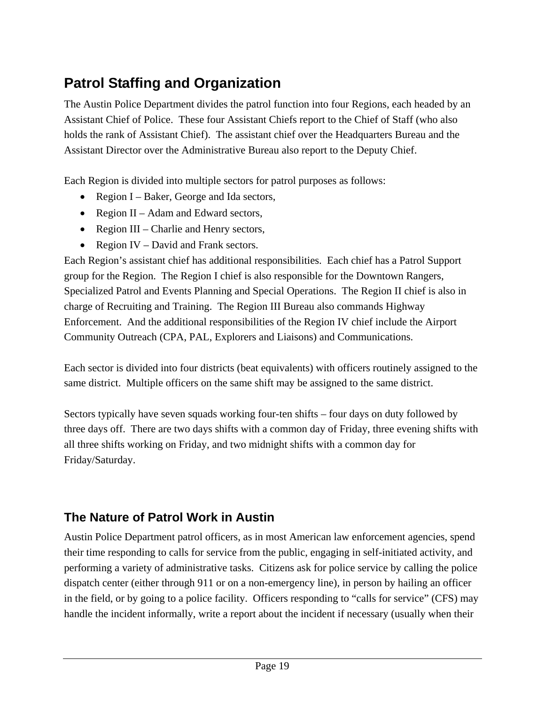# **Patrol Staffing and Organization**

The Austin Police Department divides the patrol function into four Regions, each headed by an Assistant Chief of Police. These four Assistant Chiefs report to the Chief of Staff (who also holds the rank of Assistant Chief). The assistant chief over the Headquarters Bureau and the Assistant Director over the Administrative Bureau also report to the Deputy Chief.

Each Region is divided into multiple sectors for patrol purposes as follows:

- Region I Baker, George and Ida sectors,
- Region II Adam and Edward sectors,
- Region III Charlie and Henry sectors,
- Region IV David and Frank sectors.

Each Region's assistant chief has additional responsibilities. Each chief has a Patrol Support group for the Region. The Region I chief is also responsible for the Downtown Rangers, Specialized Patrol and Events Planning and Special Operations. The Region II chief is also in charge of Recruiting and Training. The Region III Bureau also commands Highway Enforcement. And the additional responsibilities of the Region IV chief include the Airport Community Outreach (CPA, PAL, Explorers and Liaisons) and Communications.

Each sector is divided into four districts (beat equivalents) with officers routinely assigned to the same district. Multiple officers on the same shift may be assigned to the same district.

Sectors typically have seven squads working four-ten shifts – four days on duty followed by three days off. There are two days shifts with a common day of Friday, three evening shifts with all three shifts working on Friday, and two midnight shifts with a common day for Friday/Saturday.

## **The Nature of Patrol Work in Austin**

Austin Police Department patrol officers, as in most American law enforcement agencies, spend their time responding to calls for service from the public, engaging in self-initiated activity, and performing a variety of administrative tasks. Citizens ask for police service by calling the police dispatch center (either through 911 or on a non-emergency line), in person by hailing an officer in the field, or by going to a police facility. Officers responding to "calls for service" (CFS) may handle the incident informally, write a report about the incident if necessary (usually when their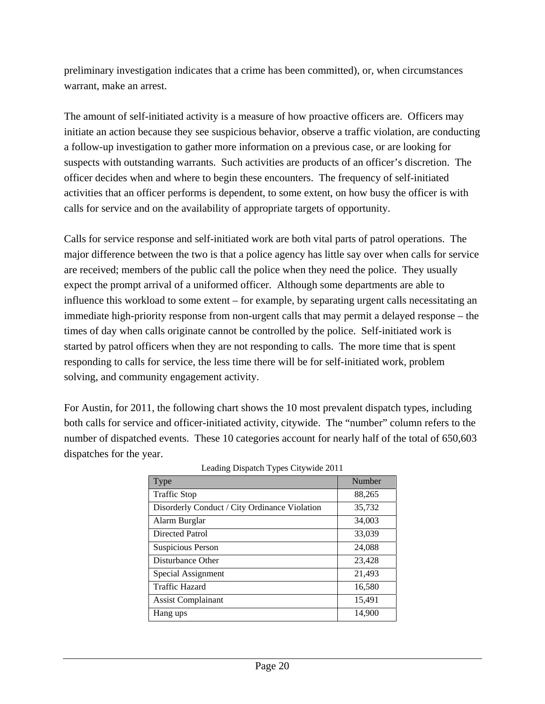preliminary investigation indicates that a crime has been committed), or, when circumstances warrant, make an arrest.

The amount of self-initiated activity is a measure of how proactive officers are. Officers may initiate an action because they see suspicious behavior, observe a traffic violation, are conducting a follow-up investigation to gather more information on a previous case, or are looking for suspects with outstanding warrants. Such activities are products of an officer's discretion. The officer decides when and where to begin these encounters. The frequency of self-initiated activities that an officer performs is dependent, to some extent, on how busy the officer is with calls for service and on the availability of appropriate targets of opportunity.

Calls for service response and self-initiated work are both vital parts of patrol operations. The major difference between the two is that a police agency has little say over when calls for service are received; members of the public call the police when they need the police. They usually expect the prompt arrival of a uniformed officer. Although some departments are able to influence this workload to some extent – for example, by separating urgent calls necessitating an immediate high-priority response from non-urgent calls that may permit a delayed response – the times of day when calls originate cannot be controlled by the police. Self-initiated work is started by patrol officers when they are not responding to calls. The more time that is spent responding to calls for service, the less time there will be for self-initiated work, problem solving, and community engagement activity.

For Austin, for 2011, the following chart shows the 10 most prevalent dispatch types, including both calls for service and officer-initiated activity, citywide. The "number" column refers to the number of dispatched events. These 10 categories account for nearly half of the total of 650,603 dispatches for the year.

| Type                                          | Number |
|-----------------------------------------------|--------|
| <b>Traffic Stop</b>                           | 88,265 |
| Disorderly Conduct / City Ordinance Violation | 35,732 |
| Alarm Burglar                                 | 34,003 |
| Directed Patrol                               | 33,039 |
| Suspicious Person                             | 24,088 |
| Disturbance Other                             | 23,428 |
| Special Assignment                            | 21,493 |
| <b>Traffic Hazard</b>                         | 16,580 |
| <b>Assist Complainant</b>                     | 15,491 |
| Hang ups                                      | 14,900 |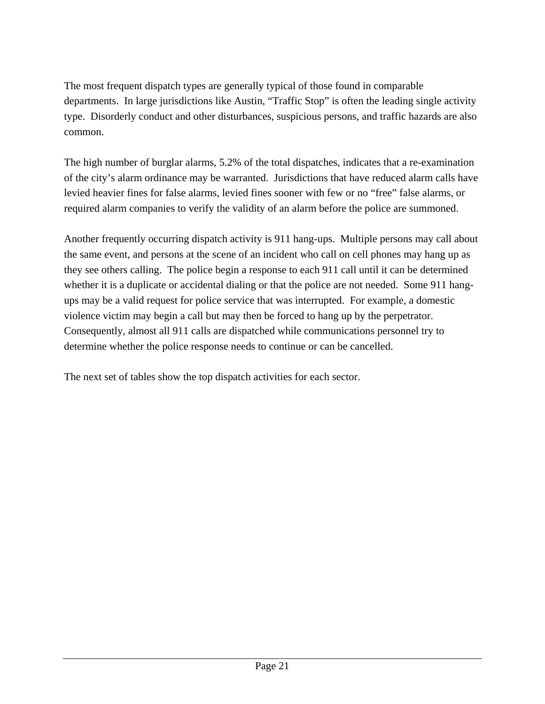The most frequent dispatch types are generally typical of those found in comparable departments. In large jurisdictions like Austin, "Traffic Stop" is often the leading single activity type. Disorderly conduct and other disturbances, suspicious persons, and traffic hazards are also common.

The high number of burglar alarms, 5.2% of the total dispatches, indicates that a re-examination of the city's alarm ordinance may be warranted. Jurisdictions that have reduced alarm calls have levied heavier fines for false alarms, levied fines sooner with few or no "free" false alarms, or required alarm companies to verify the validity of an alarm before the police are summoned.

Another frequently occurring dispatch activity is 911 hang-ups. Multiple persons may call about the same event, and persons at the scene of an incident who call on cell phones may hang up as they see others calling. The police begin a response to each 911 call until it can be determined whether it is a duplicate or accidental dialing or that the police are not needed. Some 911 hangups may be a valid request for police service that was interrupted. For example, a domestic violence victim may begin a call but may then be forced to hang up by the perpetrator. Consequently, almost all 911 calls are dispatched while communications personnel try to determine whether the police response needs to continue or can be cancelled.

The next set of tables show the top dispatch activities for each sector.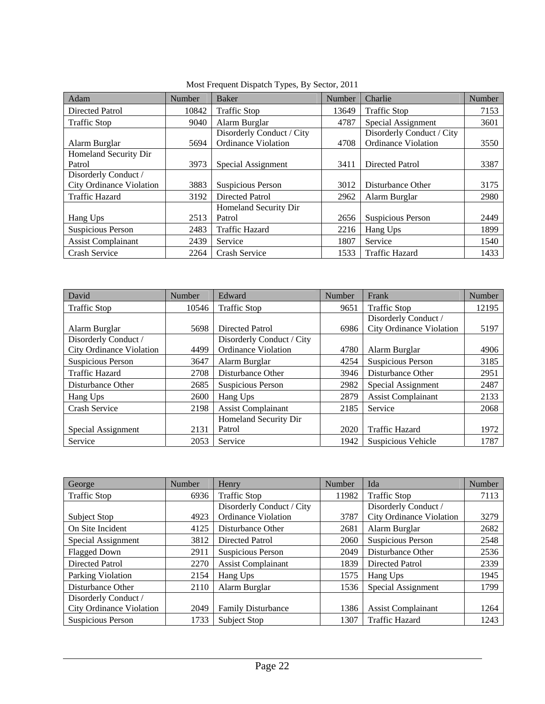| Adam                      | Number | <b>Baker</b>               | Number | Charlie                    | Number |
|---------------------------|--------|----------------------------|--------|----------------------------|--------|
| Directed Patrol           | 10842  | <b>Traffic Stop</b>        | 13649  | <b>Traffic Stop</b>        | 7153   |
| <b>Traffic Stop</b>       | 9040   | Alarm Burglar              | 4787   | Special Assignment         | 3601   |
|                           |        | Disorderly Conduct / City  |        | Disorderly Conduct / City  |        |
| Alarm Burglar             | 5694   | <b>Ordinance Violation</b> | 4708   | <b>Ordinance Violation</b> | 3550   |
| Homeland Security Dir     |        |                            |        |                            |        |
| Patrol                    | 3973   | Special Assignment         | 3411   | Directed Patrol            | 3387   |
| Disorderly Conduct /      |        |                            |        |                            |        |
| City Ordinance Violation  | 3883   | Suspicious Person          | 3012   | Disturbance Other          | 3175   |
| <b>Traffic Hazard</b>     | 3192   | Directed Patrol            | 2962   | Alarm Burglar              | 2980   |
|                           |        | Homeland Security Dir      |        |                            |        |
| Hang Ups                  | 2513   | Patrol                     | 2656   | Suspicious Person          | 2449   |
| Suspicious Person         | 2483   | <b>Traffic Hazard</b>      | 2216   | Hang Ups                   | 1899   |
| <b>Assist Complainant</b> | 2439   | Service                    | 1807   | Service                    | 1540   |
| <b>Crash Service</b>      | 2264   | <b>Crash Service</b>       | 1533   | <b>Traffic Hazard</b>      | 1433   |

Most Frequent Dispatch Types, By Sector, 2011

| David                           | Number | Edward                     | Number | Frank                           | Number |
|---------------------------------|--------|----------------------------|--------|---------------------------------|--------|
| <b>Traffic Stop</b>             | 10546  | <b>Traffic Stop</b>        | 9651   | <b>Traffic Stop</b>             | 12195  |
|                                 |        |                            |        | Disorderly Conduct /            |        |
| Alarm Burglar                   | 5698   | Directed Patrol            | 6986   | <b>City Ordinance Violation</b> | 5197   |
| Disorderly Conduct /            |        | Disorderly Conduct / City  |        |                                 |        |
| <b>City Ordinance Violation</b> | 4499   | <b>Ordinance Violation</b> | 4780   | Alarm Burglar                   | 4906   |
| Suspicious Person               | 3647   | Alarm Burglar              | 4254   | Suspicious Person               | 3185   |
| <b>Traffic Hazard</b>           | 2708   | Disturbance Other          | 3946   | Disturbance Other               | 2951   |
| Disturbance Other               | 2685   | <b>Suspicious Person</b>   | 2982   | Special Assignment              | 2487   |
| Hang Ups                        | 2600   | Hang Ups                   | 2879   | <b>Assist Complainant</b>       | 2133   |
| <b>Crash Service</b>            | 2198   | <b>Assist Complainant</b>  | 2185   | Service                         | 2068   |
|                                 |        | Homeland Security Dir      |        |                                 |        |
| Special Assignment              | 2131   | Patrol                     | 2020   | <b>Traffic Hazard</b>           | 1972   |
| Service                         | 2053   | Service                    | 1942   | Suspicious Vehicle              | 1787   |

| George                          | Number | Henry                      | <b>Number</b> | Ida                       | Number |
|---------------------------------|--------|----------------------------|---------------|---------------------------|--------|
| <b>Traffic Stop</b>             | 6936   | <b>Traffic Stop</b>        | 11982         | <b>Traffic Stop</b>       | 7113   |
|                                 |        | Disorderly Conduct / City  |               | Disorderly Conduct /      |        |
| Subject Stop                    | 4923   | <b>Ordinance Violation</b> | 3787          | City Ordinance Violation  | 3279   |
| On Site Incident                | 4125   | Disturbance Other          | 2681          | Alarm Burglar             | 2682   |
| Special Assignment              | 3812   | Directed Patrol            | 2060          | Suspicious Person         | 2548   |
| <b>Flagged Down</b>             | 2911   | Suspicious Person          | 2049          | Disturbance Other         | 2536   |
| Directed Patrol                 | 2270   | <b>Assist Complainant</b>  | 1839          | Directed Patrol           | 2339   |
| Parking Violation               | 2154   | Hang Ups                   | 1575          | Hang Ups                  | 1945   |
| Disturbance Other               | 2110   | Alarm Burglar              | 1536          | Special Assignment        | 1799   |
| Disorderly Conduct /            |        |                            |               |                           |        |
| <b>City Ordinance Violation</b> | 2049   | <b>Family Disturbance</b>  | 1386          | <b>Assist Complainant</b> | 1264   |
| <b>Suspicious Person</b>        | 1733   | Subject Stop               | 1307          | <b>Traffic Hazard</b>     | 1243   |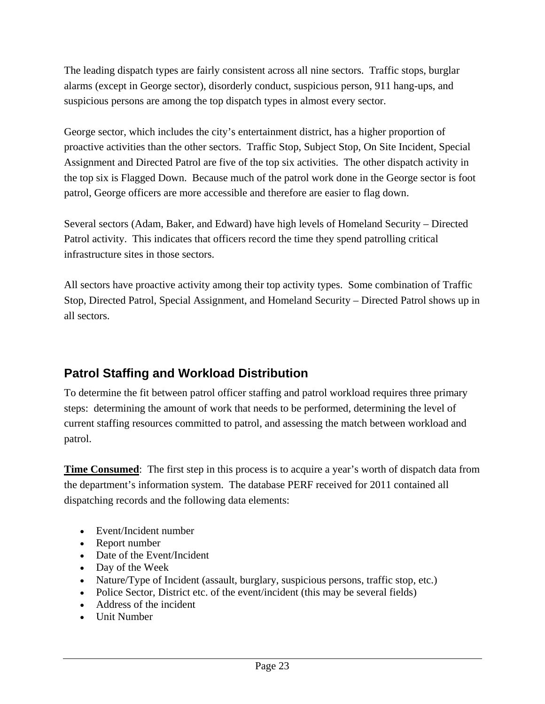The leading dispatch types are fairly consistent across all nine sectors. Traffic stops, burglar alarms (except in George sector), disorderly conduct, suspicious person, 911 hang-ups, and suspicious persons are among the top dispatch types in almost every sector.

George sector, which includes the city's entertainment district, has a higher proportion of proactive activities than the other sectors. Traffic Stop, Subject Stop, On Site Incident, Special Assignment and Directed Patrol are five of the top six activities. The other dispatch activity in the top six is Flagged Down. Because much of the patrol work done in the George sector is foot patrol, George officers are more accessible and therefore are easier to flag down.

Several sectors (Adam, Baker, and Edward) have high levels of Homeland Security – Directed Patrol activity. This indicates that officers record the time they spend patrolling critical infrastructure sites in those sectors.

All sectors have proactive activity among their top activity types. Some combination of Traffic Stop, Directed Patrol, Special Assignment, and Homeland Security – Directed Patrol shows up in all sectors.

## **Patrol Staffing and Workload Distribution**

To determine the fit between patrol officer staffing and patrol workload requires three primary steps: determining the amount of work that needs to be performed, determining the level of current staffing resources committed to patrol, and assessing the match between workload and patrol.

**Time Consumed**: The first step in this process is to acquire a year's worth of dispatch data from the department's information system. The database PERF received for 2011 contained all dispatching records and the following data elements:

- Event/Incident number
- Report number
- Date of the Event/Incident
- Day of the Week
- Nature/Type of Incident (assault, burglary, suspicious persons, traffic stop, etc.)
- Police Sector, District etc. of the event/incident (this may be several fields)
- Address of the incident
- Unit Number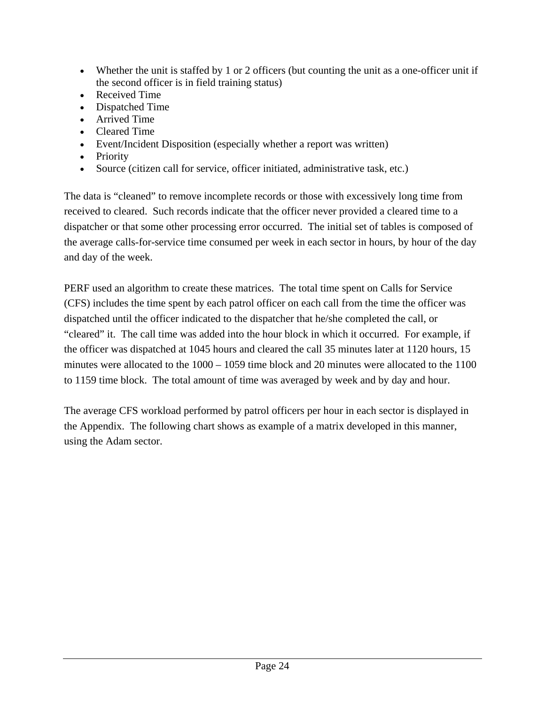- Whether the unit is staffed by 1 or 2 officers (but counting the unit as a one-officer unit if the second officer is in field training status)
- Received Time
- Dispatched Time
- Arrived Time
- Cleared Time
- Event/Incident Disposition (especially whether a report was written)
- Priority
- Source (citizen call for service, officer initiated, administrative task, etc.)

The data is "cleaned" to remove incomplete records or those with excessively long time from received to cleared. Such records indicate that the officer never provided a cleared time to a dispatcher or that some other processing error occurred. The initial set of tables is composed of the average calls-for-service time consumed per week in each sector in hours, by hour of the day and day of the week.

PERF used an algorithm to create these matrices. The total time spent on Calls for Service (CFS) includes the time spent by each patrol officer on each call from the time the officer was dispatched until the officer indicated to the dispatcher that he/she completed the call, or "cleared" it. The call time was added into the hour block in which it occurred. For example, if the officer was dispatched at 1045 hours and cleared the call 35 minutes later at 1120 hours, 15 minutes were allocated to the  $1000 - 1059$  time block and 20 minutes were allocated to the 1100 to 1159 time block. The total amount of time was averaged by week and by day and hour.

The average CFS workload performed by patrol officers per hour in each sector is displayed in the Appendix. The following chart shows as example of a matrix developed in this manner, using the Adam sector.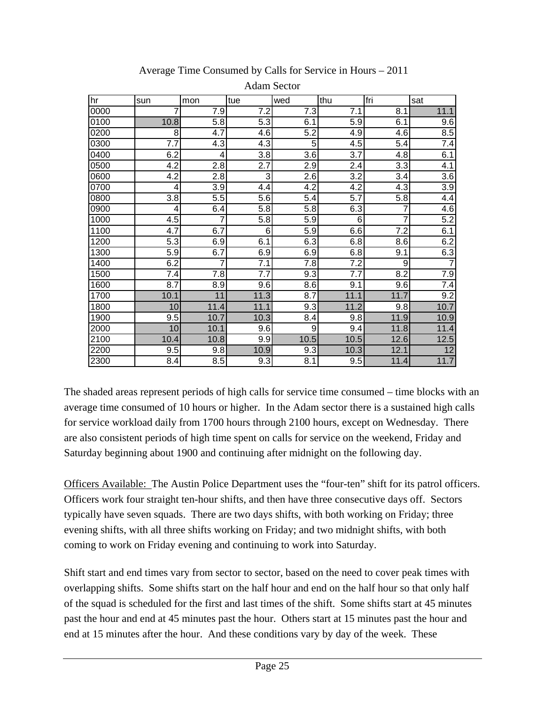| hr   | sun                      | mon              | tue              | wed              | thu            | fri              | sat            |
|------|--------------------------|------------------|------------------|------------------|----------------|------------------|----------------|
| 0000 | 7                        | 7.9              | 7.2              | 7.3              | 7.1            | 8.1              | 11.1           |
| 0100 | 10.8                     | 5.8              | 5.3              | 6.1              | 5.9            | 6.1              | 9.6            |
| 0200 | 8                        | 4.7              | 4.6              | 5.2              | 4.9            | 4.6              | 8.5            |
| 0300 | 7.7                      | 4.3              | 4.3              | 5                | 4.5            | 5.4              | 7.4            |
| 0400 | 6.2                      | 4                | 3.8              | 3.6              | 3.7            | 4.8              | 6.1            |
| 0500 | 4.2                      | 2.8              | $\overline{2.7}$ | 2.9              | 2.4            | 3.3              | 4.1            |
| 0600 | 4.2                      | $\overline{2.8}$ | 3                | $\overline{2.6}$ | 3.2            | $\overline{3.4}$ | 3.6            |
| 0700 | 4                        | 3.9              | 4.4              | 4.2              | 4.2            | 4.3              | 3.9            |
| 0800 | 3.8                      | 5.5              | 5.6              | 5.4              | 5.7            | 5.8              | 4.4            |
| 0900 | $\overline{\mathcal{A}}$ | 6.4              | 5.8              | 5.8              | 6.3            | $\overline{7}$   | 4.6            |
| 1000 | 4.5                      | $\overline{7}$   | 5.8              | 5.9              | $6\phantom{1}$ | $\overline{7}$   | 5.2            |
| 1100 | $\overline{4.7}$         | 6.7              | 6                | 5.9              | 6.6            | 7.2              | 6.1            |
| 1200 | 5.3                      | 6.9              | 6.1              | 6.3              | 6.8            | 8.6              | 6.2            |
| 1300 | 5.9                      | 6.7              | 6.9              | 6.9              | 6.8            | 9.1              | 6.3            |
| 1400 | 6.2                      | $\overline{7}$   | 7.1              | 7.8              | 7.2            | 9                | $\overline{7}$ |
| 1500 | 7.4                      | 7.8              | 7.7              | 9.3              | 7.7            | 8.2              | 7.9            |
| 1600 | 8.7                      | 8.9              | 9.6              | 8.6              | 9.1            | 9.6              | 7.4            |
| 1700 | 10.1                     | 11               | 11.3             | 8.7              | 11.1           | 11.7             | 9.2            |
| 1800 | 10                       | 11.4             | 11.1             | 9.3              | 11.2           | 9.8              | 10.7           |
| 1900 | 9.5                      | 10.7             | 10.3             | 8.4              | 9.8            | 11.9             | 10.9           |
| 2000 | 10                       | 10.1             | 9.6              | 9                | 9.4            | 11.8             | 11.4           |
| 2100 | 10.4                     | 10.8             | 9.9              | 10.5             | 10.5           | 12.6             | 12.5           |
| 2200 | 9.5                      | 9.8              | 10.9             | 9.3              | 10.3           | 12.1             | 12             |
| 2300 | 8.4                      | 8.5              | 9.3              | 8.1              | 9.5            | 11.4             | 11.7           |

Average Time Consumed by Calls for Service in Hours – 2011

Adam Sector

The shaded areas represent periods of high calls for service time consumed – time blocks with an average time consumed of 10 hours or higher. In the Adam sector there is a sustained high calls for service workload daily from 1700 hours through 2100 hours, except on Wednesday. There are also consistent periods of high time spent on calls for service on the weekend, Friday and Saturday beginning about 1900 and continuing after midnight on the following day.

Officers Available: The Austin Police Department uses the "four-ten" shift for its patrol officers. Officers work four straight ten-hour shifts, and then have three consecutive days off. Sectors typically have seven squads. There are two days shifts, with both working on Friday; three evening shifts, with all three shifts working on Friday; and two midnight shifts, with both coming to work on Friday evening and continuing to work into Saturday.

Shift start and end times vary from sector to sector, based on the need to cover peak times with overlapping shifts. Some shifts start on the half hour and end on the half hour so that only half of the squad is scheduled for the first and last times of the shift. Some shifts start at 45 minutes past the hour and end at 45 minutes past the hour. Others start at 15 minutes past the hour and end at 15 minutes after the hour. And these conditions vary by day of the week. These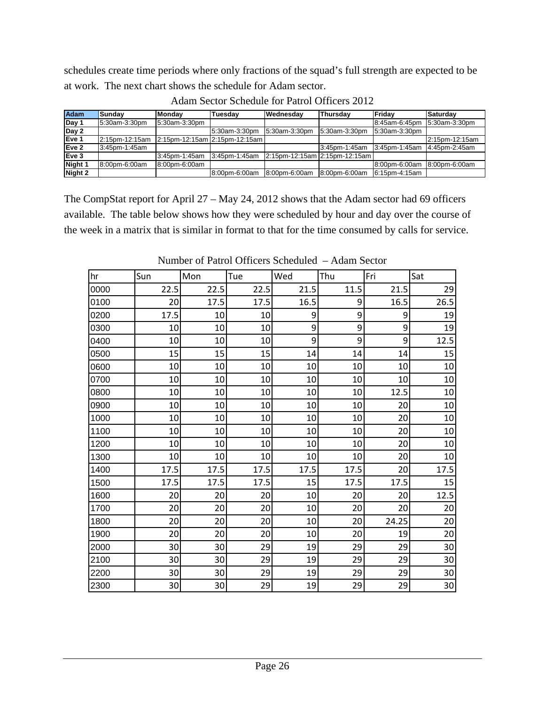schedules create time periods where only fractions of the squad's full strength are expected to be at work. The next chart shows the schedule for Adam sector.

| <b>Adam</b> | Sundav         | <b>Mondav</b> | Tuesdav                          | <b>Wednesday</b> | <b>Thursdav</b>               | <b>IFridav</b> | Saturdav       |
|-------------|----------------|---------------|----------------------------------|------------------|-------------------------------|----------------|----------------|
| Day 1       | 5:30am-3:30pm  | 5:30am-3:30pm |                                  |                  |                               | 8:45am-6:45pm  | 5:30am-3:30pm  |
| Day 2       |                |               | 5:30am-3:30pm                    | 5:30am-3:30pm    | 5:30am-3:30pm                 | 5:30am-3:30pm  |                |
| Eve 1       | 2:15pm-12:15am |               | $2:15$ pm-12:15am 2:15pm-12:15am |                  |                               |                | 2:15pm-12:15am |
| Eve 2       | 3:45pm-1:45am  |               |                                  |                  | 3:45pm-1:45am                 | 3:45pm-1:45am  | 4:45pm-2:45am  |
| Eve 3       |                | 3:45pm-1:45am | 3:45pm-1:45am                    |                  | 2:15pm-12:15am 2:15pm-12:15am |                |                |
| Night 1     | 8:00pm-6:00am  | 8:00pm-6:00am |                                  |                  |                               | 8:00pm-6:00am  | 8:00pm-6:00am  |
| Night 2     |                |               | 8:00pm-6:00am                    | 8:00pm-6:00am    | 8:00pm-6:00am                 | 6:15pm-4:15am  |                |

Adam Sector Schedule for Patrol Officers 2012

The CompStat report for April 27 – May 24, 2012 shows that the Adam sector had 69 officers available. The table below shows how they were scheduled by hour and day over the course of the week in a matrix that is similar in format to that for the time consumed by calls for service.

| hr   | Sun             | Mon             | Tue  | Wed             | Thu              | Fri            | Sat             |
|------|-----------------|-----------------|------|-----------------|------------------|----------------|-----------------|
| 0000 | 22.5            | 22.5            | 22.5 | 21.5            | 11.5             | 21.5           | 29              |
| 0100 | 20              | 17.5            | 17.5 | 16.5            | 9                | 16.5           | 26.5            |
| 0200 | 17.5            | 10              | 10   | $\overline{9}$  | $\boldsymbol{9}$ | 9              | 19              |
| 0300 | 10              | 10              | 10   | $\mathsf{g}$    | 9                | 9              | 19              |
| 0400 | 10              | 10              | 10   | $\vert 9 \vert$ | 9                | $\overline{9}$ | 12.5            |
| 0500 | 15              | 15              | 15   | 14              | 14               | 14             | 15              |
| 0600 | 10              | 10              | 10   | 10              | 10               | 10             | 10              |
| 0700 | 10              | 10              | 10   | 10              | 10               | 10             | 10              |
| 0800 | 10              | 10              | 10   | 10              | 10               | 12.5           | 10              |
| 0900 | 10 <sup>1</sup> | 10              | 10   | 10              | 10               | 20             | 10              |
| 1000 | 10              | 10              | 10   | 10              | 10               | 20             | 10              |
| 1100 | 10 <sup>1</sup> | 10              | 10   | $10\,$          | 10               | 20             | 10              |
| 1200 | 10 <sup>1</sup> | 10              | 10   | 10              | 10               | 20             | 10              |
| 1300 | 10              | 10              | 10   | 10              | 10               | 20             | 10              |
| 1400 | 17.5            | 17.5            | 17.5 | 17.5            | 17.5             | 20             | 17.5            |
| 1500 | 17.5            | 17.5            | 17.5 | 15              | 17.5             | 17.5           | 15              |
| 1600 | 20              | 20              | 20   | 10              | 20               | 20             | 12.5            |
| 1700 | 20              | 20              | 20   | 10              | 20               | 20             | 20              |
| 1800 | 20              | 20              | 20   | 10              | 20               | 24.25          | 20              |
| 1900 | 20              | 20              | 20   | $10\,$          | 20               | 19             | 20              |
| 2000 | 30 <sup>°</sup> | 30              | 29   | 19              | 29               | 29             | 30              |
| 2100 | 30 <sup>°</sup> | 30              | 29   | 19              | 29               | 29             | 30              |
| 2200 | 30 <sup>°</sup> | 30              | 29   | 19              | 29               | 29             | 30              |
| 2300 | 30              | 30 <sup>2</sup> | 29   | 19              | 29               | 29             | 30 <sub>l</sub> |

Number of Patrol Officers Scheduled – Adam Sector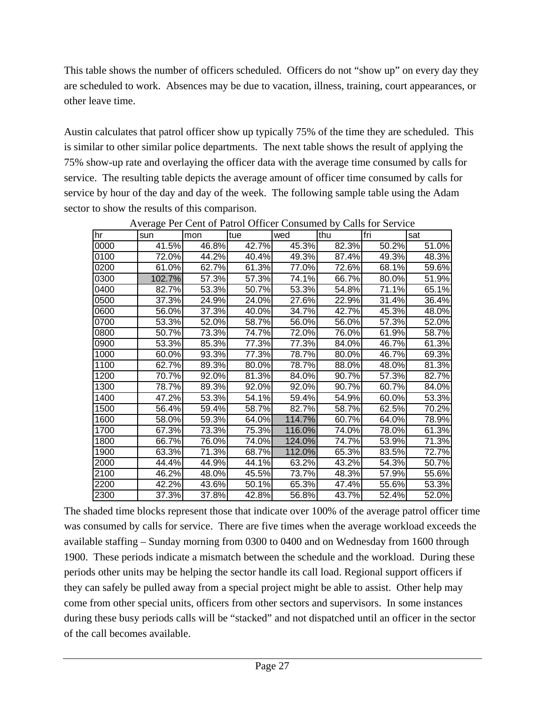This table shows the number of officers scheduled. Officers do not "show up" on every day they are scheduled to work. Absences may be due to vacation, illness, training, court appearances, or other leave time.

Austin calculates that patrol officer show up typically 75% of the time they are scheduled. This is similar to other similar police departments. The next table shows the result of applying the 75% show-up rate and overlaying the officer data with the average time consumed by calls for service. The resulting table depicts the average amount of officer time consumed by calls for service by hour of the day and day of the week. The following sample table using the Adam sector to show the results of this comparison.

| hr   | sun    | mon   | tue      | wed    | thu   | fri                 | sat   |
|------|--------|-------|----------|--------|-------|---------------------|-------|
| 0000 | 41.5%  | 46.8% | 42.7%    | 45.3%  | 82.3% | 50.2%               | 51.0% |
| 0100 | 72.0%  | 44.2% | 40.4%    | 49.3%  | 87.4% | 49.3%               | 48.3% |
| 0200 | 61.0%  | 62.7% | 61.3%    | 77.0%  | 72.6% | 68.1%               | 59.6% |
| 0300 | 102.7% | 57.3% | 57.3%    | 74.1%  | 66.7% | 80.0%               | 51.9% |
| 0400 | 82.7%  | 53.3% | 50.7%    | 53.3%  | 54.8% | 71.1%               | 65.1% |
| 0500 | 37.3%  | 24.9% | 24.0%    | 27.6%  | 22.9% | $31.\overline{4\%}$ | 36.4% |
| 0600 | 56.0%  | 37.3% | 40.0%    | 34.7%  | 42.7% | 45.3%               | 48.0% |
| 0700 | 53.3%  | 52.0% | 58.7%    | 56.0%  | 56.0% | 57.3%               | 52.0% |
| 0800 | 50.7%  | 73.3% | 74.7%    | 72.0%  | 76.0% | 61.9%               | 58.7% |
| 0900 | 53.3%  | 85.3% | 77.3%    | 77.3%  | 84.0% | 46.7%               | 61.3% |
| 1000 | 60.0%  | 93.3% | 77.3%    | 78.7%  | 80.0% | 46.7%               | 69.3% |
| 1100 | 62.7%  | 89.3% | $80.0\%$ | 78.7%  | 88.0% | 48.0%               | 81.3% |
| 1200 | 70.7%  | 92.0% | 81.3%    | 84.0%  | 90.7% | 57.3%               | 82.7% |
| 1300 | 78.7%  | 89.3% | 92.0%    | 92.0%  | 90.7% | 60.7%               | 84.0% |
| 1400 | 47.2%  | 53.3% | 54.1%    | 59.4%  | 54.9% | 60.0%               | 53.3% |
| 1500 | 56.4%  | 59.4% | 58.7%    | 82.7%  | 58.7% | 62.5%               | 70.2% |
| 1600 | 58.0%  | 59.3% | 64.0%    | 114.7% | 60.7% | 64.0%               | 78.9% |
| 1700 | 67.3%  | 73.3% | 75.3%    | 116.0% | 74.0% | 78.0%               | 61.3% |
| 1800 | 66.7%  | 76.0% | 74.0%    | 124.0% | 74.7% | 53.9%               | 71.3% |
| 1900 | 63.3%  | 71.3% | 68.7%    | 112.0% | 65.3% | 83.5%               | 72.7% |
| 2000 | 44.4%  | 44.9% | 44.1%    | 63.2%  | 43.2% | 54.3%               | 50.7% |
| 2100 | 46.2%  | 48.0% | 45.5%    | 73.7%  | 48.3% | 57.9%               | 55.6% |
| 2200 | 42.2%  | 43.6% | 50.1%    | 65.3%  | 47.4% | 55.6%               | 53.3% |
| 2300 | 37.3%  | 37.8% | 42.8%    | 56.8%  | 43.7% | 52.4%               | 52.0% |

Average Per Cent of Patrol Officer Consumed by Calls for Service

The shaded time blocks represent those that indicate over 100% of the average patrol officer time was consumed by calls for service. There are five times when the average workload exceeds the available staffing – Sunday morning from 0300 to 0400 and on Wednesday from 1600 through 1900. These periods indicate a mismatch between the schedule and the workload. During these periods other units may be helping the sector handle its call load. Regional support officers if they can safely be pulled away from a special project might be able to assist. Other help may come from other special units, officers from other sectors and supervisors. In some instances during these busy periods calls will be "stacked" and not dispatched until an officer in the sector of the call becomes available.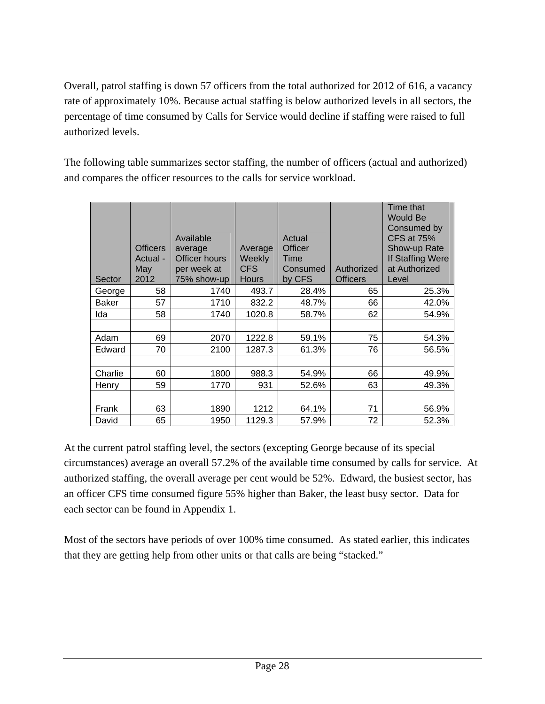Overall, patrol staffing is down 57 officers from the total authorized for 2012 of 616, a vacancy rate of approximately 10%. Because actual staffing is below authorized levels in all sectors, the percentage of time consumed by Calls for Service would decline if staffing were raised to full authorized levels.

The following table summarizes sector staffing, the number of officers (actual and authorized) and compares the officer resources to the calls for service workload.

| Sector       | <b>Officers</b><br>Actual -<br>May<br>2012 | Available<br>average<br><b>Officer hours</b><br>per week at<br>75% show-up | Average<br>Weekly<br><b>CFS</b><br><b>Hours</b> | Actual<br><b>Officer</b><br>Time<br>Consumed<br>by CFS | Authorized<br><b>Officers</b> | Time that<br><b>Would Be</b><br>Consumed by<br><b>CFS at 75%</b><br>Show-up Rate<br>If Staffing Were<br>at Authorized<br>Level |
|--------------|--------------------------------------------|----------------------------------------------------------------------------|-------------------------------------------------|--------------------------------------------------------|-------------------------------|--------------------------------------------------------------------------------------------------------------------------------|
| George       | 58                                         | 1740                                                                       | 493.7                                           | 28.4%                                                  | 65                            | 25.3%                                                                                                                          |
| <b>Baker</b> | 57                                         | 1710                                                                       | 832.2                                           | 48.7%                                                  | 66                            | 42.0%                                                                                                                          |
| Ida          | 58                                         | 1740                                                                       | 1020.8                                          | 58.7%                                                  | 62                            | 54.9%                                                                                                                          |
|              |                                            |                                                                            |                                                 |                                                        |                               |                                                                                                                                |
| Adam         | 69                                         | 2070                                                                       | 1222.8                                          | 59.1%                                                  | 75                            | 54.3%                                                                                                                          |
| Edward       | 70                                         | 2100                                                                       | 1287.3                                          | 61.3%                                                  | 76                            | 56.5%                                                                                                                          |
|              |                                            |                                                                            |                                                 |                                                        |                               |                                                                                                                                |
| Charlie      | 60                                         | 1800                                                                       | 988.3                                           | 54.9%                                                  | 66                            | 49.9%                                                                                                                          |
| Henry        | 59                                         | 1770                                                                       | 931                                             | 52.6%                                                  | 63                            | 49.3%                                                                                                                          |
|              |                                            |                                                                            |                                                 |                                                        |                               |                                                                                                                                |
| Frank        | 63                                         | 1890                                                                       | 1212                                            | 64.1%                                                  | 71                            | 56.9%                                                                                                                          |
| David        | 65                                         | 1950                                                                       | 1129.3                                          | 57.9%                                                  | 72                            | 52.3%                                                                                                                          |

At the current patrol staffing level, the sectors (excepting George because of its special circumstances) average an overall 57.2% of the available time consumed by calls for service. At authorized staffing, the overall average per cent would be 52%. Edward, the busiest sector, has an officer CFS time consumed figure 55% higher than Baker, the least busy sector. Data for each sector can be found in Appendix 1.

Most of the sectors have periods of over 100% time consumed. As stated earlier, this indicates that they are getting help from other units or that calls are being "stacked."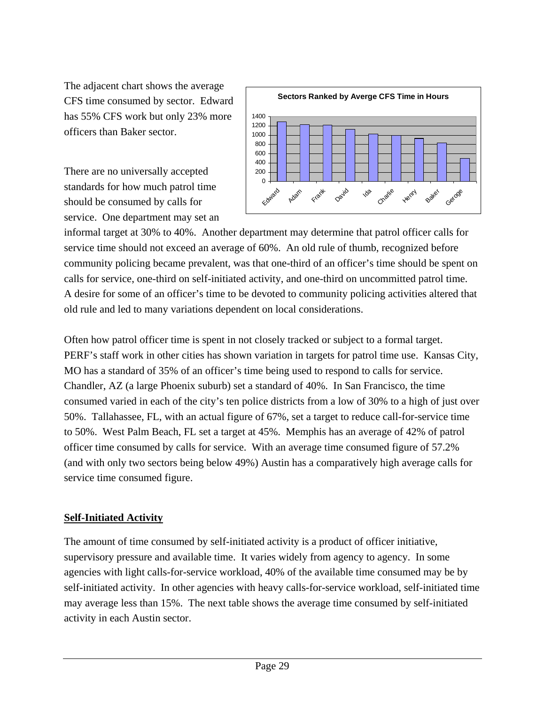The adjacent chart shows the average CFS time consumed by sector. Edward has 55% CFS work but only 23% more officers than Baker sector.

There are no universally accepted standards for how much patrol time should be consumed by calls for service. One department may set an



informal target at 30% to 40%. Another department may determine that patrol officer calls for service time should not exceed an average of 60%. An old rule of thumb, recognized before community policing became prevalent, was that one-third of an officer's time should be spent on calls for service, one-third on self-initiated activity, and one-third on uncommitted patrol time. A desire for some of an officer's time to be devoted to community policing activities altered that old rule and led to many variations dependent on local considerations.

Often how patrol officer time is spent in not closely tracked or subject to a formal target. PERF's staff work in other cities has shown variation in targets for patrol time use. Kansas City, MO has a standard of 35% of an officer's time being used to respond to calls for service. Chandler, AZ (a large Phoenix suburb) set a standard of 40%. In San Francisco, the time consumed varied in each of the city's ten police districts from a low of 30% to a high of just over 50%. Tallahassee, FL, with an actual figure of 67%, set a target to reduce call-for-service time to 50%. West Palm Beach, FL set a target at 45%. Memphis has an average of 42% of patrol officer time consumed by calls for service. With an average time consumed figure of 57.2% (and with only two sectors being below 49%) Austin has a comparatively high average calls for service time consumed figure.

### **Self-Initiated Activity**

The amount of time consumed by self-initiated activity is a product of officer initiative, supervisory pressure and available time. It varies widely from agency to agency. In some agencies with light calls-for-service workload, 40% of the available time consumed may be by self-initiated activity. In other agencies with heavy calls-for-service workload, self-initiated time may average less than 15%. The next table shows the average time consumed by self-initiated activity in each Austin sector.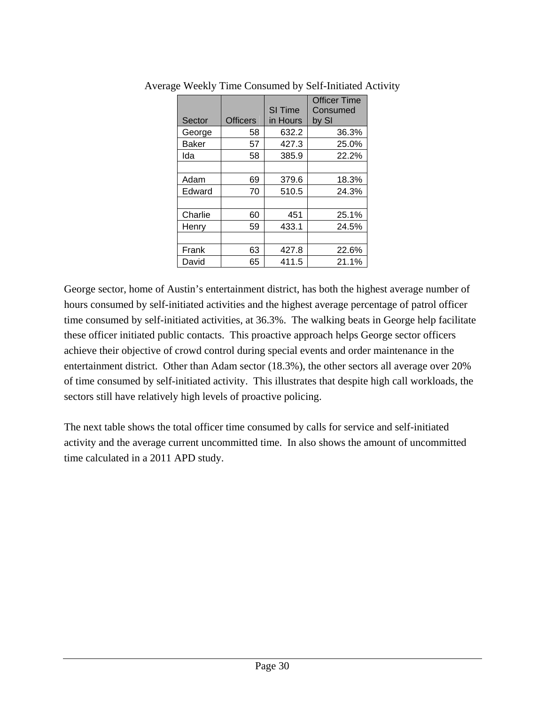| Sector       | <b>Officers</b> | <b>SI Time</b><br>in Hours | <b>Officer Time</b><br>Consumed<br>by SI |
|--------------|-----------------|----------------------------|------------------------------------------|
| George       | 58              | 632.2                      | 36.3%                                    |
| <b>Baker</b> | 57              | 427.3                      | 25.0%                                    |
| Ida          | 58              | 385.9                      | 22.2%                                    |
|              |                 |                            |                                          |
| Adam         | 69              | 379.6                      | 18.3%                                    |
| Edward       | 70              | 510.5                      | 24.3%                                    |
|              |                 |                            |                                          |
| Charlie      | 60              | 451                        | 25.1%                                    |
| Henry        | 59              | 433.1                      | 24.5%                                    |
|              |                 |                            |                                          |
| Frank        | 63              | 427.8                      | 22.6%                                    |
| David        | 65              | 411.5                      | 21.1%                                    |

Average Weekly Time Consumed by Self-Initiated Activity

George sector, home of Austin's entertainment district, has both the highest average number of hours consumed by self-initiated activities and the highest average percentage of patrol officer time consumed by self-initiated activities, at 36.3%. The walking beats in George help facilitate these officer initiated public contacts. This proactive approach helps George sector officers achieve their objective of crowd control during special events and order maintenance in the entertainment district. Other than Adam sector (18.3%), the other sectors all average over 20% of time consumed by self-initiated activity. This illustrates that despite high call workloads, the sectors still have relatively high levels of proactive policing.

The next table shows the total officer time consumed by calls for service and self-initiated activity and the average current uncommitted time. In also shows the amount of uncommitted time calculated in a 2011 APD study.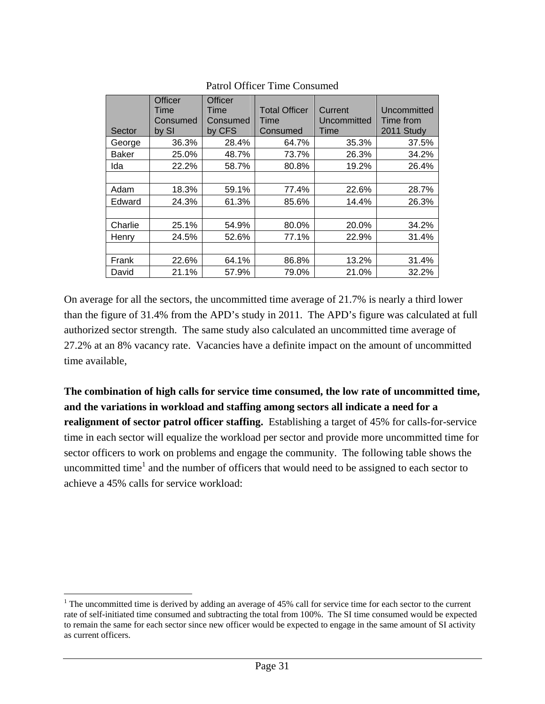| Sector       | Officer<br>Time<br>Consumed<br>by SI | <b>Officer</b><br>Time<br>Consumed<br>by CFS | <b>Total Officer</b><br>Time<br>Consumed | Current<br>Uncommitted<br>Time | Uncommitted<br>Time from<br>2011 Study |
|--------------|--------------------------------------|----------------------------------------------|------------------------------------------|--------------------------------|----------------------------------------|
| George       | 36.3%                                | 28.4%                                        | 64.7%                                    | 35.3%                          | 37.5%                                  |
| <b>Baker</b> | 25.0%                                | 48.7%                                        | 73.7%                                    | 26.3%                          | 34.2%                                  |
| Ida          | 22.2%                                | 58.7%                                        | 80.8%                                    | 19.2%                          | 26.4%                                  |
|              |                                      |                                              |                                          |                                |                                        |
| Adam         | 18.3%                                | 59.1%                                        | 77.4%                                    | 22.6%                          | 28.7%                                  |
| Edward       | 24.3%                                | 61.3%                                        | 85.6%                                    | 14.4%                          | 26.3%                                  |
|              |                                      |                                              |                                          |                                |                                        |
| Charlie      | 25.1%                                | 54.9%                                        | 80.0%                                    | 20.0%                          | 34.2%                                  |
| Henry        | 24.5%                                | 52.6%                                        | 77.1%                                    | 22.9%                          | 31.4%                                  |
|              |                                      |                                              |                                          |                                |                                        |
| Frank        | 22.6%                                | 64.1%                                        | 86.8%                                    | 13.2%                          | 31.4%                                  |
| David        | 21.1%                                | 57.9%                                        | 79.0%                                    | 21.0%                          | 32.2%                                  |

### Patrol Officer Time Consumed

On average for all the sectors, the uncommitted time average of 21.7% is nearly a third lower than the figure of 31.4% from the APD's study in 2011. The APD's figure was calculated at full authorized sector strength. The same study also calculated an uncommitted time average of 27.2% at an 8% vacancy rate. Vacancies have a definite impact on the amount of uncommitted time available,

**The combination of high calls for service time consumed, the low rate of uncommitted time, and the variations in workload and staffing among sectors all indicate a need for a realignment of sector patrol officer staffing.** Establishing a target of 45% for calls-for-service time in each sector will equalize the workload per sector and provide more uncommitted time for sector officers to work on problems and engage the community. The following table shows the uncommitted time<sup>1</sup> and the number of officers that would need to be assigned to each sector to achieve a 45% calls for service workload:

 $\overline{a}$ 

<sup>&</sup>lt;sup>1</sup> The uncommitted time is derived by adding an average of 45% call for service time for each sector to the current rate of self-initiated time consumed and subtracting the total from 100%. The SI time consumed would be expected to remain the same for each sector since new officer would be expected to engage in the same amount of SI activity as current officers.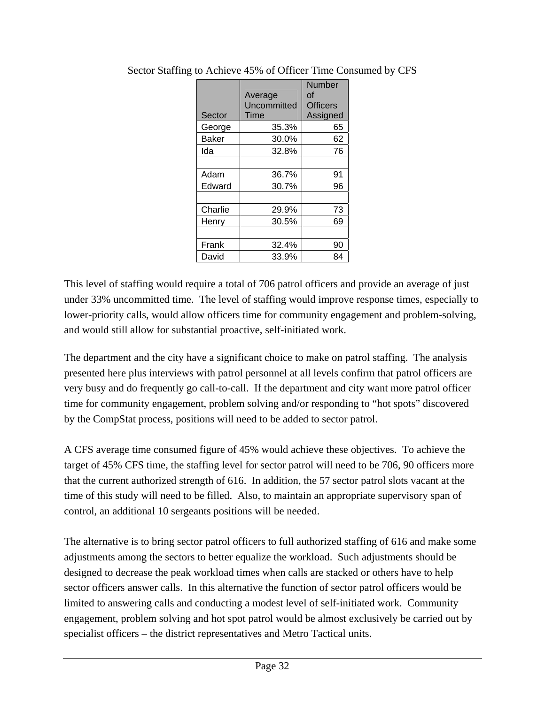| Sector       | Average<br>Uncommitted<br>Time | <b>Number</b><br>οf<br><b>Officers</b><br>Assigned |
|--------------|--------------------------------|----------------------------------------------------|
| George       | 35.3%                          | 65                                                 |
| <b>Baker</b> | 30.0%                          | 62                                                 |
| Ida          | 32.8%                          | 76                                                 |
|              |                                |                                                    |
| Adam         | 36.7%                          | 91                                                 |
| Edward       | 30.7%                          | 96                                                 |
|              |                                |                                                    |
| Charlie      | 29.9%                          | 73                                                 |
| Henry        | 30.5%                          | 69                                                 |
|              |                                |                                                    |
| Frank        | 32.4%                          | 90                                                 |
| David        | 33.9%                          | 84                                                 |

Sector Staffing to Achieve 45% of Officer Time Consumed by CFS

This level of staffing would require a total of 706 patrol officers and provide an average of just under 33% uncommitted time. The level of staffing would improve response times, especially to lower-priority calls, would allow officers time for community engagement and problem-solving, and would still allow for substantial proactive, self-initiated work.

The department and the city have a significant choice to make on patrol staffing. The analysis presented here plus interviews with patrol personnel at all levels confirm that patrol officers are very busy and do frequently go call-to-call. If the department and city want more patrol officer time for community engagement, problem solving and/or responding to "hot spots" discovered by the CompStat process, positions will need to be added to sector patrol.

A CFS average time consumed figure of 45% would achieve these objectives. To achieve the target of 45% CFS time, the staffing level for sector patrol will need to be 706, 90 officers more that the current authorized strength of 616. In addition, the 57 sector patrol slots vacant at the time of this study will need to be filled. Also, to maintain an appropriate supervisory span of control, an additional 10 sergeants positions will be needed.

The alternative is to bring sector patrol officers to full authorized staffing of 616 and make some adjustments among the sectors to better equalize the workload. Such adjustments should be designed to decrease the peak workload times when calls are stacked or others have to help sector officers answer calls. In this alternative the function of sector patrol officers would be limited to answering calls and conducting a modest level of self-initiated work. Community engagement, problem solving and hot spot patrol would be almost exclusively be carried out by specialist officers – the district representatives and Metro Tactical units.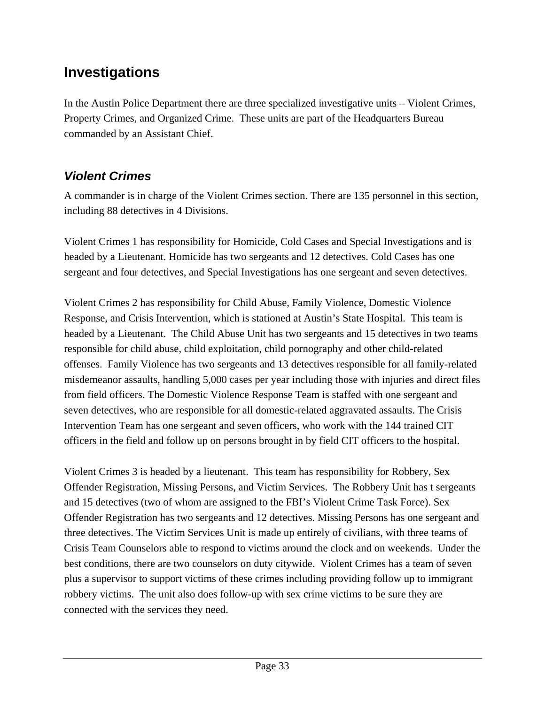# **Investigations**

In the Austin Police Department there are three specialized investigative units – Violent Crimes, Property Crimes, and Organized Crime. These units are part of the Headquarters Bureau commanded by an Assistant Chief.

# *Violent Crimes*

A commander is in charge of the Violent Crimes section. There are 135 personnel in this section, including 88 detectives in 4 Divisions.

Violent Crimes 1 has responsibility for Homicide, Cold Cases and Special Investigations and is headed by a Lieutenant. Homicide has two sergeants and 12 detectives. Cold Cases has one sergeant and four detectives, and Special Investigations has one sergeant and seven detectives.

Violent Crimes 2 has responsibility for Child Abuse, Family Violence, Domestic Violence Response, and Crisis Intervention, which is stationed at Austin's State Hospital. This team is headed by a Lieutenant. The Child Abuse Unit has two sergeants and 15 detectives in two teams responsible for child abuse, child exploitation, child pornography and other child-related offenses. Family Violence has two sergeants and 13 detectives responsible for all family-related misdemeanor assaults, handling 5,000 cases per year including those with injuries and direct files from field officers. The Domestic Violence Response Team is staffed with one sergeant and seven detectives, who are responsible for all domestic-related aggravated assaults. The Crisis Intervention Team has one sergeant and seven officers, who work with the 144 trained CIT officers in the field and follow up on persons brought in by field CIT officers to the hospital.

Violent Crimes 3 is headed by a lieutenant. This team has responsibility for Robbery, Sex Offender Registration, Missing Persons, and Victim Services. The Robbery Unit has t sergeants and 15 detectives (two of whom are assigned to the FBI's Violent Crime Task Force). Sex Offender Registration has two sergeants and 12 detectives. Missing Persons has one sergeant and three detectives. The Victim Services Unit is made up entirely of civilians, with three teams of Crisis Team Counselors able to respond to victims around the clock and on weekends. Under the best conditions, there are two counselors on duty citywide. Violent Crimes has a team of seven plus a supervisor to support victims of these crimes including providing follow up to immigrant robbery victims. The unit also does follow-up with sex crime victims to be sure they are connected with the services they need.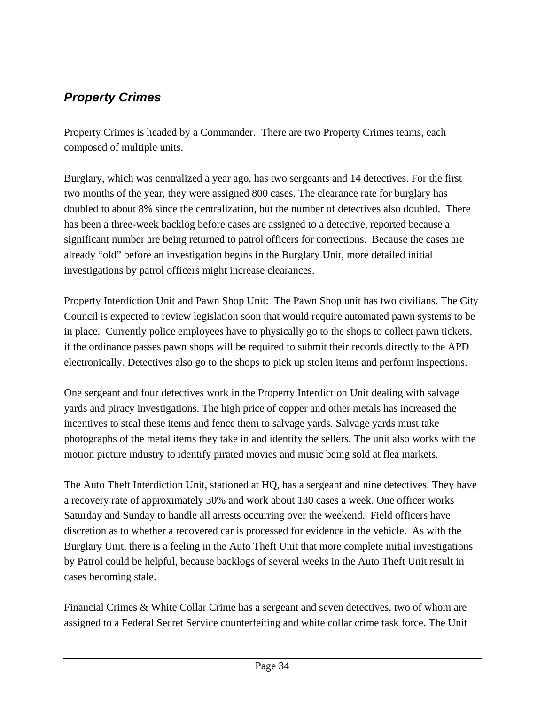# *Property Crimes*

Property Crimes is headed by a Commander. There are two Property Crimes teams, each composed of multiple units.

Burglary, which was centralized a year ago, has two sergeants and 14 detectives. For the first two months of the year, they were assigned 800 cases. The clearance rate for burglary has doubled to about 8% since the centralization, but the number of detectives also doubled. There has been a three-week backlog before cases are assigned to a detective, reported because a significant number are being returned to patrol officers for corrections. Because the cases are already "old" before an investigation begins in the Burglary Unit, more detailed initial investigations by patrol officers might increase clearances.

Property Interdiction Unit and Pawn Shop Unit: The Pawn Shop unit has two civilians. The City Council is expected to review legislation soon that would require automated pawn systems to be in place. Currently police employees have to physically go to the shops to collect pawn tickets, if the ordinance passes pawn shops will be required to submit their records directly to the APD electronically. Detectives also go to the shops to pick up stolen items and perform inspections.

One sergeant and four detectives work in the Property Interdiction Unit dealing with salvage yards and piracy investigations. The high price of copper and other metals has increased the incentives to steal these items and fence them to salvage yards. Salvage yards must take photographs of the metal items they take in and identify the sellers. The unit also works with the motion picture industry to identify pirated movies and music being sold at flea markets.

The Auto Theft Interdiction Unit, stationed at HQ, has a sergeant and nine detectives. They have a recovery rate of approximately 30% and work about 130 cases a week. One officer works Saturday and Sunday to handle all arrests occurring over the weekend. Field officers have discretion as to whether a recovered car is processed for evidence in the vehicle. As with the Burglary Unit, there is a feeling in the Auto Theft Unit that more complete initial investigations by Patrol could be helpful, because backlogs of several weeks in the Auto Theft Unit result in cases becoming stale.

Financial Crimes & White Collar Crime has a sergeant and seven detectives, two of whom are assigned to a Federal Secret Service counterfeiting and white collar crime task force. The Unit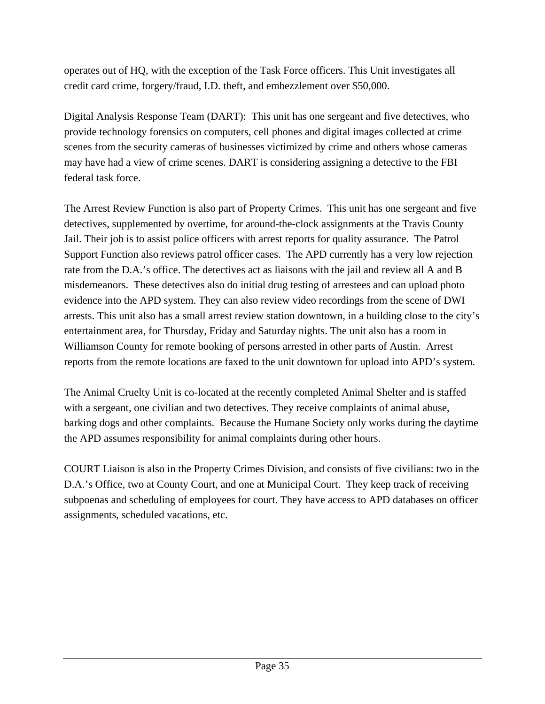operates out of HQ, with the exception of the Task Force officers. This Unit investigates all credit card crime, forgery/fraud, I.D. theft, and embezzlement over \$50,000.

Digital Analysis Response Team (DART): This unit has one sergeant and five detectives, who provide technology forensics on computers, cell phones and digital images collected at crime scenes from the security cameras of businesses victimized by crime and others whose cameras may have had a view of crime scenes. DART is considering assigning a detective to the FBI federal task force.

The Arrest Review Function is also part of Property Crimes. This unit has one sergeant and five detectives, supplemented by overtime, for around-the-clock assignments at the Travis County Jail. Their job is to assist police officers with arrest reports for quality assurance. The Patrol Support Function also reviews patrol officer cases. The APD currently has a very low rejection rate from the D.A.'s office. The detectives act as liaisons with the jail and review all A and B misdemeanors. These detectives also do initial drug testing of arrestees and can upload photo evidence into the APD system. They can also review video recordings from the scene of DWI arrests. This unit also has a small arrest review station downtown, in a building close to the city's entertainment area, for Thursday, Friday and Saturday nights. The unit also has a room in Williamson County for remote booking of persons arrested in other parts of Austin. Arrest reports from the remote locations are faxed to the unit downtown for upload into APD's system.

The Animal Cruelty Unit is co-located at the recently completed Animal Shelter and is staffed with a sergeant, one civilian and two detectives. They receive complaints of animal abuse, barking dogs and other complaints. Because the Humane Society only works during the daytime the APD assumes responsibility for animal complaints during other hours.

COURT Liaison is also in the Property Crimes Division, and consists of five civilians: two in the D.A.'s Office, two at County Court, and one at Municipal Court. They keep track of receiving subpoenas and scheduling of employees for court. They have access to APD databases on officer assignments, scheduled vacations, etc.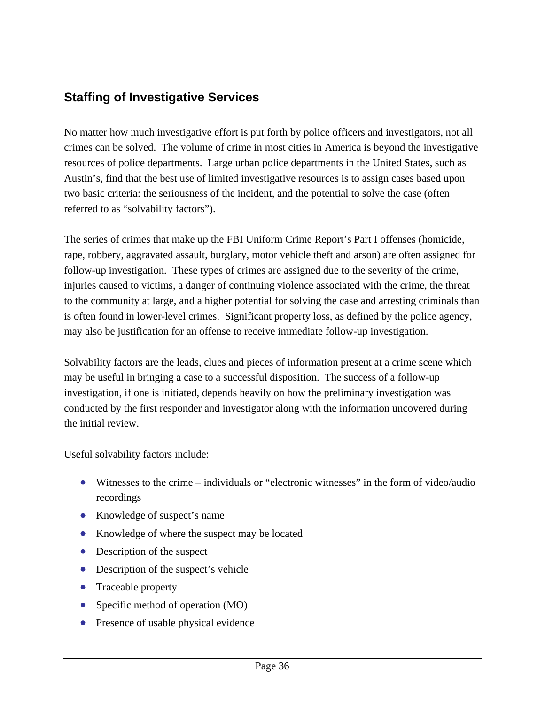# **Staffing of Investigative Services**

No matter how much investigative effort is put forth by police officers and investigators, not all crimes can be solved. The volume of crime in most cities in America is beyond the investigative resources of police departments. Large urban police departments in the United States, such as Austin's, find that the best use of limited investigative resources is to assign cases based upon two basic criteria: the seriousness of the incident, and the potential to solve the case (often referred to as "solvability factors").

The series of crimes that make up the FBI Uniform Crime Report's Part I offenses (homicide, rape, robbery, aggravated assault, burglary, motor vehicle theft and arson) are often assigned for follow-up investigation. These types of crimes are assigned due to the severity of the crime, injuries caused to victims, a danger of continuing violence associated with the crime, the threat to the community at large, and a higher potential for solving the case and arresting criminals than is often found in lower-level crimes. Significant property loss, as defined by the police agency, may also be justification for an offense to receive immediate follow-up investigation.

Solvability factors are the leads, clues and pieces of information present at a crime scene which may be useful in bringing a case to a successful disposition. The success of a follow-up investigation, if one is initiated, depends heavily on how the preliminary investigation was conducted by the first responder and investigator along with the information uncovered during the initial review.

Useful solvability factors include:

- Witnesses to the crime individuals or "electronic witnesses" in the form of video/audio recordings
- Knowledge of suspect's name
- Knowledge of where the suspect may be located
- Description of the suspect
- Description of the suspect's vehicle
- Traceable property
- Specific method of operation (MO)
- Presence of usable physical evidence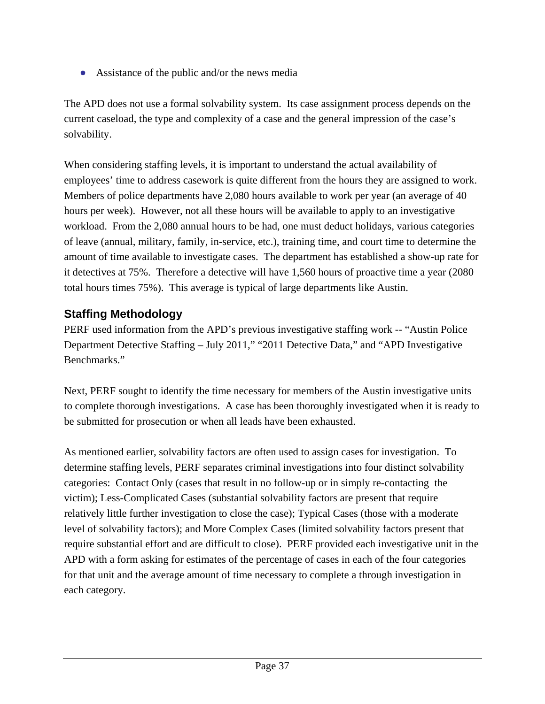• Assistance of the public and/or the news media

The APD does not use a formal solvability system. Its case assignment process depends on the current caseload, the type and complexity of a case and the general impression of the case's solvability.

When considering staffing levels, it is important to understand the actual availability of employees' time to address casework is quite different from the hours they are assigned to work. Members of police departments have 2,080 hours available to work per year (an average of 40 hours per week). However, not all these hours will be available to apply to an investigative workload. From the 2,080 annual hours to be had, one must deduct holidays, various categories of leave (annual, military, family, in-service, etc.), training time, and court time to determine the amount of time available to investigate cases. The department has established a show-up rate for it detectives at 75%. Therefore a detective will have 1,560 hours of proactive time a year (2080 total hours times 75%). This average is typical of large departments like Austin.

# **Staffing Methodology**

PERF used information from the APD's previous investigative staffing work -- "Austin Police Department Detective Staffing – July 2011," "2011 Detective Data," and "APD Investigative Benchmarks."

Next, PERF sought to identify the time necessary for members of the Austin investigative units to complete thorough investigations. A case has been thoroughly investigated when it is ready to be submitted for prosecution or when all leads have been exhausted.

As mentioned earlier, solvability factors are often used to assign cases for investigation. To determine staffing levels, PERF separates criminal investigations into four distinct solvability categories: Contact Only (cases that result in no follow-up or in simply re-contacting the victim); Less-Complicated Cases (substantial solvability factors are present that require relatively little further investigation to close the case); Typical Cases (those with a moderate level of solvability factors); and More Complex Cases (limited solvability factors present that require substantial effort and are difficult to close). PERF provided each investigative unit in the APD with a form asking for estimates of the percentage of cases in each of the four categories for that unit and the average amount of time necessary to complete a through investigation in each category.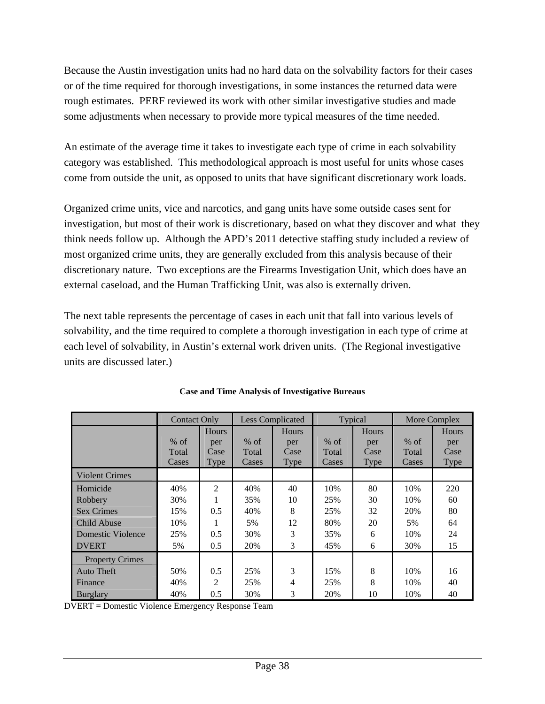Because the Austin investigation units had no hard data on the solvability factors for their cases or of the time required for thorough investigations, in some instances the returned data were rough estimates. PERF reviewed its work with other similar investigative studies and made some adjustments when necessary to provide more typical measures of the time needed.

An estimate of the average time it takes to investigate each type of crime in each solvability category was established. This methodological approach is most useful for units whose cases come from outside the unit, as opposed to units that have significant discretionary work loads.

Organized crime units, vice and narcotics, and gang units have some outside cases sent for investigation, but most of their work is discretionary, based on what they discover and what they think needs follow up. Although the APD's 2011 detective staffing study included a review of most organized crime units, they are generally excluded from this analysis because of their discretionary nature. Two exceptions are the Firearms Investigation Unit, which does have an external caseload, and the Human Trafficking Unit, was also is externally driven.

The next table represents the percentage of cases in each unit that fall into various levels of solvability, and the time required to complete a thorough investigation in each type of crime at each level of solvability, in Austin's external work driven units. (The Regional investigative units are discussed later.)

|                        | <b>Contact Only</b> |                | <b>Less Complicated</b> |              | Typical |              | More Complex |             |
|------------------------|---------------------|----------------|-------------------------|--------------|---------|--------------|--------------|-------------|
|                        |                     | Hours          |                         | <b>Hours</b> |         | <b>Hours</b> |              | Hours       |
|                        | $%$ of              | per            | $%$ of                  | per          | $%$ of  | per          | $%$ of       | per         |
|                        | Total               | Case           | Total                   | Case         | Total   | Case         | Total        | Case        |
|                        | Cases               | Type           | Cases                   | Type         | Cases   | Type         | Cases        | <b>Type</b> |
| <b>Violent Crimes</b>  |                     |                |                         |              |         |              |              |             |
| Homicide               | 40%                 | $\overline{2}$ | 40%                     | 40           | 10%     | 80           | 10%          | 220         |
| Robbery                | 30%                 |                | 35%                     | 10           | 25%     | 30           | 10%          | 60          |
| <b>Sex Crimes</b>      | 15%                 | 0.5            | 40%                     | 8            | 25%     | 32           | 20%          | 80          |
| Child Abuse            | 10%                 |                | 5%                      | 12           | 80%     | 20           | 5%           | 64          |
| Domestic Violence      | 25%                 | 0.5            | 30%                     | 3            | 35%     | 6            | 10%          | 24          |
| <b>DVERT</b>           | 5%                  | 0.5            | 20%                     | 3            | 45%     | 6            | 30%          | 15          |
| <b>Property Crimes</b> |                     |                |                         |              |         |              |              |             |
| <b>Auto Theft</b>      | 50%                 | 0.5            | 25%                     | 3            | 15%     | 8            | 10%          | 16          |
| Finance                | 40%                 | 2              | 25%                     | 4            | 25%     | 8            | 10%          | 40          |
| <b>Burglary</b>        | 40%                 | 0.5            | 30%                     | 3            | 20%     | 10           | 10%          | 40          |

| <b>Case and Time Analysis of Investigative Bureaus</b> |  |  |
|--------------------------------------------------------|--|--|
|--------------------------------------------------------|--|--|

DVERT = Domestic Violence Emergency Response Team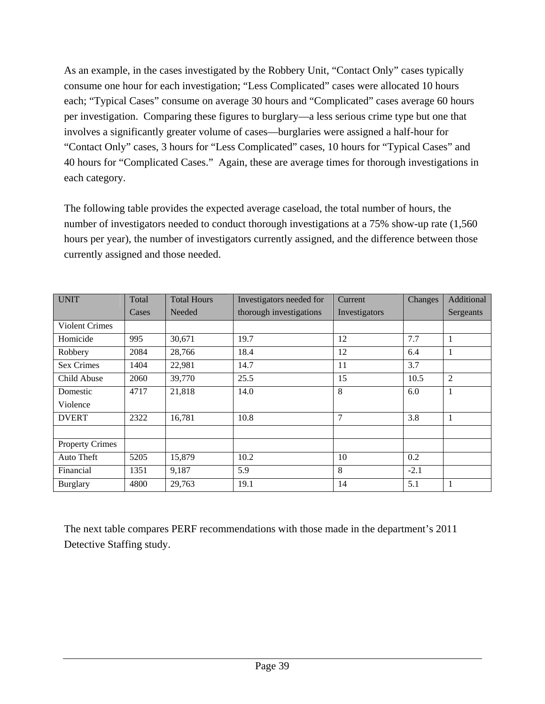As an example, in the cases investigated by the Robbery Unit, "Contact Only" cases typically consume one hour for each investigation; "Less Complicated" cases were allocated 10 hours each; "Typical Cases" consume on average 30 hours and "Complicated" cases average 60 hours per investigation. Comparing these figures to burglary—a less serious crime type but one that involves a significantly greater volume of cases—burglaries were assigned a half-hour for "Contact Only" cases, 3 hours for "Less Complicated" cases, 10 hours for "Typical Cases" and 40 hours for "Complicated Cases." Again, these are average times for thorough investigations in each category.

The following table provides the expected average caseload, the total number of hours, the number of investigators needed to conduct thorough investigations at a 75% show-up rate  $(1,560)$ hours per year), the number of investigators currently assigned, and the difference between those currently assigned and those needed.

| <b>UNIT</b>            | Total | <b>Total Hours</b> | Investigators needed for | Current        | Changes | Additional |
|------------------------|-------|--------------------|--------------------------|----------------|---------|------------|
|                        | Cases | <b>Needed</b>      | thorough investigations  | Investigators  |         | Sergeants  |
| <b>Violent Crimes</b>  |       |                    |                          |                |         |            |
| Homicide               | 995   | 30,671             | 19.7                     | 12             | 7.7     |            |
| Robbery                | 2084  | 28,766             | 18.4                     | 12             | 6.4     | 1          |
| <b>Sex Crimes</b>      | 1404  | 22,981             | 14.7                     | 11             | 3.7     |            |
| Child Abuse            | 2060  | 39,770             | 25.5                     | 15             | 10.5    | 2          |
| Domestic               | 4717  | 21,818             | 14.0                     | 8              | 6.0     | 1          |
| Violence               |       |                    |                          |                |         |            |
| <b>DVERT</b>           | 2322  | 16,781             | 10.8                     | $\overline{7}$ | 3.8     |            |
|                        |       |                    |                          |                |         |            |
| <b>Property Crimes</b> |       |                    |                          |                |         |            |
| Auto Theft             | 5205  | 15,879             | 10.2                     | 10             | 0.2     |            |
| Financial              | 1351  | 9,187              | 5.9                      | 8              | $-2.1$  |            |
| <b>Burglary</b>        | 4800  | 29,763             | 19.1                     | 14             | 5.1     | 1          |

The next table compares PERF recommendations with those made in the department's 2011 Detective Staffing study.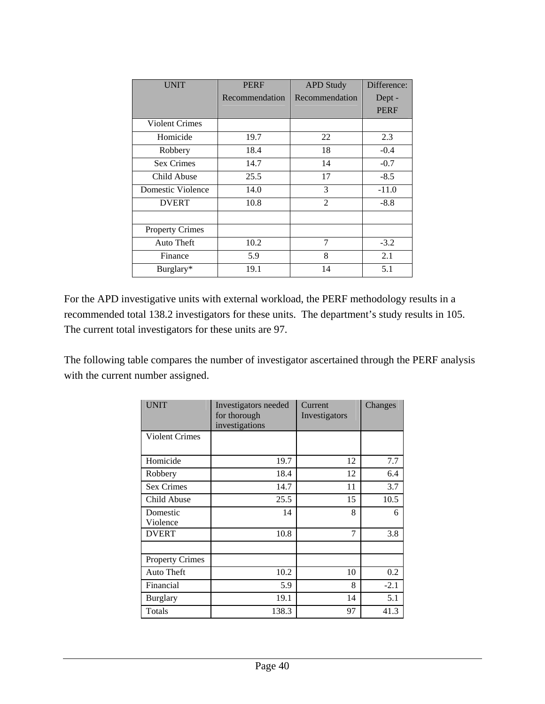| <b>UNIT</b>            | <b>PERF</b>    | <b>APD Study</b> | Difference: |
|------------------------|----------------|------------------|-------------|
|                        | Recommendation | Recommendation   | Dept -      |
|                        |                |                  | <b>PERF</b> |
| <b>Violent Crimes</b>  |                |                  |             |
| Homicide               | 19.7           | 22               | 2.3         |
| Robbery                | 18.4           | 18               | $-0.4$      |
| <b>Sex Crimes</b>      | 14.7           | 14               | $-0.7$      |
| Child Abuse            | 25.5           | 17               | $-8.5$      |
| Domestic Violence      | 14.0           | 3                | $-11.0$     |
| <b>DVERT</b>           | 10.8           | $\mathfrak{D}$   | $-8.8$      |
|                        |                |                  |             |
| <b>Property Crimes</b> |                |                  |             |
| Auto Theft             | 10.2           | 7                | $-3.2$      |
| Finance                | 5.9            | 8                | 2.1         |
| Burglary*              | 19.1           | 14               | 5.1         |

For the APD investigative units with external workload, the PERF methodology results in a recommended total 138.2 investigators for these units. The department's study results in 105. The current total investigators for these units are 97.

The following table compares the number of investigator ascertained through the PERF analysis with the current number assigned.

| <b>UNIT</b>            | Investigators needed<br>for thorough<br>investigations | Current<br>Investigators | Changes |
|------------------------|--------------------------------------------------------|--------------------------|---------|
| <b>Violent Crimes</b>  |                                                        |                          |         |
| Homicide               | 19.7                                                   | 12                       | 7.7     |
| Robbery                | 18.4                                                   | 12                       | 6.4     |
| Sex Crimes             | 14.7                                                   | 11                       | 3.7     |
| Child Abuse            | 25.5                                                   | 15                       | 10.5    |
| Domestic<br>Violence   | 14                                                     | 8                        | 6       |
| <b>DVERT</b>           | 10.8                                                   | 7                        | 3.8     |
| <b>Property Crimes</b> |                                                        |                          |         |
| Auto Theft             | 10.2                                                   | 10                       | 0.2     |
| Financial              | 5.9                                                    | 8                        | $-2.1$  |
| <b>Burglary</b>        | 19.1                                                   | 14                       | 5.1     |
| Totals                 | 138.3                                                  | 97                       | 41.3    |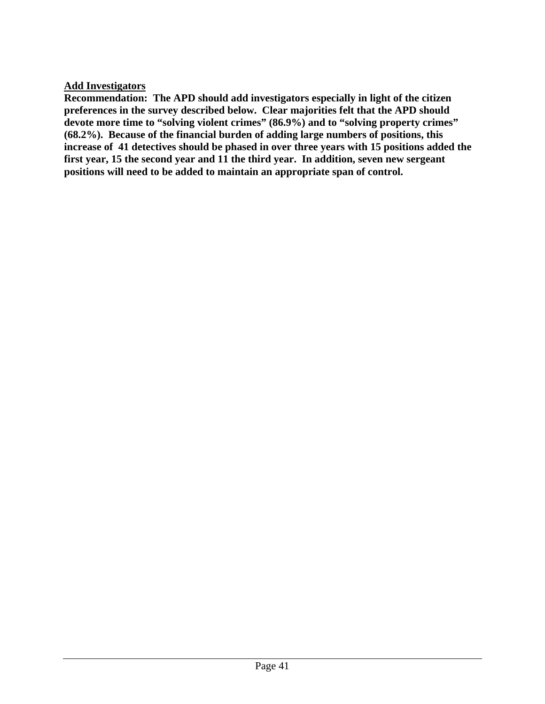### **Add Investigators**

**Recommendation: The APD should add investigators especially in light of the citizen preferences in the survey described below. Clear majorities felt that the APD should devote more time to "solving violent crimes" (86.9%) and to "solving property crimes" (68.2%). Because of the financial burden of adding large numbers of positions, this increase of 41 detectives should be phased in over three years with 15 positions added the first year, 15 the second year and 11 the third year. In addition, seven new sergeant positions will need to be added to maintain an appropriate span of control.**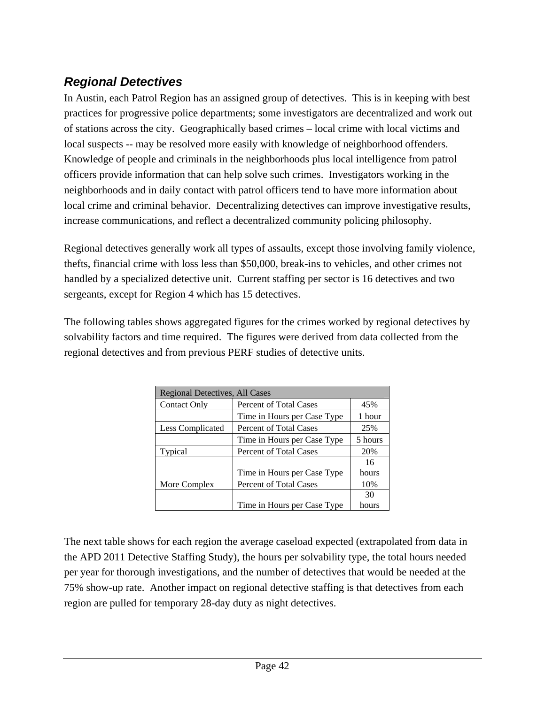# *Regional Detectives*

In Austin, each Patrol Region has an assigned group of detectives. This is in keeping with best practices for progressive police departments; some investigators are decentralized and work out of stations across the city. Geographically based crimes – local crime with local victims and local suspects -- may be resolved more easily with knowledge of neighborhood offenders. Knowledge of people and criminals in the neighborhoods plus local intelligence from patrol officers provide information that can help solve such crimes. Investigators working in the neighborhoods and in daily contact with patrol officers tend to have more information about local crime and criminal behavior. Decentralizing detectives can improve investigative results, increase communications, and reflect a decentralized community policing philosophy.

Regional detectives generally work all types of assaults, except those involving family violence, thefts, financial crime with loss less than \$50,000, break-ins to vehicles, and other crimes not handled by a specialized detective unit. Current staffing per sector is 16 detectives and two sergeants, except for Region 4 which has 15 detectives.

The following tables shows aggregated figures for the crimes worked by regional detectives by solvability factors and time required. The figures were derived from data collected from the regional detectives and from previous PERF studies of detective units.

| Regional Detectives, All Cases |                               |         |  |  |
|--------------------------------|-------------------------------|---------|--|--|
| <b>Contact Only</b>            | Percent of Total Cases<br>45% |         |  |  |
|                                | Time in Hours per Case Type   | 1 hour  |  |  |
| Less Complicated               | Percent of Total Cases        | 25%     |  |  |
|                                | Time in Hours per Case Type   | 5 hours |  |  |
| Typical                        | Percent of Total Cases        | 20%     |  |  |
|                                |                               | 16      |  |  |
|                                | Time in Hours per Case Type   | hours   |  |  |
| More Complex                   | Percent of Total Cases        | 10%     |  |  |
|                                |                               | 30      |  |  |
|                                | Time in Hours per Case Type   | hours   |  |  |

The next table shows for each region the average caseload expected (extrapolated from data in the APD 2011 Detective Staffing Study), the hours per solvability type, the total hours needed per year for thorough investigations, and the number of detectives that would be needed at the 75% show-up rate. Another impact on regional detective staffing is that detectives from each region are pulled for temporary 28-day duty as night detectives.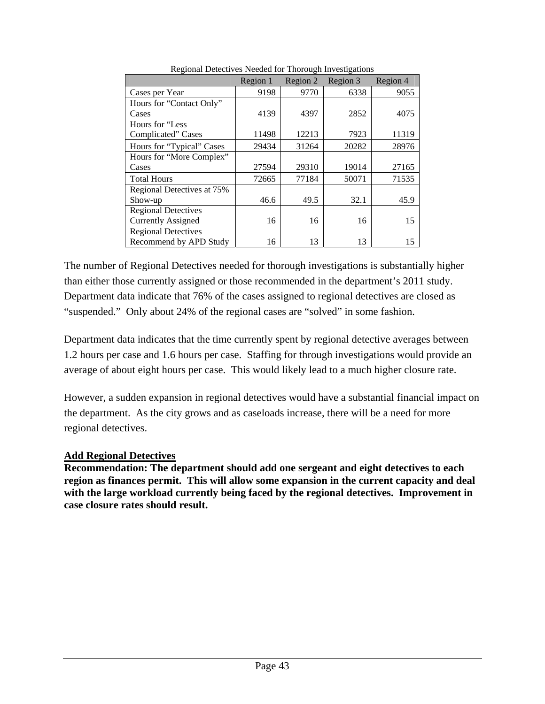|                            | Region 1 | Region 2 | Region 3 | Region 4 |
|----------------------------|----------|----------|----------|----------|
| Cases per Year             | 9198     | 9770     | 6338     | 9055     |
| Hours for "Contact Only"   |          |          |          |          |
| Cases                      | 4139     | 4397     | 2852     | 4075     |
| Hours for "Less            |          |          |          |          |
| Complicated" Cases         | 11498    | 12213    | 7923     | 11319    |
| Hours for "Typical" Cases  | 29434    | 31264    | 20282    | 28976    |
| Hours for "More Complex"   |          |          |          |          |
| Cases                      | 27594    | 29310    | 19014    | 27165    |
| <b>Total Hours</b>         | 72665    | 77184    | 50071    | 71535    |
| Regional Detectives at 75% |          |          |          |          |
| Show-up                    | 46.6     | 49.5     | 32.1     | 45.9     |
| <b>Regional Detectives</b> |          |          |          |          |
| <b>Currently Assigned</b>  | 16       | 16       | 16       | 15       |
| <b>Regional Detectives</b> |          |          |          |          |
| Recommend by APD Study     | 16       | 13       | 13       | 15       |

Regional Detectives Needed for Thorough Investigations

The number of Regional Detectives needed for thorough investigations is substantially higher than either those currently assigned or those recommended in the department's 2011 study. Department data indicate that 76% of the cases assigned to regional detectives are closed as "suspended." Only about 24% of the regional cases are "solved" in some fashion.

Department data indicates that the time currently spent by regional detective averages between 1.2 hours per case and 1.6 hours per case. Staffing for through investigations would provide an average of about eight hours per case. This would likely lead to a much higher closure rate.

However, a sudden expansion in regional detectives would have a substantial financial impact on the department. As the city grows and as caseloads increase, there will be a need for more regional detectives.

### **Add Regional Detectives**

**Recommendation: The department should add one sergeant and eight detectives to each region as finances permit. This will allow some expansion in the current capacity and deal with the large workload currently being faced by the regional detectives. Improvement in case closure rates should result.**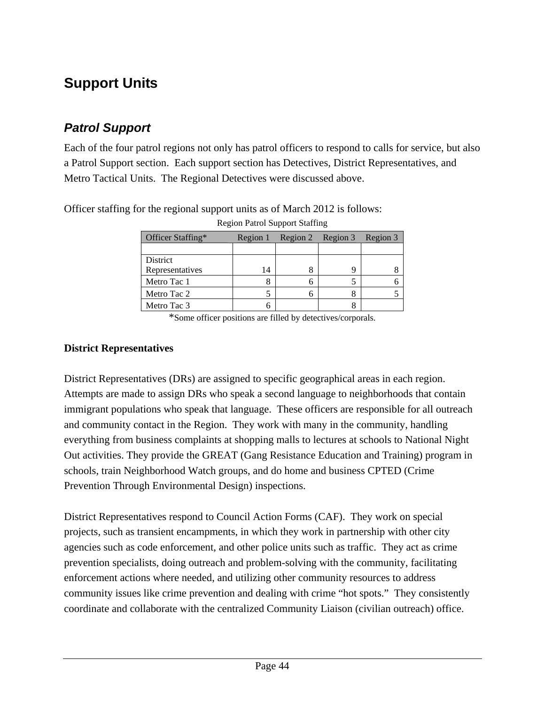# **Support Units**

# *Patrol Support*

Each of the four patrol regions not only has patrol officers to respond to calls for service, but also a Patrol Support section. Each support section has Detectives, District Representatives, and Metro Tactical Units. The Regional Detectives were discussed above.

|                   |          | . |                   |          |
|-------------------|----------|---|-------------------|----------|
| Officer Staffing* | Region 1 |   | Region 2 Region 3 | Region 3 |
|                   |          |   |                   |          |
| District          |          |   |                   |          |
| Representatives   | 14       |   |                   |          |
| Metro Tac 1       |          |   |                   |          |
| Metro Tac 2       |          |   |                   |          |
| Metro Tac 3       |          |   |                   |          |

Region Patrol Support Staffing

Officer staffing for the regional support units as of March 2012 is follows:

\*Some officer positions are filled by detectives/corporals.

#### **District Representatives**

District Representatives (DRs) are assigned to specific geographical areas in each region. Attempts are made to assign DRs who speak a second language to neighborhoods that contain immigrant populations who speak that language. These officers are responsible for all outreach and community contact in the Region. They work with many in the community, handling everything from business complaints at shopping malls to lectures at schools to National Night Out activities. They provide the GREAT (Gang Resistance Education and Training) program in schools, train Neighborhood Watch groups, and do home and business CPTED (Crime Prevention Through Environmental Design) inspections.

District Representatives respond to Council Action Forms (CAF). They work on special projects, such as transient encampments, in which they work in partnership with other city agencies such as code enforcement, and other police units such as traffic. They act as crime prevention specialists, doing outreach and problem-solving with the community, facilitating enforcement actions where needed, and utilizing other community resources to address community issues like crime prevention and dealing with crime "hot spots." They consistently coordinate and collaborate with the centralized Community Liaison (civilian outreach) office.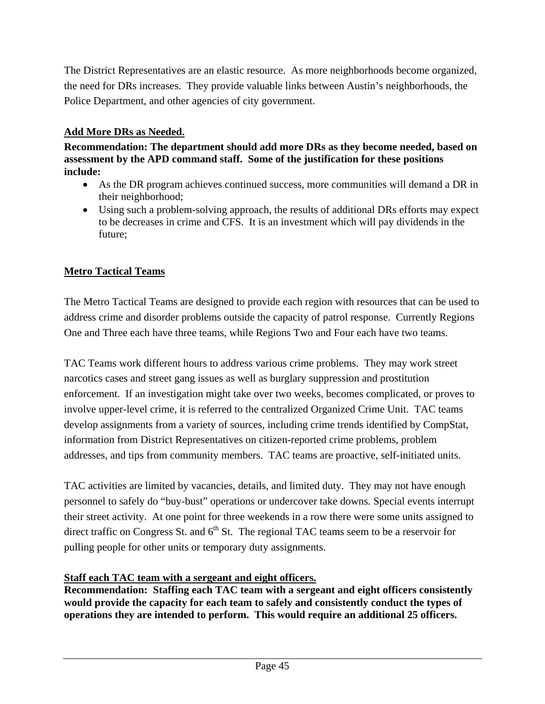The District Representatives are an elastic resource. As more neighborhoods become organized, the need for DRs increases. They provide valuable links between Austin's neighborhoods, the Police Department, and other agencies of city government.

### **Add More DRs as Needed.**

**Recommendation: The department should add more DRs as they become needed, based on assessment by the APD command staff. Some of the justification for these positions include:** 

- As the DR program achieves continued success, more communities will demand a DR in their neighborhood;
- Using such a problem-solving approach, the results of additional DRs efforts may expect to be decreases in crime and CFS. It is an investment which will pay dividends in the future;

# **Metro Tactical Teams**

The Metro Tactical Teams are designed to provide each region with resources that can be used to address crime and disorder problems outside the capacity of patrol response. Currently Regions One and Three each have three teams, while Regions Two and Four each have two teams.

TAC Teams work different hours to address various crime problems. They may work street narcotics cases and street gang issues as well as burglary suppression and prostitution enforcement. If an investigation might take over two weeks, becomes complicated, or proves to involve upper-level crime, it is referred to the centralized Organized Crime Unit. TAC teams develop assignments from a variety of sources, including crime trends identified by CompStat, information from District Representatives on citizen-reported crime problems, problem addresses, and tips from community members. TAC teams are proactive, self-initiated units.

TAC activities are limited by vacancies, details, and limited duty. They may not have enough personnel to safely do "buy-bust" operations or undercover take downs. Special events interrupt their street activity. At one point for three weekends in a row there were some units assigned to direct traffic on Congress St. and  $6<sup>th</sup>$  St. The regional TAC teams seem to be a reservoir for pulling people for other units or temporary duty assignments.

### **Staff each TAC team with a sergeant and eight officers.**

**Recommendation: Staffing each TAC team with a sergeant and eight officers consistently would provide the capacity for each team to safely and consistently conduct the types of operations they are intended to perform. This would require an additional 25 officers.**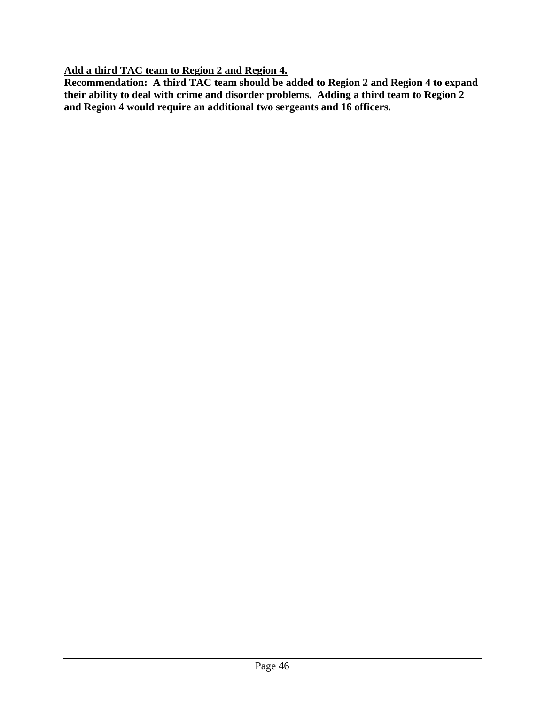**Add a third TAC team to Region 2 and Region 4.** 

**Recommendation: A third TAC team should be added to Region 2 and Region 4 to expand their ability to deal with crime and disorder problems. Adding a third team to Region 2 and Region 4 would require an additional two sergeants and 16 officers.**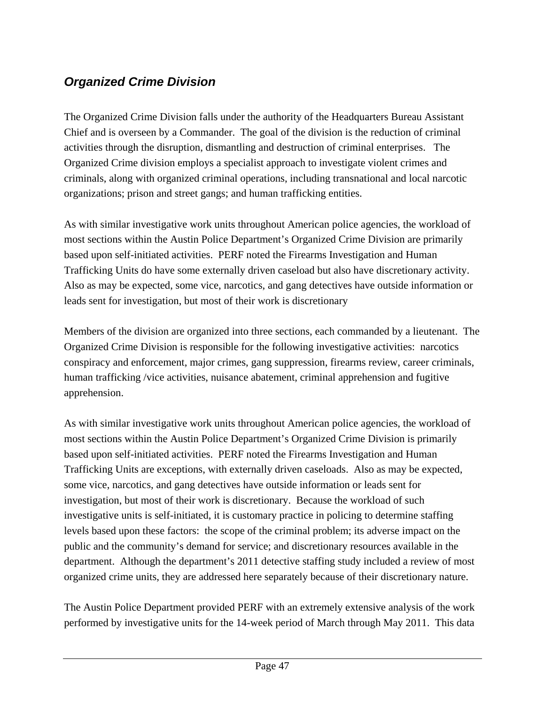# *Organized Crime Division*

The Organized Crime Division falls under the authority of the Headquarters Bureau Assistant Chief and is overseen by a Commander. The goal of the division is the reduction of criminal activities through the disruption, dismantling and destruction of criminal enterprises. The Organized Crime division employs a specialist approach to investigate violent crimes and criminals, along with organized criminal operations, including transnational and local narcotic organizations; prison and street gangs; and human trafficking entities.

As with similar investigative work units throughout American police agencies, the workload of most sections within the Austin Police Department's Organized Crime Division are primarily based upon self-initiated activities. PERF noted the Firearms Investigation and Human Trafficking Units do have some externally driven caseload but also have discretionary activity. Also as may be expected, some vice, narcotics, and gang detectives have outside information or leads sent for investigation, but most of their work is discretionary

Members of the division are organized into three sections, each commanded by a lieutenant. The Organized Crime Division is responsible for the following investigative activities: narcotics conspiracy and enforcement, major crimes, gang suppression, firearms review, career criminals, human trafficking /vice activities, nuisance abatement, criminal apprehension and fugitive apprehension.

As with similar investigative work units throughout American police agencies, the workload of most sections within the Austin Police Department's Organized Crime Division is primarily based upon self-initiated activities. PERF noted the Firearms Investigation and Human Trafficking Units are exceptions, with externally driven caseloads. Also as may be expected, some vice, narcotics, and gang detectives have outside information or leads sent for investigation, but most of their work is discretionary. Because the workload of such investigative units is self-initiated, it is customary practice in policing to determine staffing levels based upon these factors: the scope of the criminal problem; its adverse impact on the public and the community's demand for service; and discretionary resources available in the department. Although the department's 2011 detective staffing study included a review of most organized crime units, they are addressed here separately because of their discretionary nature.

The Austin Police Department provided PERF with an extremely extensive analysis of the work performed by investigative units for the 14-week period of March through May 2011. This data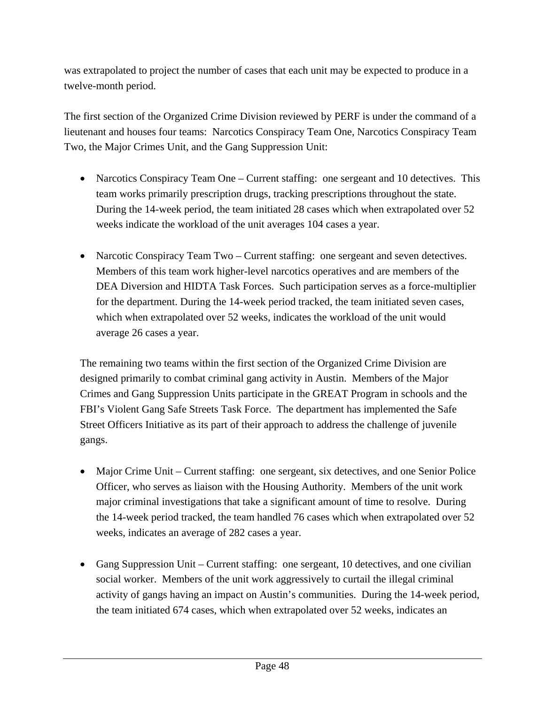was extrapolated to project the number of cases that each unit may be expected to produce in a twelve-month period.

The first section of the Organized Crime Division reviewed by PERF is under the command of a lieutenant and houses four teams: Narcotics Conspiracy Team One, Narcotics Conspiracy Team Two, the Major Crimes Unit, and the Gang Suppression Unit:

- Narcotics Conspiracy Team One Current staffing: one sergeant and 10 detectives. This team works primarily prescription drugs, tracking prescriptions throughout the state. During the 14-week period, the team initiated 28 cases which when extrapolated over 52 weeks indicate the workload of the unit averages 104 cases a year.
- Narcotic Conspiracy Team Two Current staffing: one sergeant and seven detectives. Members of this team work higher-level narcotics operatives and are members of the DEA Diversion and HIDTA Task Forces. Such participation serves as a force-multiplier for the department. During the 14-week period tracked, the team initiated seven cases, which when extrapolated over 52 weeks, indicates the workload of the unit would average 26 cases a year.

The remaining two teams within the first section of the Organized Crime Division are designed primarily to combat criminal gang activity in Austin. Members of the Major Crimes and Gang Suppression Units participate in the GREAT Program in schools and the FBI's Violent Gang Safe Streets Task Force. The department has implemented the Safe Street Officers Initiative as its part of their approach to address the challenge of juvenile gangs.

- Major Crime Unit Current staffing: one sergeant, six detectives, and one Senior Police Officer, who serves as liaison with the Housing Authority. Members of the unit work major criminal investigations that take a significant amount of time to resolve. During the 14-week period tracked, the team handled 76 cases which when extrapolated over 52 weeks, indicates an average of 282 cases a year.
- Gang Suppression Unit Current staffing: one sergeant, 10 detectives, and one civilian social worker. Members of the unit work aggressively to curtail the illegal criminal activity of gangs having an impact on Austin's communities. During the 14-week period, the team initiated 674 cases, which when extrapolated over 52 weeks, indicates an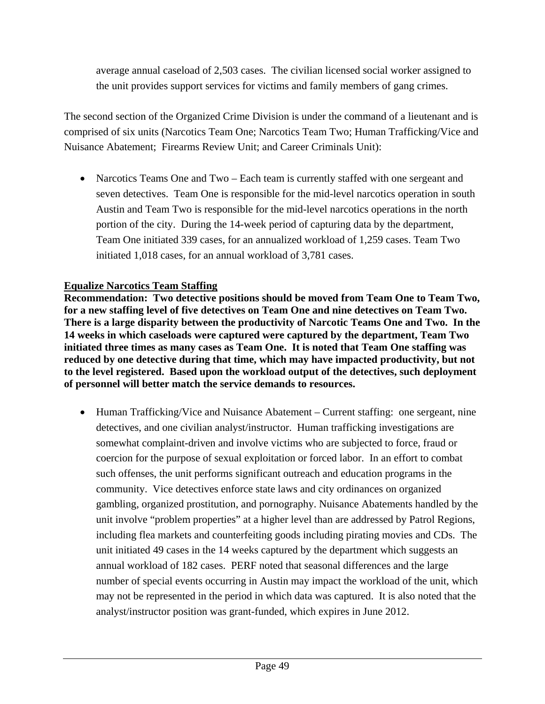average annual caseload of 2,503 cases. The civilian licensed social worker assigned to the unit provides support services for victims and family members of gang crimes.

The second section of the Organized Crime Division is under the command of a lieutenant and is comprised of six units (Narcotics Team One; Narcotics Team Two; Human Trafficking/Vice and Nuisance Abatement; Firearms Review Unit; and Career Criminals Unit):

• Narcotics Teams One and Two – Each team is currently staffed with one sergeant and seven detectives. Team One is responsible for the mid-level narcotics operation in south Austin and Team Two is responsible for the mid-level narcotics operations in the north portion of the city. During the 14-week period of capturing data by the department, Team One initiated 339 cases, for an annualized workload of 1,259 cases. Team Two initiated 1,018 cases, for an annual workload of 3,781 cases.

### **Equalize Narcotics Team Staffing**

**Recommendation: Two detective positions should be moved from Team One to Team Two, for a new staffing level of five detectives on Team One and nine detectives on Team Two. There is a large disparity between the productivity of Narcotic Teams One and Two. In the 14 weeks in which caseloads were captured were captured by the department, Team Two initiated three times as many cases as Team One. It is noted that Team One staffing was reduced by one detective during that time, which may have impacted productivity, but not to the level registered. Based upon the workload output of the detectives, such deployment of personnel will better match the service demands to resources.** 

• Human Trafficking/Vice and Nuisance Abatement – Current staffing: one sergeant, nine detectives, and one civilian analyst/instructor. Human trafficking investigations are somewhat complaint-driven and involve victims who are subjected to force, fraud or coercion for the purpose of sexual exploitation or forced labor. In an effort to combat such offenses, the unit performs significant outreach and education programs in the community. Vice detectives enforce state laws and city ordinances on organized gambling, organized prostitution, and pornography. Nuisance Abatements handled by the unit involve "problem properties" at a higher level than are addressed by Patrol Regions, including flea markets and counterfeiting goods including pirating movies and CDs. The unit initiated 49 cases in the 14 weeks captured by the department which suggests an annual workload of 182 cases. PERF noted that seasonal differences and the large number of special events occurring in Austin may impact the workload of the unit, which may not be represented in the period in which data was captured. It is also noted that the analyst/instructor position was grant-funded, which expires in June 2012.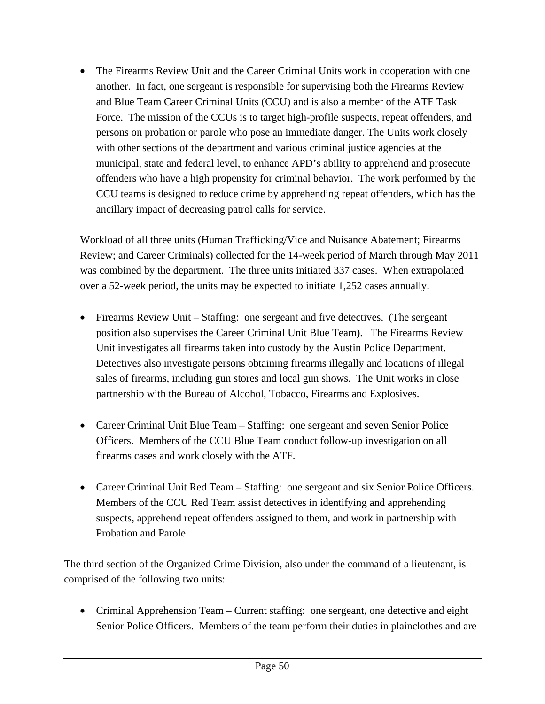• The Firearms Review Unit and the Career Criminal Units work in cooperation with one another. In fact, one sergeant is responsible for supervising both the Firearms Review and Blue Team Career Criminal Units (CCU) and is also a member of the ATF Task Force. The mission of the CCUs is to target high-profile suspects, repeat offenders, and persons on probation or parole who pose an immediate danger. The Units work closely with other sections of the department and various criminal justice agencies at the municipal, state and federal level, to enhance APD's ability to apprehend and prosecute offenders who have a high propensity for criminal behavior. The work performed by the CCU teams is designed to reduce crime by apprehending repeat offenders, which has the ancillary impact of decreasing patrol calls for service.

Workload of all three units (Human Trafficking/Vice and Nuisance Abatement; Firearms Review; and Career Criminals) collected for the 14-week period of March through May 2011 was combined by the department. The three units initiated 337 cases. When extrapolated over a 52-week period, the units may be expected to initiate 1,252 cases annually.

- Firearms Review Unit Staffing: one sergeant and five detectives. (The sergeant position also supervises the Career Criminal Unit Blue Team). The Firearms Review Unit investigates all firearms taken into custody by the Austin Police Department. Detectives also investigate persons obtaining firearms illegally and locations of illegal sales of firearms, including gun stores and local gun shows. The Unit works in close partnership with the Bureau of Alcohol, Tobacco, Firearms and Explosives.
- Career Criminal Unit Blue Team Staffing: one sergeant and seven Senior Police Officers. Members of the CCU Blue Team conduct follow-up investigation on all firearms cases and work closely with the ATF.
- Career Criminal Unit Red Team Staffing: one sergeant and six Senior Police Officers. Members of the CCU Red Team assist detectives in identifying and apprehending suspects, apprehend repeat offenders assigned to them, and work in partnership with Probation and Parole.

The third section of the Organized Crime Division, also under the command of a lieutenant, is comprised of the following two units:

• Criminal Apprehension Team – Current staffing: one sergeant, one detective and eight Senior Police Officers. Members of the team perform their duties in plainclothes and are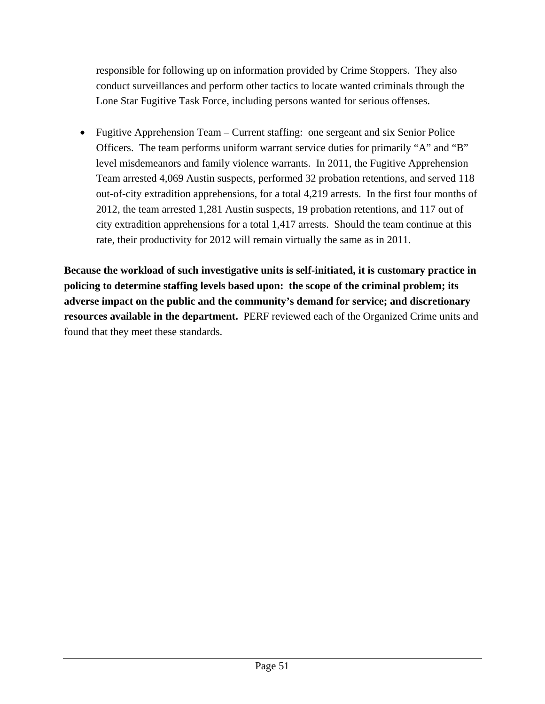responsible for following up on information provided by Crime Stoppers. They also conduct surveillances and perform other tactics to locate wanted criminals through the Lone Star Fugitive Task Force, including persons wanted for serious offenses.

• Fugitive Apprehension Team – Current staffing: one sergeant and six Senior Police Officers. The team performs uniform warrant service duties for primarily "A" and "B" level misdemeanors and family violence warrants. In 2011, the Fugitive Apprehension Team arrested 4,069 Austin suspects, performed 32 probation retentions, and served 118 out-of-city extradition apprehensions, for a total 4,219 arrests. In the first four months of 2012, the team arrested 1,281 Austin suspects, 19 probation retentions, and 117 out of city extradition apprehensions for a total 1,417 arrests. Should the team continue at this rate, their productivity for 2012 will remain virtually the same as in 2011.

**Because the workload of such investigative units is self-initiated, it is customary practice in policing to determine staffing levels based upon: the scope of the criminal problem; its adverse impact on the public and the community's demand for service; and discretionary resources available in the department.** PERF reviewed each of the Organized Crime units and found that they meet these standards.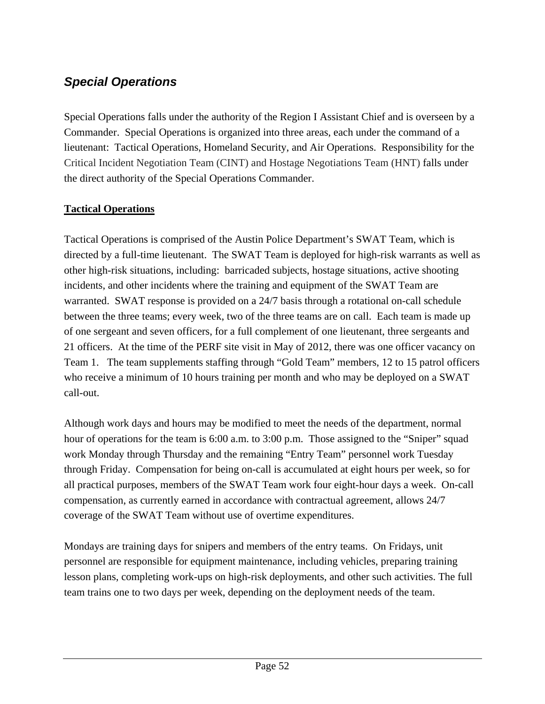# *Special Operations*

Special Operations falls under the authority of the Region I Assistant Chief and is overseen by a Commander. Special Operations is organized into three areas, each under the command of a lieutenant: Tactical Operations, Homeland Security, and Air Operations. Responsibility for the Critical Incident Negotiation Team (CINT) and Hostage Negotiations Team (HNT) falls under the direct authority of the Special Operations Commander.

## **Tactical Operations**

Tactical Operations is comprised of the Austin Police Department's SWAT Team, which is directed by a full-time lieutenant. The SWAT Team is deployed for high-risk warrants as well as other high-risk situations, including: barricaded subjects, hostage situations, active shooting incidents, and other incidents where the training and equipment of the SWAT Team are warranted. SWAT response is provided on a 24/7 basis through a rotational on-call schedule between the three teams; every week, two of the three teams are on call. Each team is made up of one sergeant and seven officers, for a full complement of one lieutenant, three sergeants and 21 officers. At the time of the PERF site visit in May of 2012, there was one officer vacancy on Team 1. The team supplements staffing through "Gold Team" members, 12 to 15 patrol officers who receive a minimum of 10 hours training per month and who may be deployed on a SWAT call-out.

Although work days and hours may be modified to meet the needs of the department, normal hour of operations for the team is 6:00 a.m. to 3:00 p.m. Those assigned to the "Sniper" squad work Monday through Thursday and the remaining "Entry Team" personnel work Tuesday through Friday. Compensation for being on-call is accumulated at eight hours per week, so for all practical purposes, members of the SWAT Team work four eight-hour days a week. On-call compensation, as currently earned in accordance with contractual agreement, allows 24/7 coverage of the SWAT Team without use of overtime expenditures.

Mondays are training days for snipers and members of the entry teams. On Fridays, unit personnel are responsible for equipment maintenance, including vehicles, preparing training lesson plans, completing work-ups on high-risk deployments, and other such activities. The full team trains one to two days per week, depending on the deployment needs of the team.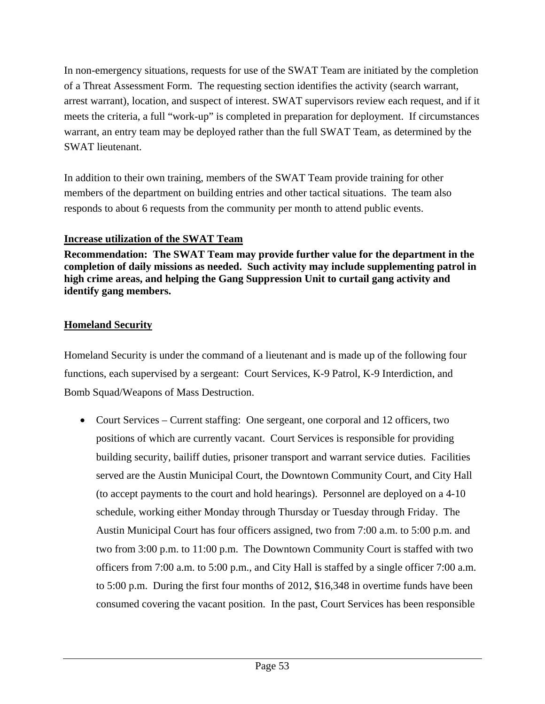In non-emergency situations, requests for use of the SWAT Team are initiated by the completion of a Threat Assessment Form. The requesting section identifies the activity (search warrant, arrest warrant), location, and suspect of interest. SWAT supervisors review each request, and if it meets the criteria, a full "work-up" is completed in preparation for deployment. If circumstances warrant, an entry team may be deployed rather than the full SWAT Team, as determined by the SWAT lieutenant.

In addition to their own training, members of the SWAT Team provide training for other members of the department on building entries and other tactical situations. The team also responds to about 6 requests from the community per month to attend public events.

### **Increase utilization of the SWAT Team**

**Recommendation: The SWAT Team may provide further value for the department in the completion of daily missions as needed. Such activity may include supplementing patrol in high crime areas, and helping the Gang Suppression Unit to curtail gang activity and identify gang members.** 

# **Homeland Security**

Homeland Security is under the command of a lieutenant and is made up of the following four functions, each supervised by a sergeant: Court Services, K-9 Patrol, K-9 Interdiction, and Bomb Squad/Weapons of Mass Destruction.

• Court Services – Current staffing: One sergeant, one corporal and 12 officers, two positions of which are currently vacant. Court Services is responsible for providing building security, bailiff duties, prisoner transport and warrant service duties. Facilities served are the Austin Municipal Court, the Downtown Community Court, and City Hall (to accept payments to the court and hold hearings). Personnel are deployed on a 4-10 schedule, working either Monday through Thursday or Tuesday through Friday. The Austin Municipal Court has four officers assigned, two from 7:00 a.m. to 5:00 p.m. and two from 3:00 p.m. to 11:00 p.m. The Downtown Community Court is staffed with two officers from 7:00 a.m. to 5:00 p.m., and City Hall is staffed by a single officer 7:00 a.m. to 5:00 p.m. During the first four months of 2012, \$16,348 in overtime funds have been consumed covering the vacant position. In the past, Court Services has been responsible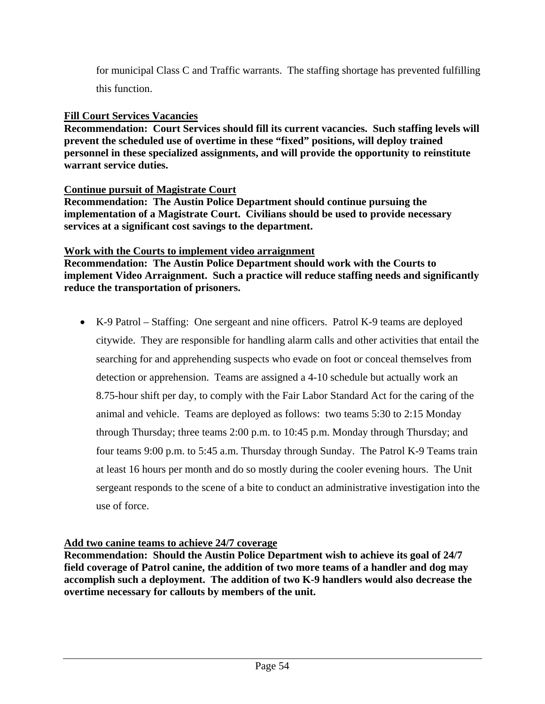for municipal Class C and Traffic warrants. The staffing shortage has prevented fulfilling this function.

#### **Fill Court Services Vacancies**

**Recommendation: Court Services should fill its current vacancies. Such staffing levels will prevent the scheduled use of overtime in these "fixed" positions, will deploy trained personnel in these specialized assignments, and will provide the opportunity to reinstitute warrant service duties.** 

#### **Continue pursuit of Magistrate Court**

**Recommendation: The Austin Police Department should continue pursuing the implementation of a Magistrate Court. Civilians should be used to provide necessary services at a significant cost savings to the department.** 

#### **Work with the Courts to implement video arraignment**

**Recommendation: The Austin Police Department should work with the Courts to implement Video Arraignment. Such a practice will reduce staffing needs and significantly reduce the transportation of prisoners.**

• K-9 Patrol – Staffing: One sergeant and nine officers. Patrol K-9 teams are deployed citywide. They are responsible for handling alarm calls and other activities that entail the searching for and apprehending suspects who evade on foot or conceal themselves from detection or apprehension. Teams are assigned a 4-10 schedule but actually work an 8.75-hour shift per day, to comply with the Fair Labor Standard Act for the caring of the animal and vehicle. Teams are deployed as follows: two teams 5:30 to 2:15 Monday through Thursday; three teams 2:00 p.m. to 10:45 p.m. Monday through Thursday; and four teams 9:00 p.m. to 5:45 a.m. Thursday through Sunday. The Patrol K-9 Teams train at least 16 hours per month and do so mostly during the cooler evening hours. The Unit sergeant responds to the scene of a bite to conduct an administrative investigation into the use of force.

#### **Add two canine teams to achieve 24/7 coverage**

**Recommendation: Should the Austin Police Department wish to achieve its goal of 24/7 field coverage of Patrol canine, the addition of two more teams of a handler and dog may accomplish such a deployment. The addition of two K-9 handlers would also decrease the overtime necessary for callouts by members of the unit.**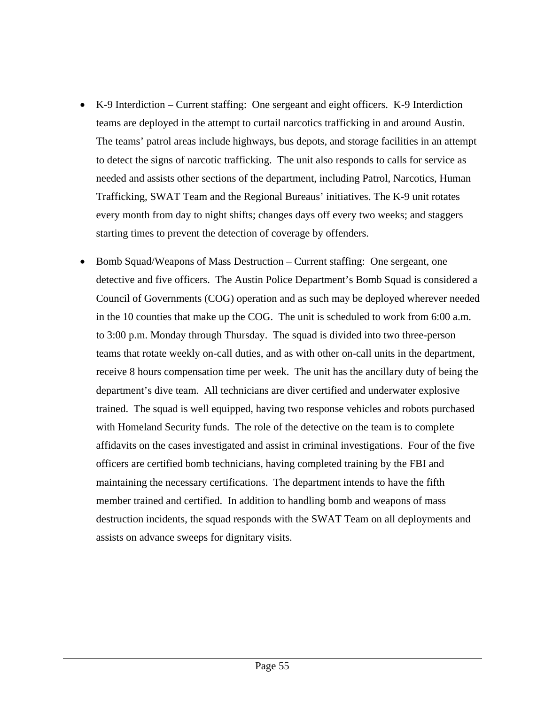- K-9 Interdiction Current staffing: One sergeant and eight officers. K-9 Interdiction teams are deployed in the attempt to curtail narcotics trafficking in and around Austin. The teams' patrol areas include highways, bus depots, and storage facilities in an attempt to detect the signs of narcotic trafficking. The unit also responds to calls for service as needed and assists other sections of the department, including Patrol, Narcotics, Human Trafficking, SWAT Team and the Regional Bureaus' initiatives. The K-9 unit rotates every month from day to night shifts; changes days off every two weeks; and staggers starting times to prevent the detection of coverage by offenders.
- Bomb Squad/Weapons of Mass Destruction Current staffing: One sergeant, one detective and five officers. The Austin Police Department's Bomb Squad is considered a Council of Governments (COG) operation and as such may be deployed wherever needed in the 10 counties that make up the COG. The unit is scheduled to work from 6:00 a.m. to 3:00 p.m. Monday through Thursday. The squad is divided into two three-person teams that rotate weekly on-call duties, and as with other on-call units in the department, receive 8 hours compensation time per week. The unit has the ancillary duty of being the department's dive team. All technicians are diver certified and underwater explosive trained. The squad is well equipped, having two response vehicles and robots purchased with Homeland Security funds. The role of the detective on the team is to complete affidavits on the cases investigated and assist in criminal investigations. Four of the five officers are certified bomb technicians, having completed training by the FBI and maintaining the necessary certifications. The department intends to have the fifth member trained and certified. In addition to handling bomb and weapons of mass destruction incidents, the squad responds with the SWAT Team on all deployments and assists on advance sweeps for dignitary visits.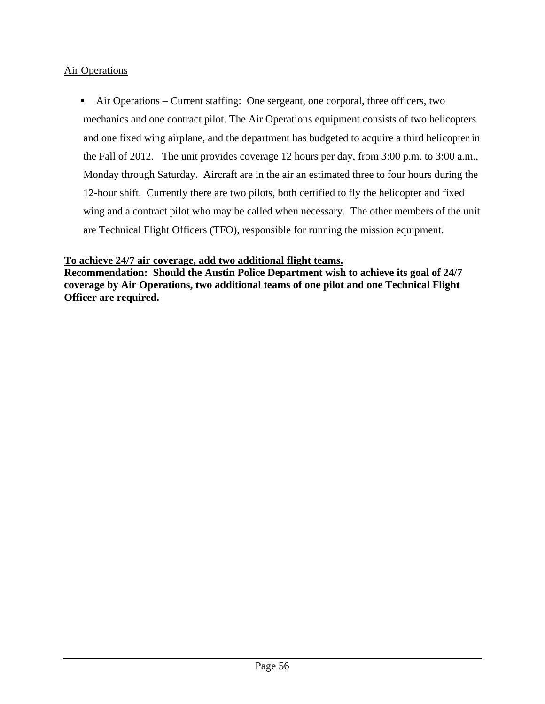### Air Operations

 Air Operations – Current staffing: One sergeant, one corporal, three officers, two mechanics and one contract pilot. The Air Operations equipment consists of two helicopters and one fixed wing airplane, and the department has budgeted to acquire a third helicopter in the Fall of 2012. The unit provides coverage 12 hours per day, from 3:00 p.m. to 3:00 a.m., Monday through Saturday. Aircraft are in the air an estimated three to four hours during the 12-hour shift. Currently there are two pilots, both certified to fly the helicopter and fixed wing and a contract pilot who may be called when necessary. The other members of the unit are Technical Flight Officers (TFO), responsible for running the mission equipment.

#### **To achieve 24/7 air coverage, add two additional flight teams.**

**Recommendation: Should the Austin Police Department wish to achieve its goal of 24/7 coverage by Air Operations, two additional teams of one pilot and one Technical Flight Officer are required.**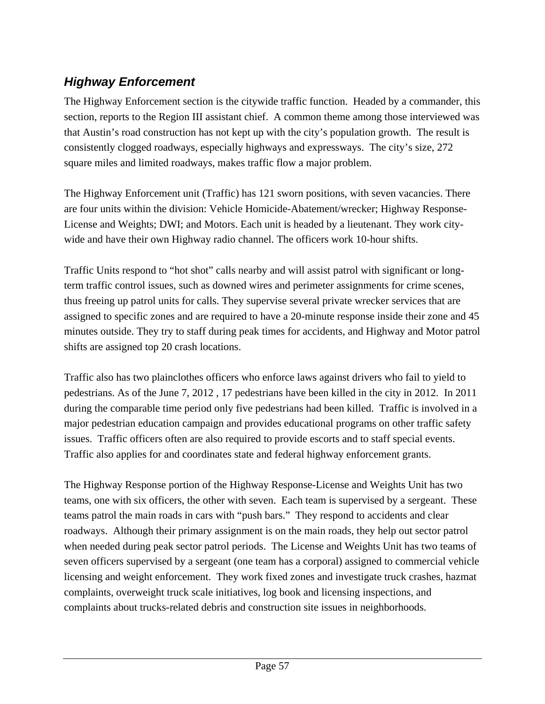# *Highway Enforcement*

The Highway Enforcement section is the citywide traffic function. Headed by a commander, this section, reports to the Region III assistant chief. A common theme among those interviewed was that Austin's road construction has not kept up with the city's population growth. The result is consistently clogged roadways, especially highways and expressways. The city's size, 272 square miles and limited roadways, makes traffic flow a major problem.

The Highway Enforcement unit (Traffic) has 121 sworn positions, with seven vacancies. There are four units within the division: Vehicle Homicide-Abatement/wrecker; Highway Response-License and Weights; DWI; and Motors. Each unit is headed by a lieutenant. They work citywide and have their own Highway radio channel. The officers work 10-hour shifts.

Traffic Units respond to "hot shot" calls nearby and will assist patrol with significant or longterm traffic control issues, such as downed wires and perimeter assignments for crime scenes, thus freeing up patrol units for calls. They supervise several private wrecker services that are assigned to specific zones and are required to have a 20-minute response inside their zone and 45 minutes outside. They try to staff during peak times for accidents, and Highway and Motor patrol shifts are assigned top 20 crash locations.

Traffic also has two plainclothes officers who enforce laws against drivers who fail to yield to pedestrians. As of the June 7, 2012 , 17 pedestrians have been killed in the city in 2012. In 2011 during the comparable time period only five pedestrians had been killed. Traffic is involved in a major pedestrian education campaign and provides educational programs on other traffic safety issues. Traffic officers often are also required to provide escorts and to staff special events. Traffic also applies for and coordinates state and federal highway enforcement grants.

The Highway Response portion of the Highway Response-License and Weights Unit has two teams, one with six officers, the other with seven. Each team is supervised by a sergeant. These teams patrol the main roads in cars with "push bars." They respond to accidents and clear roadways. Although their primary assignment is on the main roads, they help out sector patrol when needed during peak sector patrol periods. The License and Weights Unit has two teams of seven officers supervised by a sergeant (one team has a corporal) assigned to commercial vehicle licensing and weight enforcement. They work fixed zones and investigate truck crashes, hazmat complaints, overweight truck scale initiatives, log book and licensing inspections, and complaints about trucks-related debris and construction site issues in neighborhoods.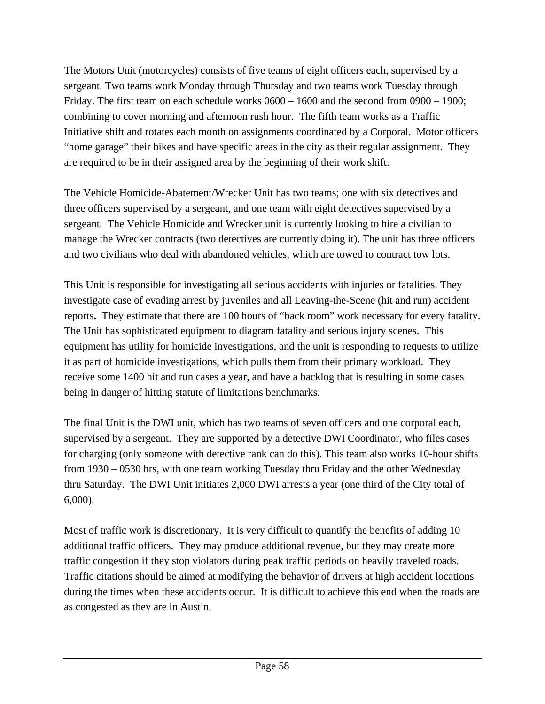The Motors Unit (motorcycles) consists of five teams of eight officers each, supervised by a sergeant. Two teams work Monday through Thursday and two teams work Tuesday through Friday. The first team on each schedule works 0600 – 1600 and the second from 0900 – 1900; combining to cover morning and afternoon rush hour. The fifth team works as a Traffic Initiative shift and rotates each month on assignments coordinated by a Corporal. Motor officers "home garage" their bikes and have specific areas in the city as their regular assignment. They are required to be in their assigned area by the beginning of their work shift.

The Vehicle Homicide-Abatement/Wrecker Unit has two teams; one with six detectives and three officers supervised by a sergeant, and one team with eight detectives supervised by a sergeant. The Vehicle Homicide and Wrecker unit is currently looking to hire a civilian to manage the Wrecker contracts (two detectives are currently doing it). The unit has three officers and two civilians who deal with abandoned vehicles, which are towed to contract tow lots.

This Unit is responsible for investigating all serious accidents with injuries or fatalities. They investigate case of evading arrest by juveniles and all Leaving-the-Scene (hit and run) accident reports**.** They estimate that there are 100 hours of "back room" work necessary for every fatality. The Unit has sophisticated equipment to diagram fatality and serious injury scenes. This equipment has utility for homicide investigations, and the unit is responding to requests to utilize it as part of homicide investigations, which pulls them from their primary workload. They receive some 1400 hit and run cases a year, and have a backlog that is resulting in some cases being in danger of hitting statute of limitations benchmarks.

The final Unit is the DWI unit, which has two teams of seven officers and one corporal each, supervised by a sergeant. They are supported by a detective DWI Coordinator, who files cases for charging (only someone with detective rank can do this). This team also works 10-hour shifts from 1930 – 0530 hrs, with one team working Tuesday thru Friday and the other Wednesday thru Saturday. The DWI Unit initiates 2,000 DWI arrests a year (one third of the City total of 6,000).

Most of traffic work is discretionary. It is very difficult to quantify the benefits of adding 10 additional traffic officers. They may produce additional revenue, but they may create more traffic congestion if they stop violators during peak traffic periods on heavily traveled roads. Traffic citations should be aimed at modifying the behavior of drivers at high accident locations during the times when these accidents occur. It is difficult to achieve this end when the roads are as congested as they are in Austin.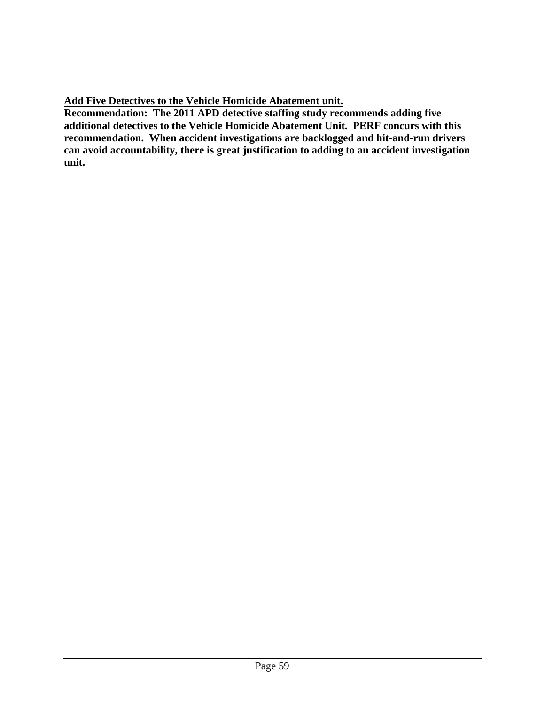**Add Five Detectives to the Vehicle Homicide Abatement unit.**

**Recommendation: The 2011 APD detective staffing study recommends adding five additional detectives to the Vehicle Homicide Abatement Unit. PERF concurs with this recommendation. When accident investigations are backlogged and hit-and-run drivers can avoid accountability, there is great justification to adding to an accident investigation unit.**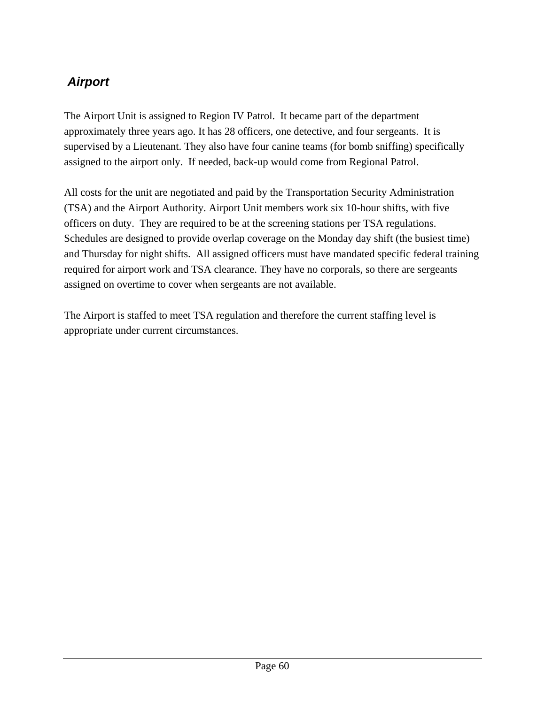# *Airport*

The Airport Unit is assigned to Region IV Patrol. It became part of the department approximately three years ago. It has 28 officers, one detective, and four sergeants. It is supervised by a Lieutenant. They also have four canine teams (for bomb sniffing) specifically assigned to the airport only. If needed, back-up would come from Regional Patrol.

All costs for the unit are negotiated and paid by the Transportation Security Administration (TSA) and the Airport Authority. Airport Unit members work six 10-hour shifts, with five officers on duty. They are required to be at the screening stations per TSA regulations. Schedules are designed to provide overlap coverage on the Monday day shift (the busiest time) and Thursday for night shifts. All assigned officers must have mandated specific federal training required for airport work and TSA clearance. They have no corporals, so there are sergeants assigned on overtime to cover when sergeants are not available.

The Airport is staffed to meet TSA regulation and therefore the current staffing level is appropriate under current circumstances.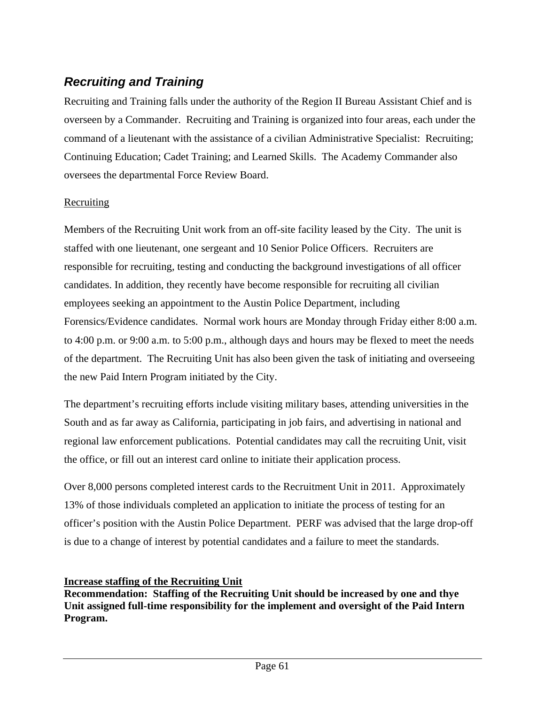# *Recruiting and Training*

Recruiting and Training falls under the authority of the Region II Bureau Assistant Chief and is overseen by a Commander. Recruiting and Training is organized into four areas, each under the command of a lieutenant with the assistance of a civilian Administrative Specialist: Recruiting; Continuing Education; Cadet Training; and Learned Skills. The Academy Commander also oversees the departmental Force Review Board.

## **Recruiting**

Members of the Recruiting Unit work from an off-site facility leased by the City. The unit is staffed with one lieutenant, one sergeant and 10 Senior Police Officers. Recruiters are responsible for recruiting, testing and conducting the background investigations of all officer candidates. In addition, they recently have become responsible for recruiting all civilian employees seeking an appointment to the Austin Police Department, including Forensics/Evidence candidates. Normal work hours are Monday through Friday either 8:00 a.m. to 4:00 p.m. or 9:00 a.m. to 5:00 p.m., although days and hours may be flexed to meet the needs of the department. The Recruiting Unit has also been given the task of initiating and overseeing the new Paid Intern Program initiated by the City.

The department's recruiting efforts include visiting military bases, attending universities in the South and as far away as California, participating in job fairs, and advertising in national and regional law enforcement publications. Potential candidates may call the recruiting Unit, visit the office, or fill out an interest card online to initiate their application process.

Over 8,000 persons completed interest cards to the Recruitment Unit in 2011. Approximately 13% of those individuals completed an application to initiate the process of testing for an officer's position with the Austin Police Department. PERF was advised that the large drop-off is due to a change of interest by potential candidates and a failure to meet the standards.

### **Increase staffing of the Recruiting Unit**

**Recommendation: Staffing of the Recruiting Unit should be increased by one and thye Unit assigned full-time responsibility for the implement and oversight of the Paid Intern Program.**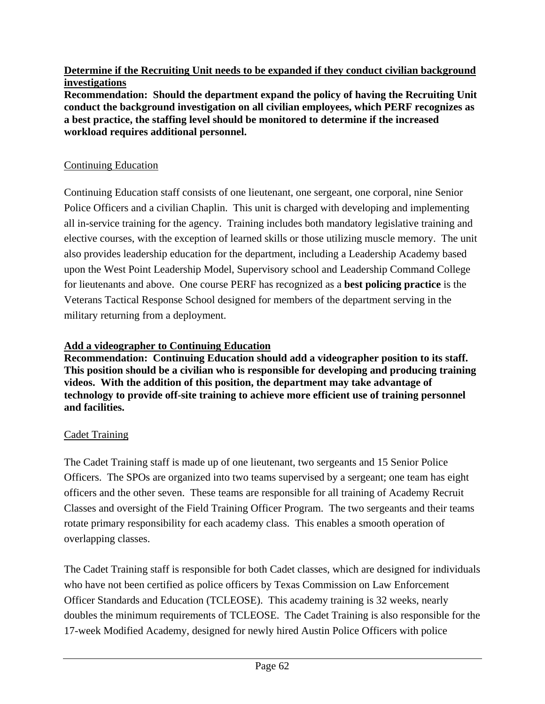### **Determine if the Recruiting Unit needs to be expanded if they conduct civilian background investigations**

**Recommendation: Should the department expand the policy of having the Recruiting Unit conduct the background investigation on all civilian employees, which PERF recognizes as a best practice, the staffing level should be monitored to determine if the increased workload requires additional personnel.** 

### Continuing Education

Continuing Education staff consists of one lieutenant, one sergeant, one corporal, nine Senior Police Officers and a civilian Chaplin. This unit is charged with developing and implementing all in-service training for the agency. Training includes both mandatory legislative training and elective courses, with the exception of learned skills or those utilizing muscle memory. The unit also provides leadership education for the department, including a Leadership Academy based upon the West Point Leadership Model, Supervisory school and Leadership Command College for lieutenants and above. One course PERF has recognized as a **best policing practice** is the Veterans Tactical Response School designed for members of the department serving in the military returning from a deployment.

### **Add a videographer to Continuing Education**

**Recommendation: Continuing Education should add a videographer position to its staff. This position should be a civilian who is responsible for developing and producing training videos. With the addition of this position, the department may take advantage of technology to provide off-site training to achieve more efficient use of training personnel and facilities.** 

## Cadet Training

The Cadet Training staff is made up of one lieutenant, two sergeants and 15 Senior Police Officers. The SPOs are organized into two teams supervised by a sergeant; one team has eight officers and the other seven. These teams are responsible for all training of Academy Recruit Classes and oversight of the Field Training Officer Program. The two sergeants and their teams rotate primary responsibility for each academy class. This enables a smooth operation of overlapping classes.

The Cadet Training staff is responsible for both Cadet classes, which are designed for individuals who have not been certified as police officers by Texas Commission on Law Enforcement Officer Standards and Education (TCLEOSE). This academy training is 32 weeks, nearly doubles the minimum requirements of TCLEOSE. The Cadet Training is also responsible for the 17-week Modified Academy, designed for newly hired Austin Police Officers with police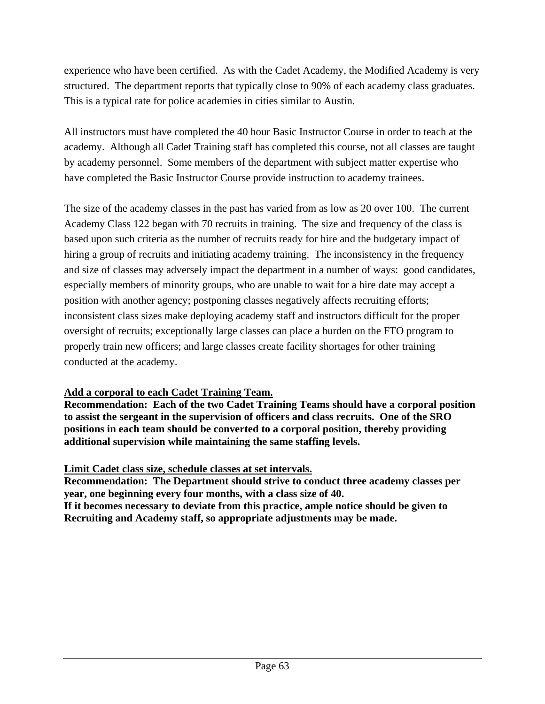experience who have been certified. As with the Cadet Academy, the Modified Academy is very structured. The department reports that typically close to 90% of each academy class graduates. This is a typical rate for police academies in cities similar to Austin.

All instructors must have completed the 40 hour Basic Instructor Course in order to teach at the academy. Although all Cadet Training staff has completed this course, not all classes are taught by academy personnel. Some members of the department with subject matter expertise who have completed the Basic Instructor Course provide instruction to academy trainees.

The size of the academy classes in the past has varied from as low as 20 over 100. The current Academy Class 122 began with 70 recruits in training. The size and frequency of the class is based upon such criteria as the number of recruits ready for hire and the budgetary impact of hiring a group of recruits and initiating academy training. The inconsistency in the frequency and size of classes may adversely impact the department in a number of ways: good candidates, especially members of minority groups, who are unable to wait for a hire date may accept a position with another agency; postponing classes negatively affects recruiting efforts; inconsistent class sizes make deploying academy staff and instructors difficult for the proper oversight of recruits; exceptionally large classes can place a burden on the FTO program to properly train new officers; and large classes create facility shortages for other training conducted at the academy.

### **Add a corporal to each Cadet Training Team.**

**Recommendation: Each of the two Cadet Training Teams should have a corporal position to assist the sergeant in the supervision of officers and class recruits. One of the SRO positions in each team should be converted to a corporal position, thereby providing additional supervision while maintaining the same staffing levels.** 

## **Limit Cadet class size, schedule classes at set intervals.**

**Recommendation: The Department should strive to conduct three academy classes per year, one beginning every four months, with a class size of 40. If it becomes necessary to deviate from this practice, ample notice should be given to Recruiting and Academy staff, so appropriate adjustments may be made.**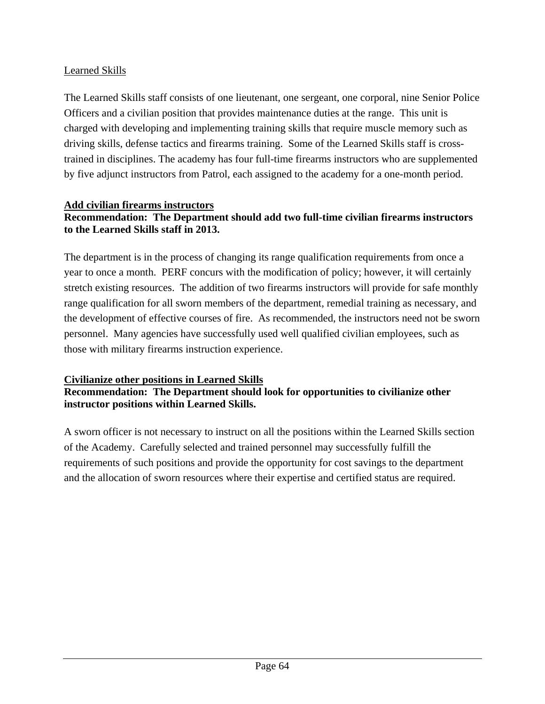# Learned Skills

The Learned Skills staff consists of one lieutenant, one sergeant, one corporal, nine Senior Police Officers and a civilian position that provides maintenance duties at the range. This unit is charged with developing and implementing training skills that require muscle memory such as driving skills, defense tactics and firearms training. Some of the Learned Skills staff is crosstrained in disciplines. The academy has four full-time firearms instructors who are supplemented by five adjunct instructors from Patrol, each assigned to the academy for a one-month period.

## **Add civilian firearms instructors Recommendation: The Department should add two full-time civilian firearms instructors to the Learned Skills staff in 2013.**

The department is in the process of changing its range qualification requirements from once a year to once a month. PERF concurs with the modification of policy; however, it will certainly stretch existing resources. The addition of two firearms instructors will provide for safe monthly range qualification for all sworn members of the department, remedial training as necessary, and the development of effective courses of fire. As recommended, the instructors need not be sworn personnel. Many agencies have successfully used well qualified civilian employees, such as those with military firearms instruction experience.

## **Civilianize other positions in Learned Skills**

# **Recommendation: The Department should look for opportunities to civilianize other instructor positions within Learned Skills.**

A sworn officer is not necessary to instruct on all the positions within the Learned Skills section of the Academy. Carefully selected and trained personnel may successfully fulfill the requirements of such positions and provide the opportunity for cost savings to the department and the allocation of sworn resources where their expertise and certified status are required.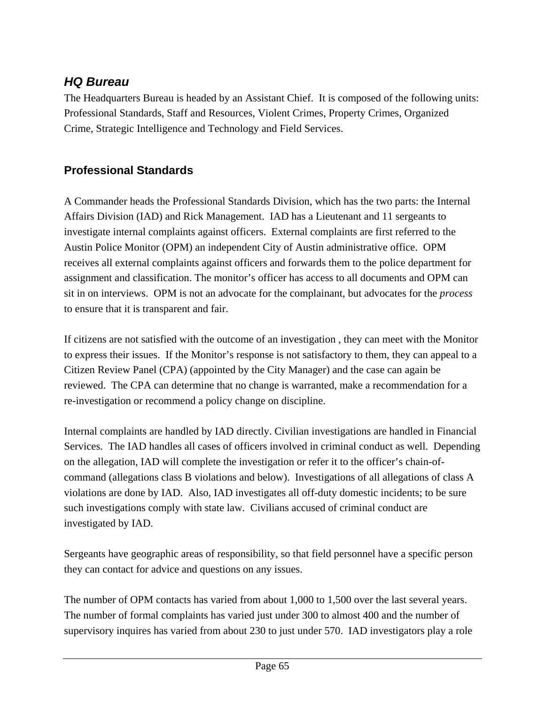# *HQ Bureau*

The Headquarters Bureau is headed by an Assistant Chief. It is composed of the following units: Professional Standards, Staff and Resources, Violent Crimes, Property Crimes, Organized Crime, Strategic Intelligence and Technology and Field Services.

# **Professional Standards**

A Commander heads the Professional Standards Division, which has the two parts: the Internal Affairs Division (IAD) and Rick Management. IAD has a Lieutenant and 11 sergeants to investigate internal complaints against officers. External complaints are first referred to the Austin Police Monitor (OPM) an independent City of Austin administrative office. OPM receives all external complaints against officers and forwards them to the police department for assignment and classification. The monitor's officer has access to all documents and OPM can sit in on interviews. OPM is not an advocate for the complainant, but advocates for the *process* to ensure that it is transparent and fair.

If citizens are not satisfied with the outcome of an investigation , they can meet with the Monitor to express their issues. If the Monitor's response is not satisfactory to them, they can appeal to a Citizen Review Panel (CPA) (appointed by the City Manager) and the case can again be reviewed. The CPA can determine that no change is warranted, make a recommendation for a re-investigation or recommend a policy change on discipline.

Internal complaints are handled by IAD directly. Civilian investigations are handled in Financial Services. The IAD handles all cases of officers involved in criminal conduct as well. Depending on the allegation, IAD will complete the investigation or refer it to the officer's chain-ofcommand (allegations class B violations and below). Investigations of all allegations of class A violations are done by IAD. Also, IAD investigates all off-duty domestic incidents; to be sure such investigations comply with state law. Civilians accused of criminal conduct are investigated by IAD.

Sergeants have geographic areas of responsibility, so that field personnel have a specific person they can contact for advice and questions on any issues.

The number of OPM contacts has varied from about 1,000 to 1,500 over the last several years. The number of formal complaints has varied just under 300 to almost 400 and the number of supervisory inquires has varied from about 230 to just under 570. IAD investigators play a role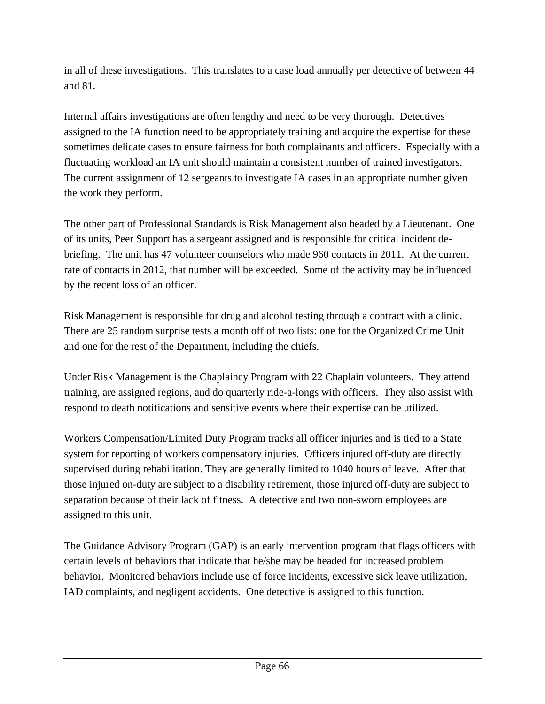in all of these investigations. This translates to a case load annually per detective of between 44 and 81.

Internal affairs investigations are often lengthy and need to be very thorough. Detectives assigned to the IA function need to be appropriately training and acquire the expertise for these sometimes delicate cases to ensure fairness for both complainants and officers. Especially with a fluctuating workload an IA unit should maintain a consistent number of trained investigators. The current assignment of 12 sergeants to investigate IA cases in an appropriate number given the work they perform.

The other part of Professional Standards is Risk Management also headed by a Lieutenant. One of its units, Peer Support has a sergeant assigned and is responsible for critical incident debriefing. The unit has 47 volunteer counselors who made 960 contacts in 2011. At the current rate of contacts in 2012, that number will be exceeded. Some of the activity may be influenced by the recent loss of an officer.

Risk Management is responsible for drug and alcohol testing through a contract with a clinic. There are 25 random surprise tests a month off of two lists: one for the Organized Crime Unit and one for the rest of the Department, including the chiefs.

Under Risk Management is the Chaplaincy Program with 22 Chaplain volunteers. They attend training, are assigned regions, and do quarterly ride-a-longs with officers. They also assist with respond to death notifications and sensitive events where their expertise can be utilized.

Workers Compensation/Limited Duty Program tracks all officer injuries and is tied to a State system for reporting of workers compensatory injuries. Officers injured off-duty are directly supervised during rehabilitation. They are generally limited to 1040 hours of leave. After that those injured on-duty are subject to a disability retirement, those injured off-duty are subject to separation because of their lack of fitness. A detective and two non-sworn employees are assigned to this unit.

The Guidance Advisory Program (GAP) is an early intervention program that flags officers with certain levels of behaviors that indicate that he/she may be headed for increased problem behavior. Monitored behaviors include use of force incidents, excessive sick leave utilization, IAD complaints, and negligent accidents. One detective is assigned to this function.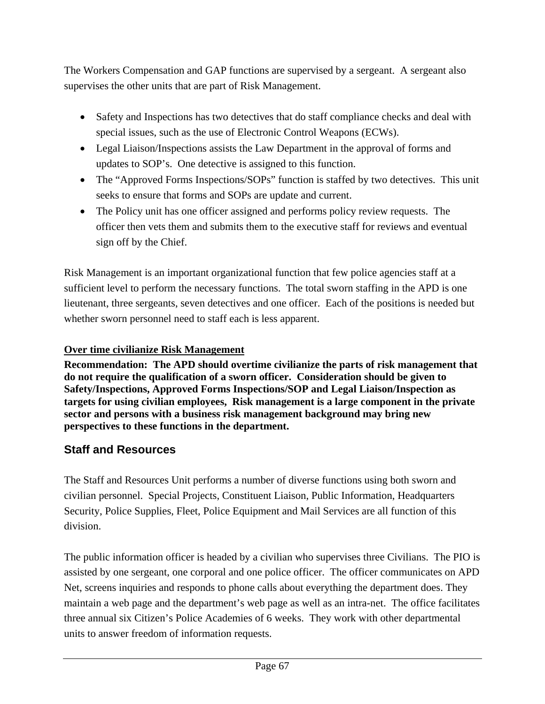The Workers Compensation and GAP functions are supervised by a sergeant. A sergeant also supervises the other units that are part of Risk Management.

- Safety and Inspections has two detectives that do staff compliance checks and deal with special issues, such as the use of Electronic Control Weapons (ECWs).
- Legal Liaison/Inspections assists the Law Department in the approval of forms and updates to SOP's. One detective is assigned to this function.
- The "Approved Forms Inspections/SOPs" function is staffed by two detectives. This unit seeks to ensure that forms and SOPs are update and current.
- The Policy unit has one officer assigned and performs policy review requests. The officer then vets them and submits them to the executive staff for reviews and eventual sign off by the Chief.

Risk Management is an important organizational function that few police agencies staff at a sufficient level to perform the necessary functions. The total sworn staffing in the APD is one lieutenant, three sergeants, seven detectives and one officer. Each of the positions is needed but whether sworn personnel need to staff each is less apparent.

# **Over time civilianize Risk Management**

**Recommendation: The APD should overtime civilianize the parts of risk management that do not require the qualification of a sworn officer. Consideration should be given to Safety/Inspections, Approved Forms Inspections/SOP and Legal Liaison/Inspection as targets for using civilian employees, Risk management is a large component in the private sector and persons with a business risk management background may bring new perspectives to these functions in the department.** 

# **Staff and Resources**

The Staff and Resources Unit performs a number of diverse functions using both sworn and civilian personnel. Special Projects, Constituent Liaison, Public Information, Headquarters Security, Police Supplies, Fleet, Police Equipment and Mail Services are all function of this division.

The public information officer is headed by a civilian who supervises three Civilians. The PIO is assisted by one sergeant, one corporal and one police officer. The officer communicates on APD Net, screens inquiries and responds to phone calls about everything the department does. They maintain a web page and the department's web page as well as an intra-net. The office facilitates three annual six Citizen's Police Academies of 6 weeks. They work with other departmental units to answer freedom of information requests.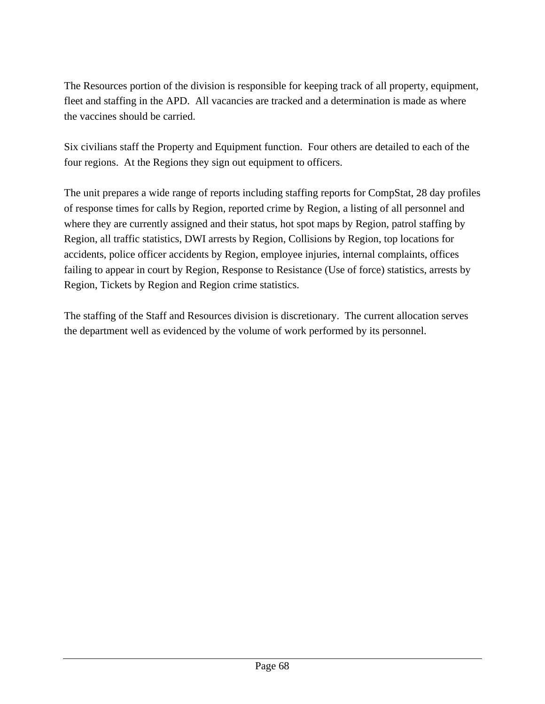The Resources portion of the division is responsible for keeping track of all property, equipment, fleet and staffing in the APD. All vacancies are tracked and a determination is made as where the vaccines should be carried.

Six civilians staff the Property and Equipment function. Four others are detailed to each of the four regions. At the Regions they sign out equipment to officers.

The unit prepares a wide range of reports including staffing reports for CompStat, 28 day profiles of response times for calls by Region, reported crime by Region, a listing of all personnel and where they are currently assigned and their status, hot spot maps by Region, patrol staffing by Region, all traffic statistics, DWI arrests by Region, Collisions by Region, top locations for accidents, police officer accidents by Region, employee injuries, internal complaints, offices failing to appear in court by Region, Response to Resistance (Use of force) statistics, arrests by Region, Tickets by Region and Region crime statistics.

The staffing of the Staff and Resources division is discretionary. The current allocation serves the department well as evidenced by the volume of work performed by its personnel.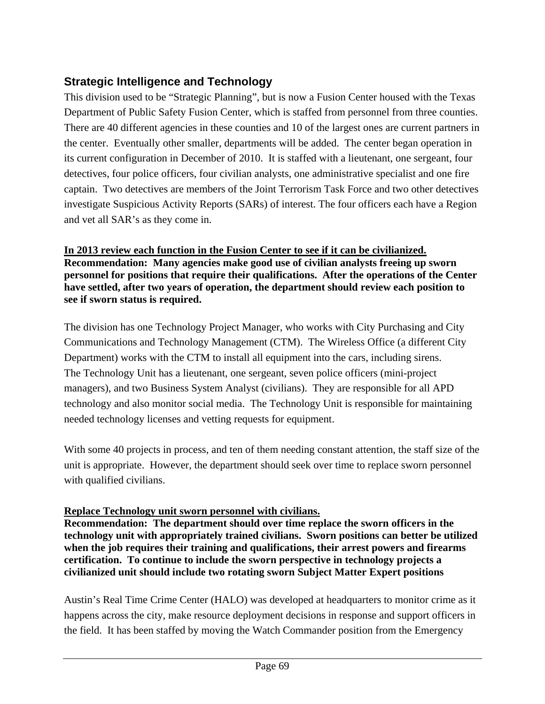# **Strategic Intelligence and Technology**

This division used to be "Strategic Planning", but is now a Fusion Center housed with the Texas Department of Public Safety Fusion Center, which is staffed from personnel from three counties. There are 40 different agencies in these counties and 10 of the largest ones are current partners in the center. Eventually other smaller, departments will be added. The center began operation in its current configuration in December of 2010. It is staffed with a lieutenant, one sergeant, four detectives, four police officers, four civilian analysts, one administrative specialist and one fire captain. Two detectives are members of the Joint Terrorism Task Force and two other detectives investigate Suspicious Activity Reports (SARs) of interest. The four officers each have a Region and vet all SAR's as they come in.

**In 2013 review each function in the Fusion Center to see if it can be civilianized. Recommendation: Many agencies make good use of civilian analysts freeing up sworn personnel for positions that require their qualifications. After the operations of the Center have settled, after two years of operation, the department should review each position to see if sworn status is required.** 

The division has one Technology Project Manager, who works with City Purchasing and City Communications and Technology Management (CTM). The Wireless Office (a different City Department) works with the CTM to install all equipment into the cars, including sirens. The Technology Unit has a lieutenant, one sergeant, seven police officers (mini-project managers), and two Business System Analyst (civilians). They are responsible for all APD technology and also monitor social media. The Technology Unit is responsible for maintaining needed technology licenses and vetting requests for equipment.

With some 40 projects in process, and ten of them needing constant attention, the staff size of the unit is appropriate. However, the department should seek over time to replace sworn personnel with qualified civilians.

# **Replace Technology unit sworn personnel with civilians.**

**Recommendation: The department should over time replace the sworn officers in the technology unit with appropriately trained civilians. Sworn positions can better be utilized when the job requires their training and qualifications, their arrest powers and firearms certification. To continue to include the sworn perspective in technology projects a civilianized unit should include two rotating sworn Subject Matter Expert positions** 

Austin's Real Time Crime Center (HALO) was developed at headquarters to monitor crime as it happens across the city, make resource deployment decisions in response and support officers in the field. It has been staffed by moving the Watch Commander position from the Emergency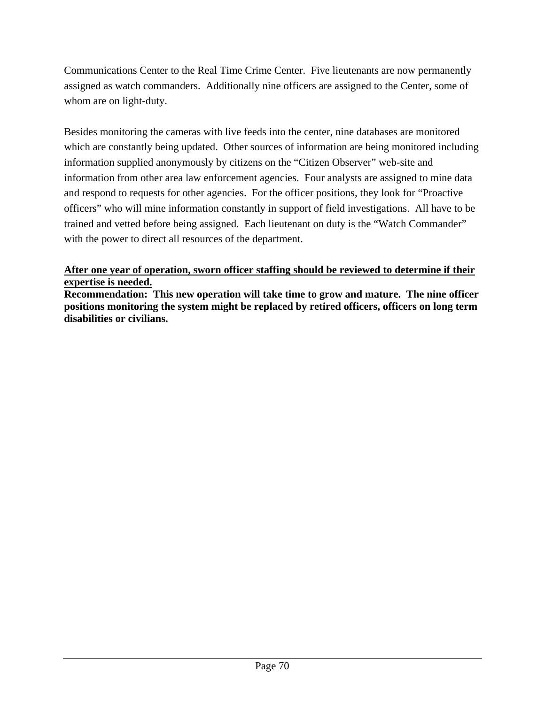Communications Center to the Real Time Crime Center. Five lieutenants are now permanently assigned as watch commanders. Additionally nine officers are assigned to the Center, some of whom are on light-duty.

Besides monitoring the cameras with live feeds into the center, nine databases are monitored which are constantly being updated. Other sources of information are being monitored including information supplied anonymously by citizens on the "Citizen Observer" web-site and information from other area law enforcement agencies. Four analysts are assigned to mine data and respond to requests for other agencies. For the officer positions, they look for "Proactive officers" who will mine information constantly in support of field investigations. All have to be trained and vetted before being assigned. Each lieutenant on duty is the "Watch Commander" with the power to direct all resources of the department.

## **After one year of operation, sworn officer staffing should be reviewed to determine if their expertise is needed.**

**Recommendation: This new operation will take time to grow and mature. The nine officer positions monitoring the system might be replaced by retired officers, officers on long term disabilities or civilians.**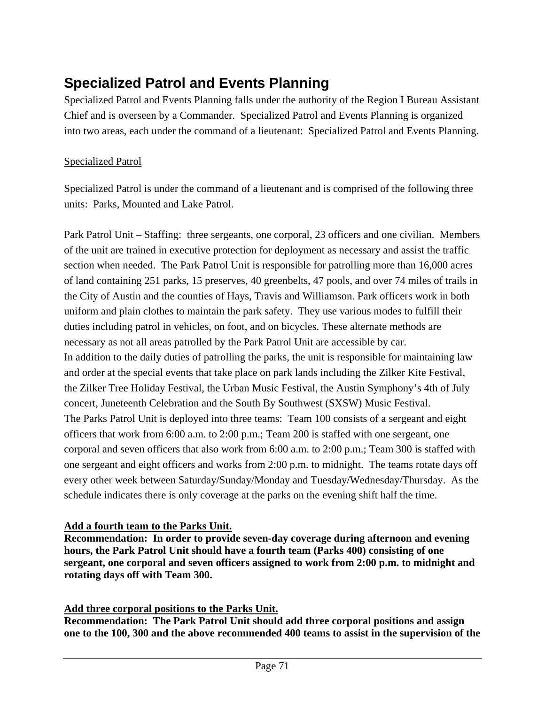# **Specialized Patrol and Events Planning**

Specialized Patrol and Events Planning falls under the authority of the Region I Bureau Assistant Chief and is overseen by a Commander. Specialized Patrol and Events Planning is organized into two areas, each under the command of a lieutenant: Specialized Patrol and Events Planning.

# Specialized Patrol

Specialized Patrol is under the command of a lieutenant and is comprised of the following three units: Parks, Mounted and Lake Patrol.

Park Patrol Unit – Staffing: three sergeants, one corporal, 23 officers and one civilian. Members of the unit are trained in executive protection for deployment as necessary and assist the traffic section when needed. The Park Patrol Unit is responsible for patrolling more than 16,000 acres of land containing 251 parks, 15 preserves, 40 greenbelts, 47 pools, and over 74 miles of trails in the City of Austin and the counties of Hays, Travis and Williamson. Park officers work in both uniform and plain clothes to maintain the park safety. They use various modes to fulfill their duties including patrol in vehicles, on foot, and on bicycles. These alternate methods are necessary as not all areas patrolled by the Park Patrol Unit are accessible by car. In addition to the daily duties of patrolling the parks, the unit is responsible for maintaining law and order at the special events that take place on park lands including the Zilker Kite Festival, the Zilker Tree Holiday Festival, the Urban Music Festival, the Austin Symphony's 4th of July concert, Juneteenth Celebration and the South By Southwest (SXSW) Music Festival. The Parks Patrol Unit is deployed into three teams: Team 100 consists of a sergeant and eight officers that work from 6:00 a.m. to 2:00 p.m.; Team 200 is staffed with one sergeant, one corporal and seven officers that also work from 6:00 a.m. to 2:00 p.m.; Team 300 is staffed with one sergeant and eight officers and works from 2:00 p.m. to midnight. The teams rotate days off every other week between Saturday/Sunday/Monday and Tuesday/Wednesday/Thursday. As the schedule indicates there is only coverage at the parks on the evening shift half the time.

# **Add a fourth team to the Parks Unit.**

**Recommendation: In order to provide seven-day coverage during afternoon and evening hours, the Park Patrol Unit should have a fourth team (Parks 400) consisting of one sergeant, one corporal and seven officers assigned to work from 2:00 p.m. to midnight and rotating days off with Team 300.** 

# **Add three corporal positions to the Parks Unit.**

**Recommendation: The Park Patrol Unit should add three corporal positions and assign one to the 100, 300 and the above recommended 400 teams to assist in the supervision of the**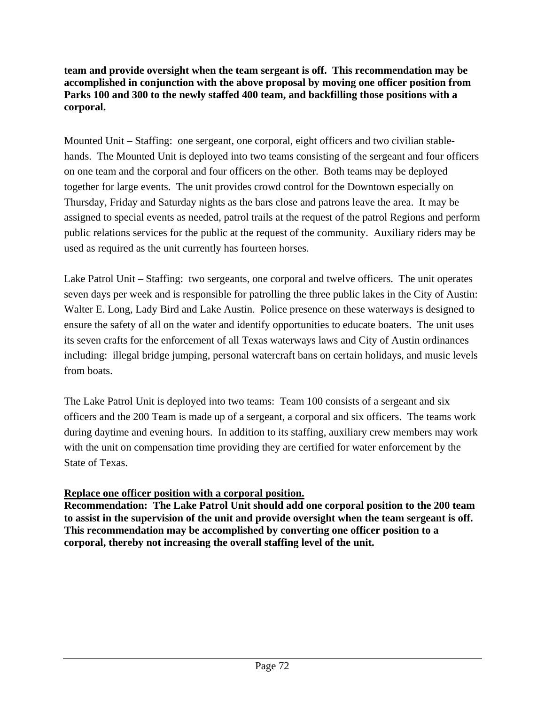**team and provide oversight when the team sergeant is off. This recommendation may be accomplished in conjunction with the above proposal by moving one officer position from Parks 100 and 300 to the newly staffed 400 team, and backfilling those positions with a corporal.**

Mounted Unit – Staffing: one sergeant, one corporal, eight officers and two civilian stablehands. The Mounted Unit is deployed into two teams consisting of the sergeant and four officers on one team and the corporal and four officers on the other. Both teams may be deployed together for large events. The unit provides crowd control for the Downtown especially on Thursday, Friday and Saturday nights as the bars close and patrons leave the area. It may be assigned to special events as needed, patrol trails at the request of the patrol Regions and perform public relations services for the public at the request of the community. Auxiliary riders may be used as required as the unit currently has fourteen horses.

Lake Patrol Unit – Staffing: two sergeants, one corporal and twelve officers. The unit operates seven days per week and is responsible for patrolling the three public lakes in the City of Austin: Walter E. Long, Lady Bird and Lake Austin. Police presence on these waterways is designed to ensure the safety of all on the water and identify opportunities to educate boaters. The unit uses its seven crafts for the enforcement of all Texas waterways laws and City of Austin ordinances including: illegal bridge jumping, personal watercraft bans on certain holidays, and music levels from boats.

The Lake Patrol Unit is deployed into two teams: Team 100 consists of a sergeant and six officers and the 200 Team is made up of a sergeant, a corporal and six officers. The teams work during daytime and evening hours. In addition to its staffing, auxiliary crew members may work with the unit on compensation time providing they are certified for water enforcement by the State of Texas.

# **Replace one officer position with a corporal position.**

**Recommendation: The Lake Patrol Unit should add one corporal position to the 200 team to assist in the supervision of the unit and provide oversight when the team sergeant is off. This recommendation may be accomplished by converting one officer position to a corporal, thereby not increasing the overall staffing level of the unit.**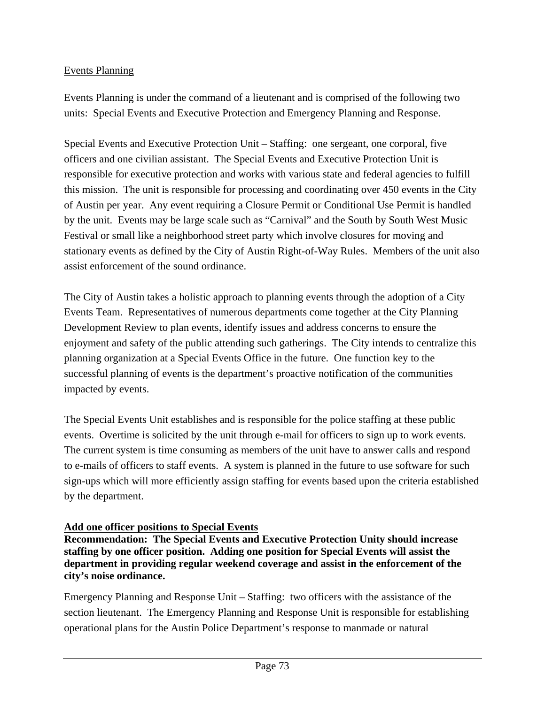# Events Planning

Events Planning is under the command of a lieutenant and is comprised of the following two units: Special Events and Executive Protection and Emergency Planning and Response.

Special Events and Executive Protection Unit – Staffing: one sergeant, one corporal, five officers and one civilian assistant. The Special Events and Executive Protection Unit is responsible for executive protection and works with various state and federal agencies to fulfill this mission. The unit is responsible for processing and coordinating over 450 events in the City of Austin per year. Any event requiring a Closure Permit or Conditional Use Permit is handled by the unit. Events may be large scale such as "Carnival" and the South by South West Music Festival or small like a neighborhood street party which involve closures for moving and stationary events as defined by the City of Austin Right-of-Way Rules. Members of the unit also assist enforcement of the sound ordinance.

The City of Austin takes a holistic approach to planning events through the adoption of a City Events Team. Representatives of numerous departments come together at the City Planning Development Review to plan events, identify issues and address concerns to ensure the enjoyment and safety of the public attending such gatherings. The City intends to centralize this planning organization at a Special Events Office in the future. One function key to the successful planning of events is the department's proactive notification of the communities impacted by events.

The Special Events Unit establishes and is responsible for the police staffing at these public events. Overtime is solicited by the unit through e-mail for officers to sign up to work events. The current system is time consuming as members of the unit have to answer calls and respond to e-mails of officers to staff events. A system is planned in the future to use software for such sign-ups which will more efficiently assign staffing for events based upon the criteria established by the department.

# **Add one officer positions to Special Events**

**Recommendation: The Special Events and Executive Protection Unity should increase staffing by one officer position. Adding one position for Special Events will assist the department in providing regular weekend coverage and assist in the enforcement of the city's noise ordinance.**

Emergency Planning and Response Unit – Staffing: two officers with the assistance of the section lieutenant. The Emergency Planning and Response Unit is responsible for establishing operational plans for the Austin Police Department's response to manmade or natural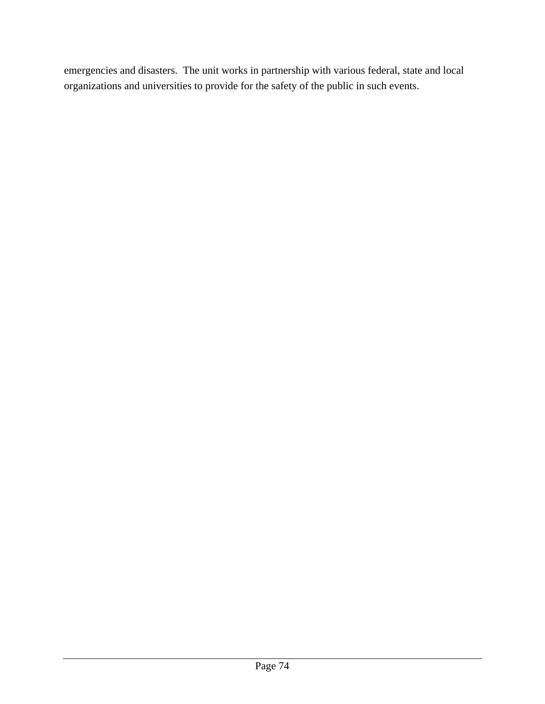emergencies and disasters. The unit works in partnership with various federal, state and local organizations and universities to provide for the safety of the public in such events.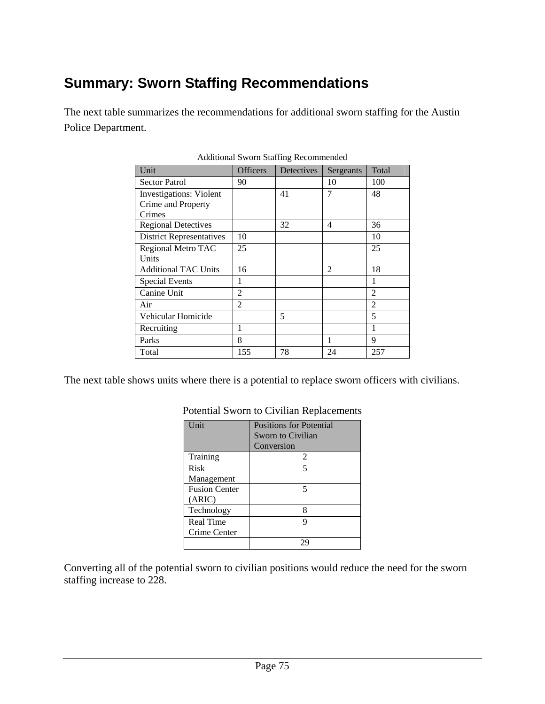# **Summary: Sworn Staffing Recommendations**

The next table summarizes the recommendations for additional sworn staffing for the Austin Police Department.

| Unit                            | <b>Officers</b> | Detectives | Sergeants      | Total          |
|---------------------------------|-----------------|------------|----------------|----------------|
| <b>Sector Patrol</b>            | 90              |            | 10             | 100            |
| <b>Investigations: Violent</b>  |                 | 41         | 7              | 48             |
| Crime and Property              |                 |            |                |                |
| Crimes                          |                 |            |                |                |
| <b>Regional Detectives</b>      |                 | 32         | 4              | 36             |
| <b>District Representatives</b> | 10              |            |                | 10             |
| Regional Metro TAC              | 25              |            |                | 25             |
| Units                           |                 |            |                |                |
| <b>Additional TAC Units</b>     | 16              |            | $\mathfrak{D}$ | 18             |
| <b>Special Events</b>           | 1               |            |                | 1              |
| Canine Unit                     | $\overline{c}$  |            |                | $\mathfrak{D}$ |
| Air                             | $\overline{2}$  |            |                | $\overline{2}$ |
| Vehicular Homicide              |                 | 5          |                | 5              |
| Recruiting                      | 1               |            |                | 1              |
| Parks                           | 8               |            | 1              | 9              |
| Total                           | 155             | 78         | 24             | 257            |

Additional Sworn Staffing Recommended

The next table shows units where there is a potential to replace sworn officers with civilians.

| Unit                 | <b>Positions for Potential</b> |  |  |
|----------------------|--------------------------------|--|--|
|                      | Sworn to Civilian              |  |  |
|                      | Conversion                     |  |  |
| Training             | 2                              |  |  |
| Risk                 | 5                              |  |  |
| Management           |                                |  |  |
| <b>Fusion Center</b> |                                |  |  |
| (ARIC)               |                                |  |  |
| Technology           | 8                              |  |  |
| Real Time            |                                |  |  |
| Crime Center         |                                |  |  |
|                      |                                |  |  |

## Potential Sworn to Civilian Replacements

Converting all of the potential sworn to civilian positions would reduce the need for the sworn staffing increase to 228.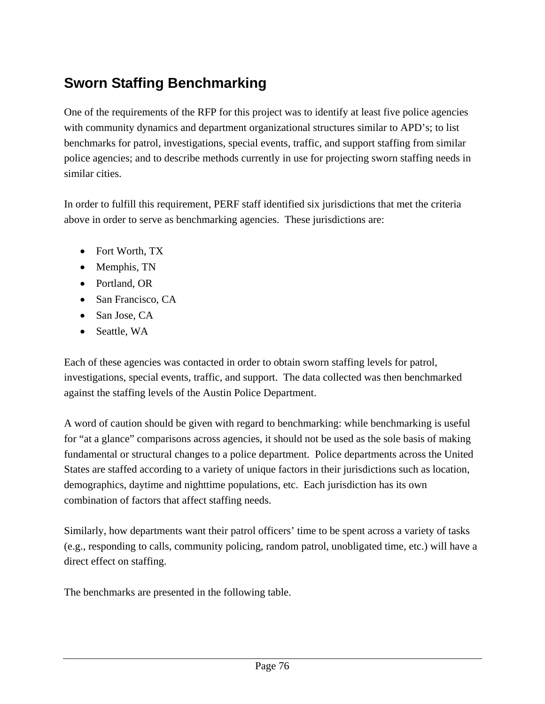# **Sworn Staffing Benchmarking**

One of the requirements of the RFP for this project was to identify at least five police agencies with community dynamics and department organizational structures similar to APD's; to list benchmarks for patrol, investigations, special events, traffic, and support staffing from similar police agencies; and to describe methods currently in use for projecting sworn staffing needs in similar cities.

In order to fulfill this requirement, PERF staff identified six jurisdictions that met the criteria above in order to serve as benchmarking agencies. These jurisdictions are:

- Fort Worth, TX
- Memphis, TN
- Portland, OR
- San Francisco, CA
- San Jose, CA
- Seattle, WA

Each of these agencies was contacted in order to obtain sworn staffing levels for patrol, investigations, special events, traffic, and support. The data collected was then benchmarked against the staffing levels of the Austin Police Department.

A word of caution should be given with regard to benchmarking: while benchmarking is useful for "at a glance" comparisons across agencies, it should not be used as the sole basis of making fundamental or structural changes to a police department. Police departments across the United States are staffed according to a variety of unique factors in their jurisdictions such as location, demographics, daytime and nighttime populations, etc. Each jurisdiction has its own combination of factors that affect staffing needs.

Similarly, how departments want their patrol officers' time to be spent across a variety of tasks (e.g., responding to calls, community policing, random patrol, unobligated time, etc.) will have a direct effect on staffing.

The benchmarks are presented in the following table.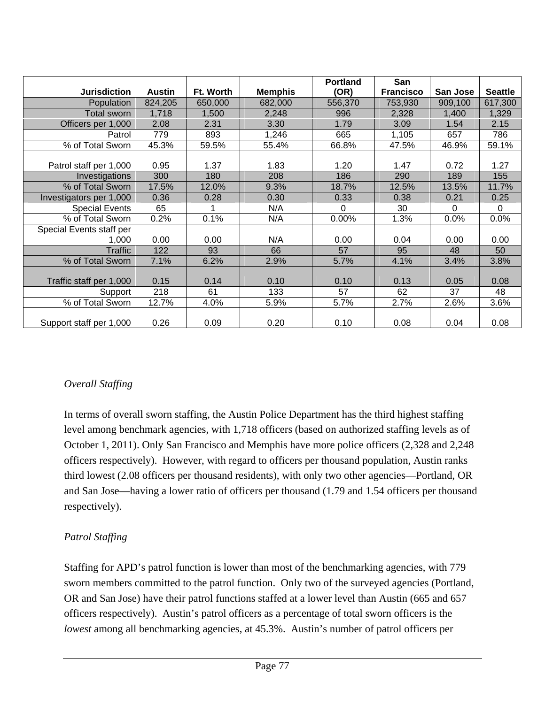|                          |               |           |                | <b>Portland</b> | San              |          |                |
|--------------------------|---------------|-----------|----------------|-----------------|------------------|----------|----------------|
| <b>Jurisdiction</b>      | <b>Austin</b> | Ft. Worth | <b>Memphis</b> | (OR)            | <b>Francisco</b> | San Jose | <b>Seattle</b> |
| Population               | 824,205       | 650,000   | 682,000        | 556,370         | 753,930          | 909,100  | 617,300        |
| <b>Total sworn</b>       | 1,718         | 1,500     | 2,248          | 996             | 2,328            | 1,400    | 1,329          |
| Officers per 1,000       | 2.08          | 2.31      | 3.30           | 1.79            | 3.09             | 1.54     | 2.15           |
| Patrol                   | 779           | 893       | 1,246          | 665             | 1,105            | 657      | 786            |
| % of Total Sworn         | 45.3%         | 59.5%     | 55.4%          | 66.8%           | 47.5%            | 46.9%    | 59.1%          |
|                          |               |           |                |                 |                  |          |                |
| Patrol staff per 1,000   | 0.95          | 1.37      | 1.83           | 1.20            | 1.47             | 0.72     | 1.27           |
| Investigations           | 300           | 180       | 208            | 186             | 290              | 189      | 155            |
| % of Total Sworn         | 17.5%         | 12.0%     | 9.3%           | 18.7%           | 12.5%            | 13.5%    | 11.7%          |
| Investigators per 1,000  | 0.36          | 0.28      | 0.30           | 0.33            | 0.38             | 0.21     | 0.25           |
| <b>Special Events</b>    | 65            | 1         | N/A            | 0               | 30               | $\Omega$ | $\Omega$       |
| % of Total Sworn         | 0.2%          | 0.1%      | N/A            | 0.00%           | 1.3%             | 0.0%     | 0.0%           |
| Special Events staff per |               |           |                |                 |                  |          |                |
| 1,000                    | 0.00          | 0.00      | N/A            | 0.00            | 0.04             | 0.00     | 0.00           |
| Traffic                  | 122           | 93        | 66             | 57              | 95               | 48       | 50             |
| % of Total Sworn         | 7.1%          | 6.2%      | 2.9%           | 5.7%            | 4.1%             | 3.4%     | 3.8%           |
|                          |               |           |                |                 |                  |          |                |
| Traffic staff per 1,000  | 0.15          | 0.14      | 0.10           | 0.10            | 0.13             | 0.05     | 0.08           |
| Support                  | 218           | 61        | 133            | 57              | 62               | 37       | 48             |
| % of Total Sworn         | 12.7%         | 4.0%      | 5.9%           | 5.7%            | 2.7%             | 2.6%     | 3.6%           |
|                          |               |           |                |                 |                  |          |                |
| Support staff per 1,000  | 0.26          | 0.09      | 0.20           | 0.10            | 0.08             | 0.04     | 0.08           |

# *Overall Staffing*

In terms of overall sworn staffing, the Austin Police Department has the third highest staffing level among benchmark agencies, with 1,718 officers (based on authorized staffing levels as of October 1, 2011). Only San Francisco and Memphis have more police officers (2,328 and 2,248 officers respectively). However, with regard to officers per thousand population, Austin ranks third lowest (2.08 officers per thousand residents), with only two other agencies—Portland, OR and San Jose—having a lower ratio of officers per thousand (1.79 and 1.54 officers per thousand respectively).

# *Patrol Staffing*

Staffing for APD's patrol function is lower than most of the benchmarking agencies, with 779 sworn members committed to the patrol function. Only two of the surveyed agencies (Portland, OR and San Jose) have their patrol functions staffed at a lower level than Austin (665 and 657 officers respectively). Austin's patrol officers as a percentage of total sworn officers is the *lowest* among all benchmarking agencies, at 45.3%. Austin's number of patrol officers per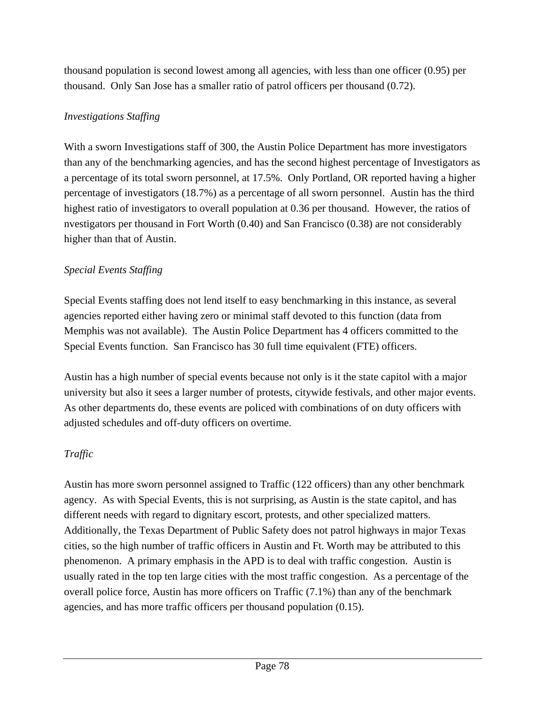thousand population is second lowest among all agencies, with less than one officer (0.95) per thousand. Only San Jose has a smaller ratio of patrol officers per thousand (0.72).

# *Investigations Staffing*

With a sworn Investigations staff of 300, the Austin Police Department has more investigators than any of the benchmarking agencies, and has the second highest percentage of Investigators as a percentage of its total sworn personnel, at 17.5%. Only Portland, OR reported having a higher percentage of investigators (18.7%) as a percentage of all sworn personnel. Austin has the third highest ratio of investigators to overall population at 0.36 per thousand. However, the ratios of nvestigators per thousand in Fort Worth (0.40) and San Francisco (0.38) are not considerably higher than that of Austin.

# *Special Events Staffing*

Special Events staffing does not lend itself to easy benchmarking in this instance, as several agencies reported either having zero or minimal staff devoted to this function (data from Memphis was not available). The Austin Police Department has 4 officers committed to the Special Events function. San Francisco has 30 full time equivalent (FTE) officers.

Austin has a high number of special events because not only is it the state capitol with a major university but also it sees a larger number of protests, citywide festivals, and other major events. As other departments do, these events are policed with combinations of on duty officers with adjusted schedules and off-duty officers on overtime.

# *Traffic*

Austin has more sworn personnel assigned to Traffic (122 officers) than any other benchmark agency. As with Special Events, this is not surprising, as Austin is the state capitol, and has different needs with regard to dignitary escort, protests, and other specialized matters. Additionally, the Texas Department of Public Safety does not patrol highways in major Texas cities, so the high number of traffic officers in Austin and Ft. Worth may be attributed to this phenomenon. A primary emphasis in the APD is to deal with traffic congestion. Austin is usually rated in the top ten large cities with the most traffic congestion. As a percentage of the overall police force, Austin has more officers on Traffic (7.1%) than any of the benchmark agencies, and has more traffic officers per thousand population (0.15).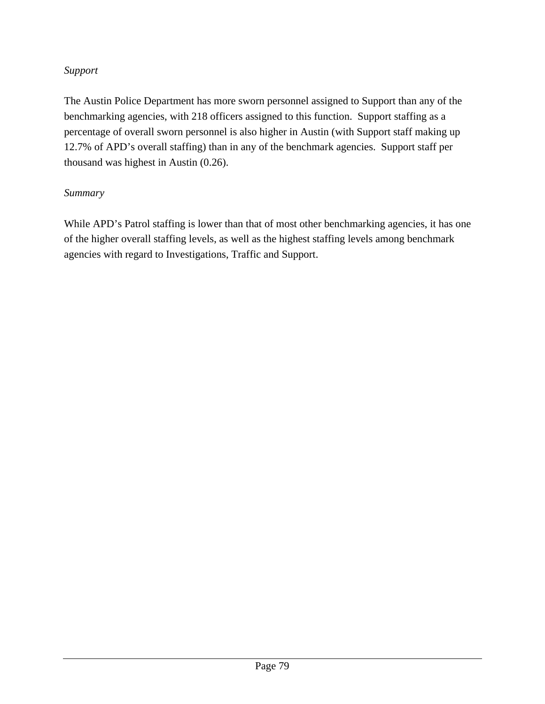# *Support*

The Austin Police Department has more sworn personnel assigned to Support than any of the benchmarking agencies, with 218 officers assigned to this function. Support staffing as a percentage of overall sworn personnel is also higher in Austin (with Support staff making up 12.7% of APD's overall staffing) than in any of the benchmark agencies. Support staff per thousand was highest in Austin (0.26).

# *Summary*

While APD's Patrol staffing is lower than that of most other benchmarking agencies, it has one of the higher overall staffing levels, as well as the highest staffing levels among benchmark agencies with regard to Investigations, Traffic and Support.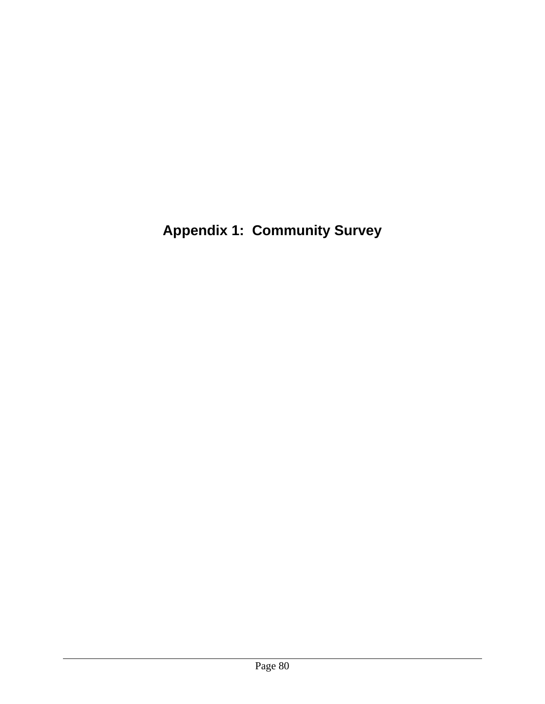**Appendix 1: Community Survey**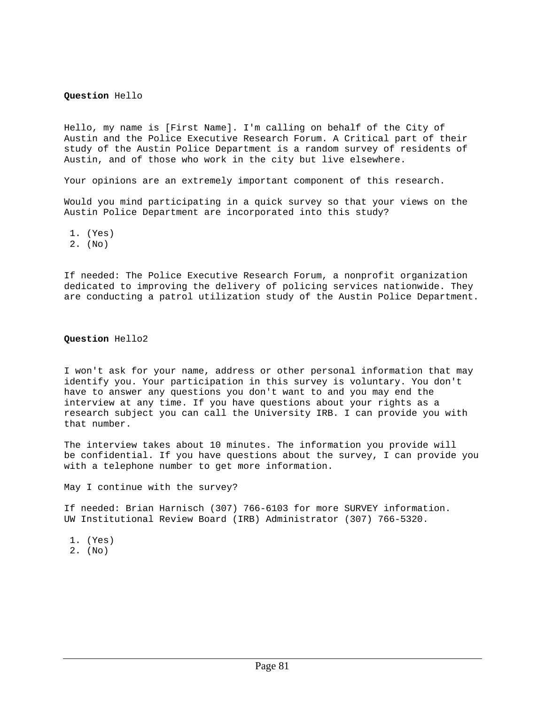#### **Question** Hello

Hello, my name is [First Name]. I'm calling on behalf of the City of Austin and the Police Executive Research Forum. A Critical part of their study of the Austin Police Department is a random survey of residents of Austin, and of those who work in the city but live elsewhere.

Your opinions are an extremely important component of this research.

Would you mind participating in a quick survey so that your views on the Austin Police Department are incorporated into this study?

1. (Yes)

2. (No)

If needed: The Police Executive Research Forum, a nonprofit organization dedicated to improving the delivery of policing services nationwide. They are conducting a patrol utilization study of the Austin Police Department.

#### **Question** Hello2

I won't ask for your name, address or other personal information that may identify you. Your participation in this survey is voluntary. You don't have to answer any questions you don't want to and you may end the interview at any time. If you have questions about your rights as a research subject you can call the University IRB. I can provide you with that number.

The interview takes about 10 minutes. The information you provide will be confidential. If you have questions about the survey, I can provide you with a telephone number to get more information.

May I continue with the survey?

If needed: Brian Harnisch (307) 766-6103 for more SURVEY information. UW Institutional Review Board (IRB) Administrator (307) 766-5320.

 1. (Yes) 2. (No)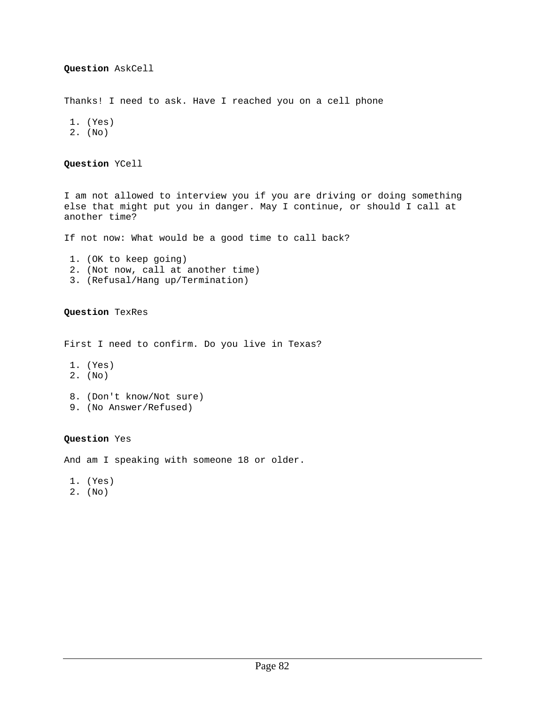Thanks! I need to ask. Have I reached you on a cell phone

```
 1. (Yes) 
 2. (No)
```
**Question** YCell

I am not allowed to interview you if you are driving or doing something else that might put you in danger. May I continue, or should I call at another time?

If not now: What would be a good time to call back?

- 1. (OK to keep going) 2. (Not now, call at another time)
- 3. (Refusal/Hang up/Termination)

#### **Question** TexRes

First I need to confirm. Do you live in Texas?

- 1. (Yes)
- 2. (No)
- 8. (Don't know/Not sure)
- 9. (No Answer/Refused)

#### **Question** Yes

And am I speaking with someone 18 or older.

- 1. (Yes)
- 2. (No)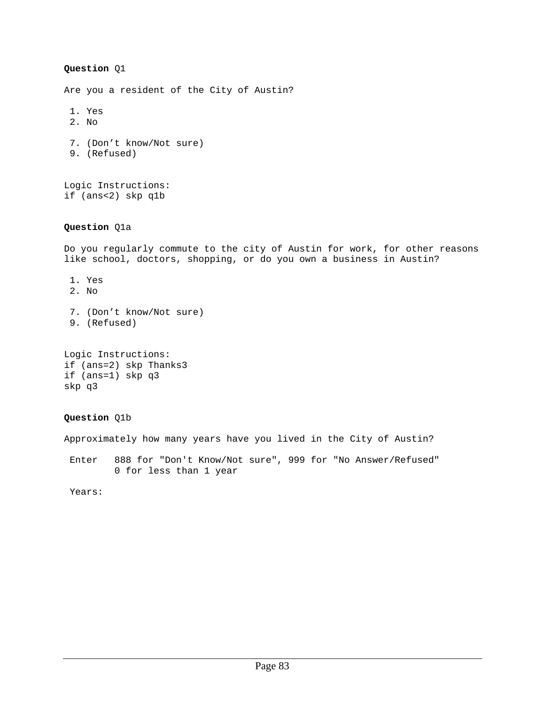Are you a resident of the City of Austin?

- 1. Yes
- 2. No
- 7. (Don't know/Not sure)
- 9. (Refused)

Logic Instructions: if (ans<2) skp q1b

#### **Question** Q1a

Do you regularly commute to the city of Austin for work, for other reasons like school, doctors, shopping, or do you own a business in Austin?

- 1. Yes
- 2. No
- 7. (Don't know/Not sure)
- 9. (Refused)

```
Logic Instructions: 
if (ans=2) skp Thanks3 
if (ans=1) skp q3 
skp q3
```
## **Question** Q1b

Approximately how many years have you lived in the City of Austin?

 Enter 888 for "Don't Know/Not sure", 999 for "No Answer/Refused" 0 for less than 1 year

Years: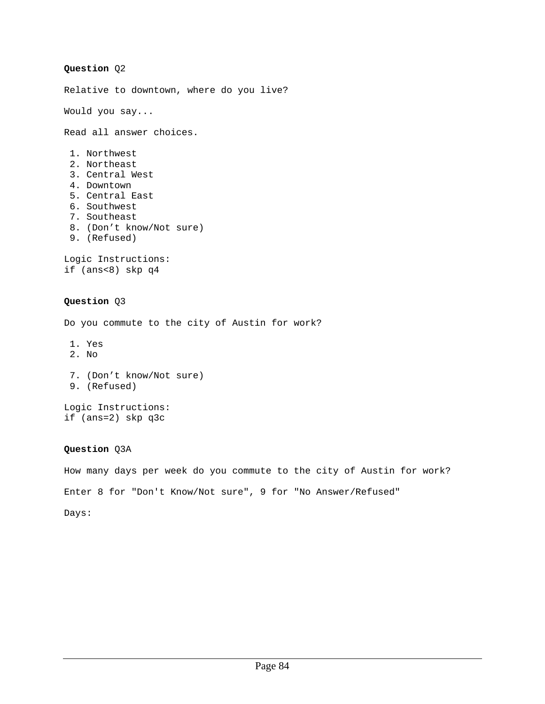```
Question Q2 
Relative to downtown, where do you live? 
Would you say... 
Read all answer choices. 
  1. Northwest 
  2. Northeast 
  3. Central West 
  4. Downtown 
  5. Central East 
  6. Southwest 
  7. Southeast 
  8. (Don't know/Not sure) 
  9. (Refused) 
Logic Instructions: 
if (ans<8) skp q4 
Question Q3 
Do you commute to the city of Austin for work? 
  1. Yes 
  2. No 
  7. (Don't know/Not sure) 
  9. (Refused) 
Logic Instructions: 
if (ans=2) skp q3c
```
How many days per week do you commute to the city of Austin for work? Enter 8 for "Don't Know/Not sure", 9 for "No Answer/Refused"

Days: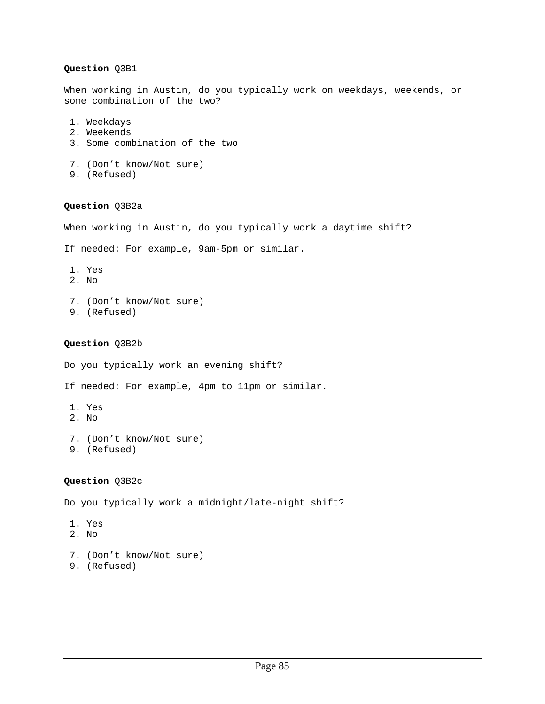When working in Austin, do you typically work on weekdays, weekends, or some combination of the two?

- 1. Weekdays
- 2. Weekends
- 3. Some combination of the two

```
 7. (Don't know/Not sure)
```
9. (Refused)

## **Question** Q3B2a

When working in Austin, do you typically work a daytime shift?

```
If needed: For example, 9am-5pm or similar.
```
- 1. Yes
- 2. No
- 7. (Don't know/Not sure)
- 9. (Refused)

## **Question** Q3B2b

Do you typically work an evening shift?

If needed: For example, 4pm to 11pm or similar.

- 1. Yes
- 2. No
- 7. (Don't know/Not sure) 9. (Refused)

## **Question** Q3B2c

Do you typically work a midnight/late-night shift?

- 1. Yes
- 2. No
- 7. (Don't know/Not sure) 9. (Refused)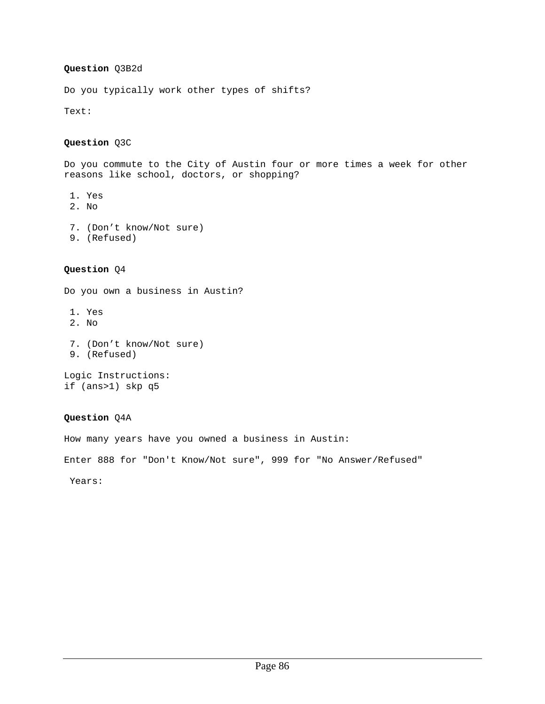## **Question** Q3B2d

Do you typically work other types of shifts?

Text:

## **Question** Q3C

Do you commute to the City of Austin four or more times a week for other reasons like school, doctors, or shopping?

- 1. Yes
- 2. No
- 7. (Don't know/Not sure)
- 9. (Refused)

## **Question** Q4

Do you own a business in Austin?

- 1. Yes
- 2. No
- 7. (Don't know/Not sure)
- 9. (Refused)

Logic Instructions: if (ans>1) skp q5

## **Question** Q4A

How many years have you owned a business in Austin:

Enter 888 for "Don't Know/Not sure", 999 for "No Answer/Refused"

Years: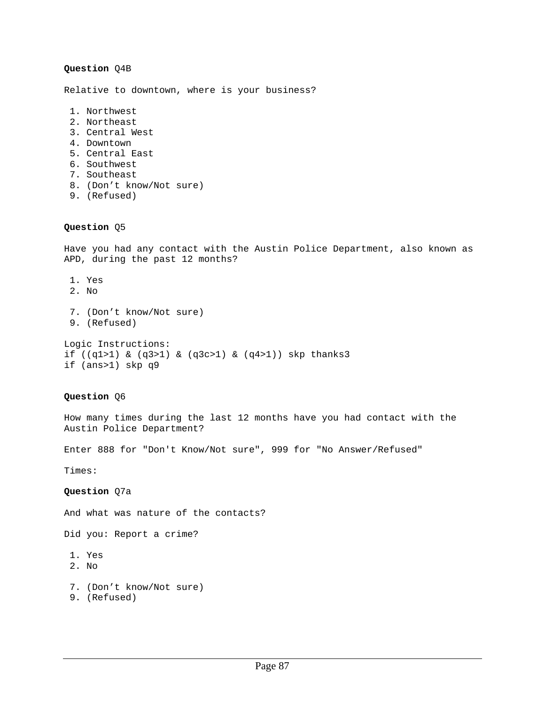Relative to downtown, where is your business?

- 1. Northwest
- 2. Northeast
- 3. Central West
- 4. Downtown
- 5. Central East
- 6. Southwest
- 7. Southeast
- 8. (Don't know/Not sure)
- 9. (Refused)

### **Question** Q5

Have you had any contact with the Austin Police Department, also known as APD, during the past 12 months?

- 1. Yes
- 2. No
- 7. (Don't know/Not sure) 9. (Refused) Logic Instructions:

if ((q1>1) & (q3>1) & (q3c>1) & (q4>1)) skp thanks3 if (ans>1) skp q9

#### **Question** Q6

How many times during the last 12 months have you had contact with the Austin Police Department?

Enter 888 for "Don't Know/Not sure", 999 for "No Answer/Refused"

Times:

**Question** Q7a

And what was nature of the contacts?

Did you: Report a crime?

- 1. Yes
- 2. No
- 7. (Don't know/Not sure)
- 9. (Refused)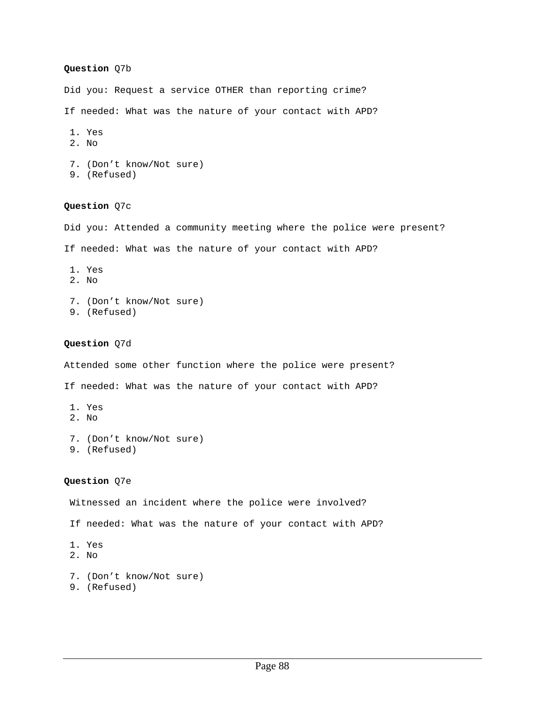Did you: Request a service OTHER than reporting crime?

If needed: What was the nature of your contact with APD?

- 1. Yes
- 2. No
- 7. (Don't know/Not sure)
- 9. (Refused)

#### **Question** Q7c

Did you: Attended a community meeting where the police were present?

If needed: What was the nature of your contact with APD?

- 1. Yes
- 2. No
- 7. (Don't know/Not sure)
- 9. (Refused)

### **Question** Q7d

Attended some other function where the police were present?

If needed: What was the nature of your contact with APD?

- 1. Yes
- 2. No
- 7. (Don't know/Not sure) 9. (Refused)

#### **Question** Q7e

Witnessed an incident where the police were involved?

If needed: What was the nature of your contact with APD?

- 1. Yes
- 2. No
- 7. (Don't know/Not sure)
- 9. (Refused)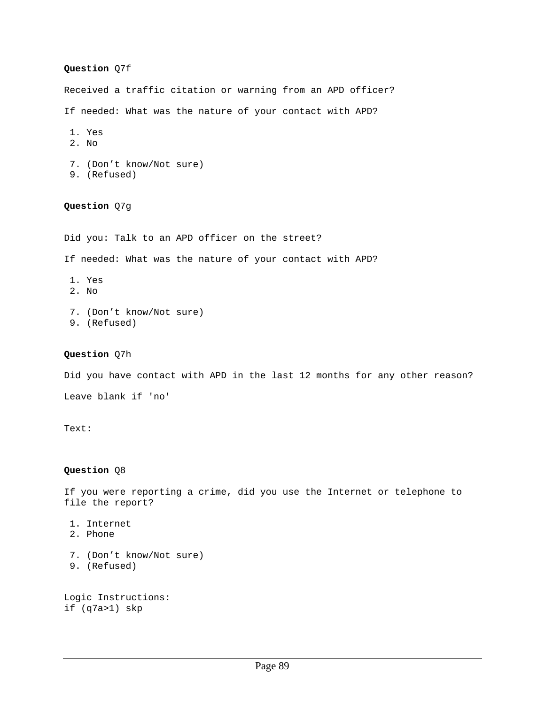Received a traffic citation or warning from an APD officer?

If needed: What was the nature of your contact with APD?

- 1. Yes
- 2. No
- 7. (Don't know/Not sure)
- 9. (Refused)

### **Question** Q7g

Did you: Talk to an APD officer on the street?

If needed: What was the nature of your contact with APD?

- 1. Yes
- 2. No
- 7. (Don't know/Not sure) 9. (Refused)
- **Question** Q7h

Did you have contact with APD in the last 12 months for any other reason? Leave blank if 'no'

Text:

## **Question** Q8

If you were reporting a crime, did you use the Internet or telephone to file the report?

- 1. Internet
- 2. Phone
- 7. (Don't know/Not sure) 9. (Refused)

Logic Instructions: if (q7a>1) skp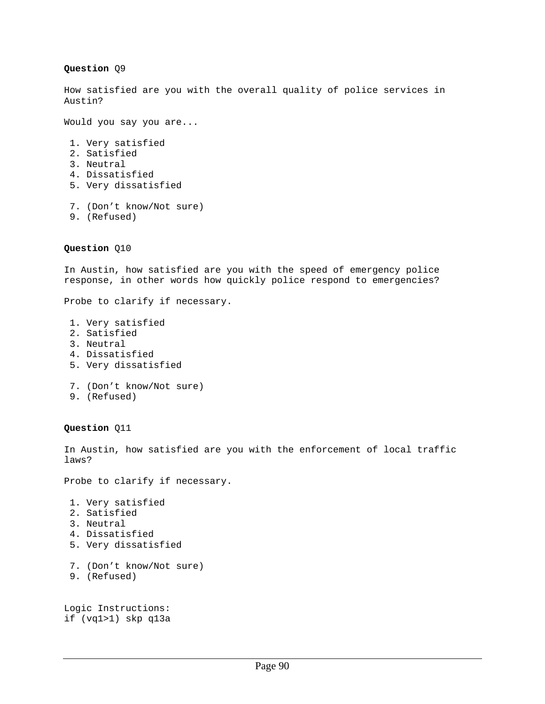How satisfied are you with the overall quality of police services in Austin?

Would you say you are...

- 1. Very satisfied
- 2. Satisfied
- 3. Neutral
- 4. Dissatisfied
- 5. Very dissatisfied
- 7. (Don't know/Not sure)
- 9. (Refused)

## **Question** Q10

In Austin, how satisfied are you with the speed of emergency police response, in other words how quickly police respond to emergencies?

Probe to clarify if necessary.

- 1. Very satisfied
- 2. Satisfied
- 3. Neutral
- 4. Dissatisfied
- 5. Very dissatisfied
- 7. (Don't know/Not sure)
- 9. (Refused)

**Question** Q11

In Austin, how satisfied are you with the enforcement of local traffic laws?

Probe to clarify if necessary.

- 1. Very satisfied
- 2. Satisfied
- 3. Neutral
- 4. Dissatisfied
- 5. Very dissatisfied
- 7. (Don't know/Not sure)
- 9. (Refused)

Logic Instructions: if (vq1>1) skp q13a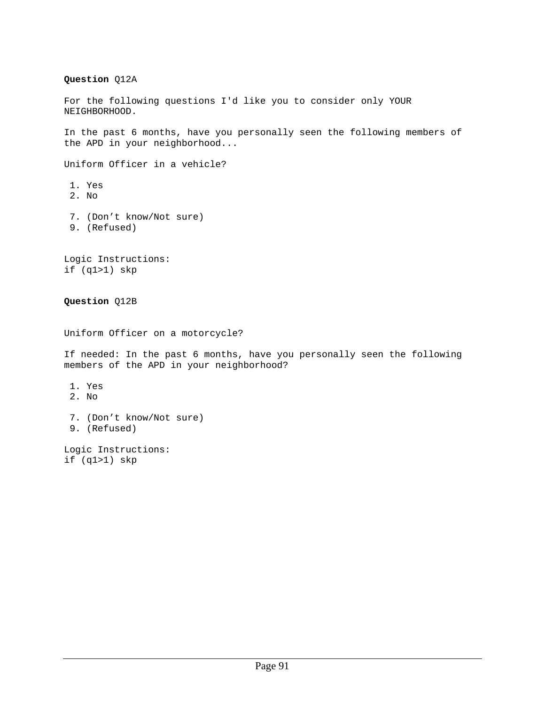## **Question** Q12A

For the following questions I'd like you to consider only YOUR NEIGHBORHOOD.

In the past 6 months, have you personally seen the following members of the APD in your neighborhood...

Uniform Officer in a vehicle? 1. Yes 2. No 7. (Don't know/Not sure)

- 9. (Refused)
- 

Logic Instructions: if (q1>1) skp

## **Question** Q12B

Uniform Officer on a motorcycle?

If needed: In the past 6 months, have you personally seen the following members of the APD in your neighborhood?

- 1. Yes
- 2. No
- 7. (Don't know/Not sure)
- 9. (Refused)

Logic Instructions: if (q1>1) skp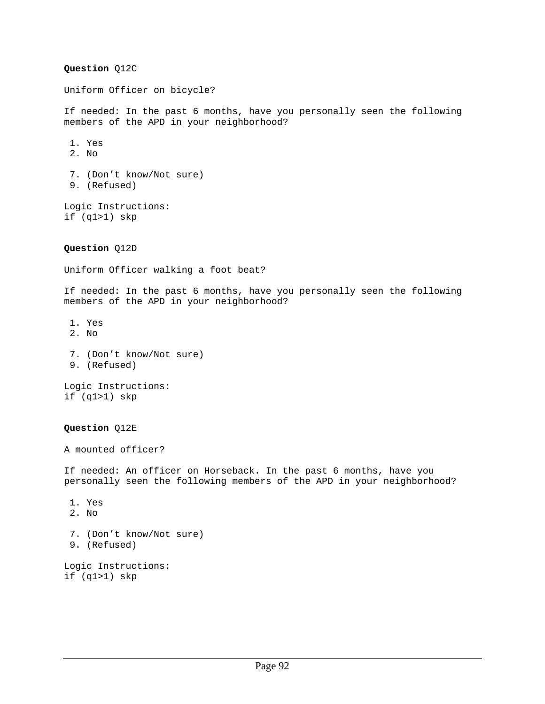**Question** Q12C Uniform Officer on bicycle? If needed: In the past 6 months, have you personally seen the following members of the APD in your neighborhood? 1. Yes 2. No 7. (Don't know/Not sure) 9. (Refused) Logic Instructions: if (q1>1) skp **Question** Q12D Uniform Officer walking a foot beat? If needed: In the past 6 months, have you personally seen the following members of the APD in your neighborhood? 1. Yes 2. No 7. (Don't know/Not sure) 9. (Refused) Logic Instructions: if (q1>1) skp **Question** Q12E A mounted officer? If needed: An officer on Horseback. In the past 6 months, have you personally seen the following members of the APD in your neighborhood? 1. Yes 2. No 7. (Don't know/Not sure) 9. (Refused) Logic Instructions:

if (q1>1) skp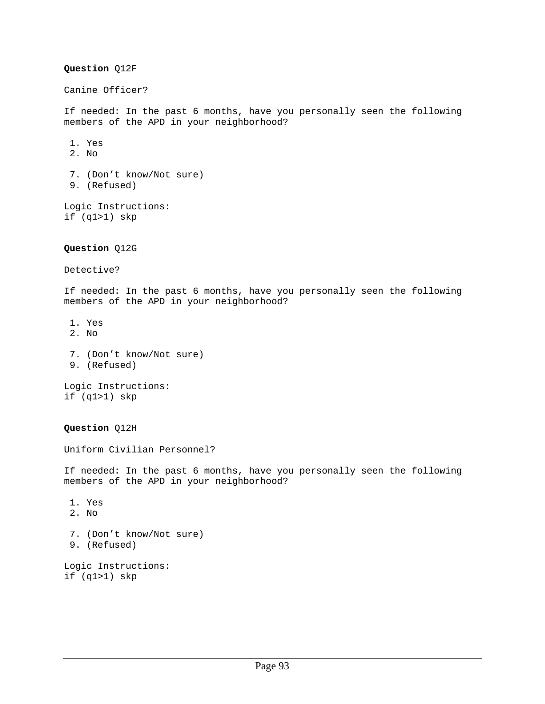**Question** Q12F Canine Officer? If needed: In the past 6 months, have you personally seen the following members of the APD in your neighborhood? 1. Yes 2. No 7. (Don't know/Not sure) 9. (Refused) Logic Instructions: if (q1>1) skp **Question** Q12G Detective? If needed: In the past 6 months, have you personally seen the following members of the APD in your neighborhood? 1. Yes 2. No 7. (Don't know/Not sure) 9. (Refused) Logic Instructions: if (q1>1) skp **Question** Q12H Uniform Civilian Personnel? If needed: In the past 6 months, have you personally seen the following members of the APD in your neighborhood? 1. Yes 2. No 7. (Don't know/Not sure) 9. (Refused) Logic Instructions: if (q1>1) skp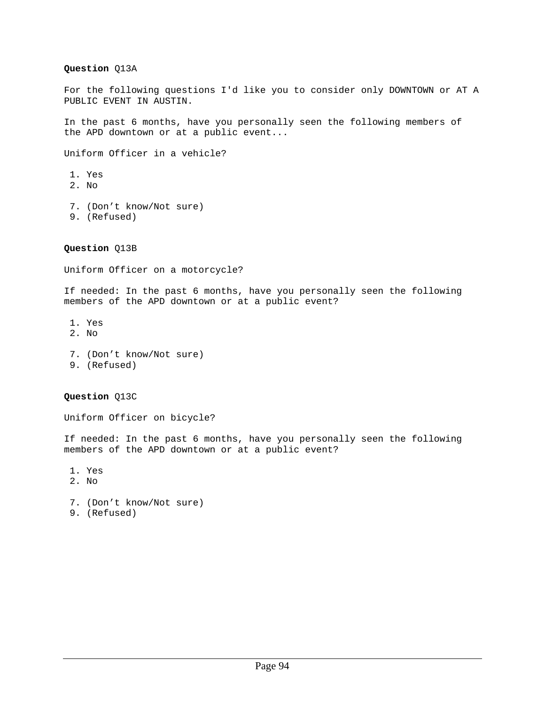## **Question** Q13A

For the following questions I'd like you to consider only DOWNTOWN or AT A PUBLIC EVENT IN AUSTIN.

In the past 6 months, have you personally seen the following members of the APD downtown or at a public event...

Uniform Officer in a vehicle?

- 1. Yes
- 2. No
- 7. (Don't know/Not sure)
- 9. (Refused)

**Question** Q13B

Uniform Officer on a motorcycle?

If needed: In the past 6 months, have you personally seen the following members of the APD downtown or at a public event?

- 1. Yes
- 2. No
- 7. (Don't know/Not sure)
- 9. (Refused)

## **Question** Q13C

Uniform Officer on bicycle?

If needed: In the past 6 months, have you personally seen the following members of the APD downtown or at a public event?

- 1. Yes
- 2. No
- 7. (Don't know/Not sure)
- 9. (Refused)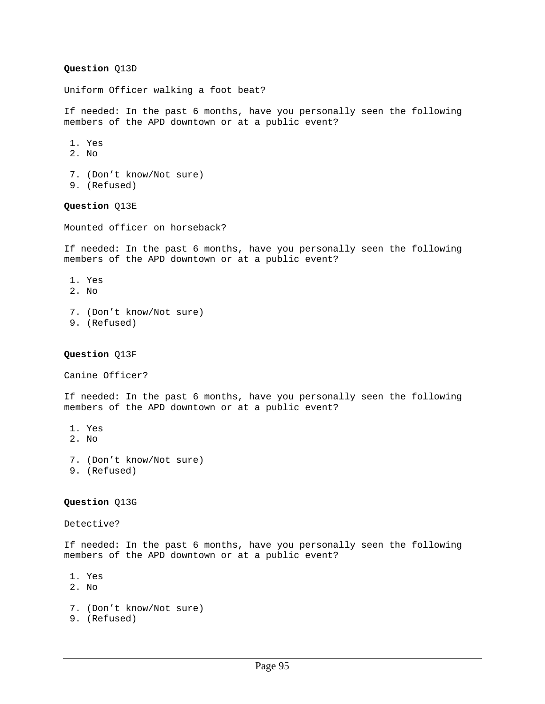### **Question** Q13D

Uniform Officer walking a foot beat?

If needed: In the past 6 months, have you personally seen the following members of the APD downtown or at a public event?

- 1. Yes
- 2. No
- 7. (Don't know/Not sure)
- 9. (Refused)

**Question** Q13E

Mounted officer on horseback?

If needed: In the past 6 months, have you personally seen the following members of the APD downtown or at a public event?

- 1. Yes
- 2. No
- 7. (Don't know/Not sure) 9. (Refused)
- 

#### **Question** Q13F

Canine Officer?

If needed: In the past 6 months, have you personally seen the following members of the APD downtown or at a public event?

- 1. Yes
- 2. No
- 7. (Don't know/Not sure)
- 9. (Refused)

#### **Question** Q13G

Detective?

If needed: In the past 6 months, have you personally seen the following members of the APD downtown or at a public event?

- 1. Yes
- 2. No
- 7. (Don't know/Not sure)
- 9. (Refused)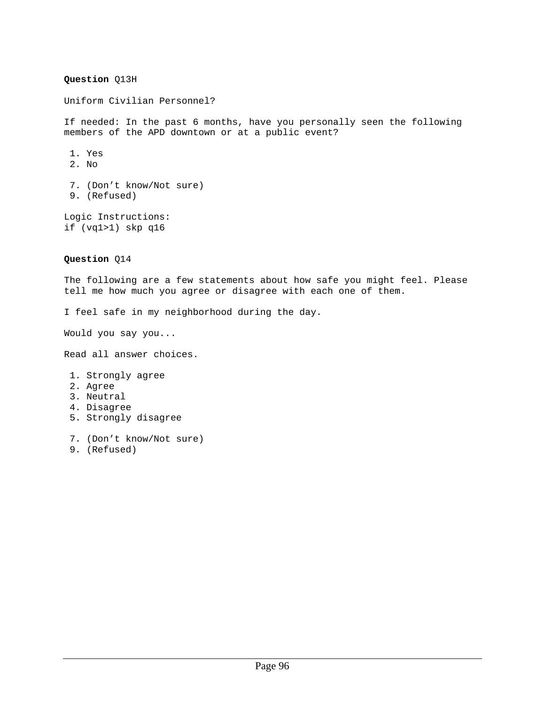## **Question** Q13H

Uniform Civilian Personnel?

If needed: In the past 6 months, have you personally seen the following members of the APD downtown or at a public event?

- 1. Yes
- 2. No
- 7. (Don't know/Not sure) 9. (Refused)

Logic Instructions: if (vq1>1) skp q16

## **Question** Q14

The following are a few statements about how safe you might feel. Please tell me how much you agree or disagree with each one of them.

I feel safe in my neighborhood during the day.

Would you say you...

Read all answer choices.

- 1. Strongly agree
- 2. Agree
- 3. Neutral
- 4. Disagree
- 5. Strongly disagree
- 7. (Don't know/Not sure)
- 9. (Refused)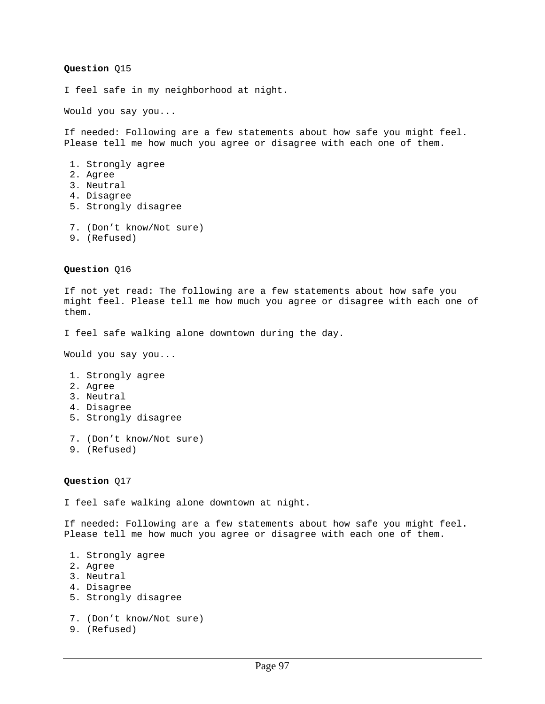I feel safe in my neighborhood at night.

Would you say you...

If needed: Following are a few statements about how safe you might feel. Please tell me how much you agree or disagree with each one of them.

- 1. Strongly agree 2. Agree
- 3. Neutral
- 4. Disagree
- 5. Strongly disagree
- 7. (Don't know/Not sure)
- 9. (Refused)

**Question** Q16

If not yet read: The following are a few statements about how safe you might feel. Please tell me how much you agree or disagree with each one of them.

I feel safe walking alone downtown during the day.

Would you say you...

- 1. Strongly agree
- 2. Agree
- 3. Neutral
- 4. Disagree
- 5. Strongly disagree
- 7. (Don't know/Not sure)
- 9. (Refused)

#### **Question** Q17

I feel safe walking alone downtown at night.

If needed: Following are a few statements about how safe you might feel. Please tell me how much you agree or disagree with each one of them.

- 1. Strongly agree
- 2. Agree
- 3. Neutral
- 4. Disagree
- 5. Strongly disagree

```
 7. (Don't know/Not sure)
```
9. (Refused)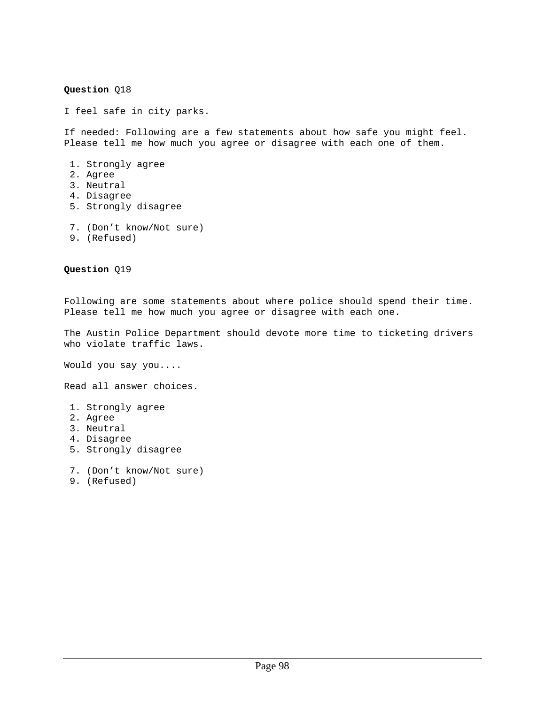I feel safe in city parks.

If needed: Following are a few statements about how safe you might feel. Please tell me how much you agree or disagree with each one of them.

- 1. Strongly agree
- 2. Agree
- 3. Neutral
- 4. Disagree
- 5. Strongly disagree
- 7. (Don't know/Not sure)
- 9. (Refused)

**Question** Q19

Following are some statements about where police should spend their time. Please tell me how much you agree or disagree with each one.

The Austin Police Department should devote more time to ticketing drivers who violate traffic laws.

Would you say you....

Read all answer choices.

- 1. Strongly agree
- 2. Agree
- 3. Neutral
- 4. Disagree
- 5. Strongly disagree
- 7. (Don't know/Not sure)
- 9. (Refused)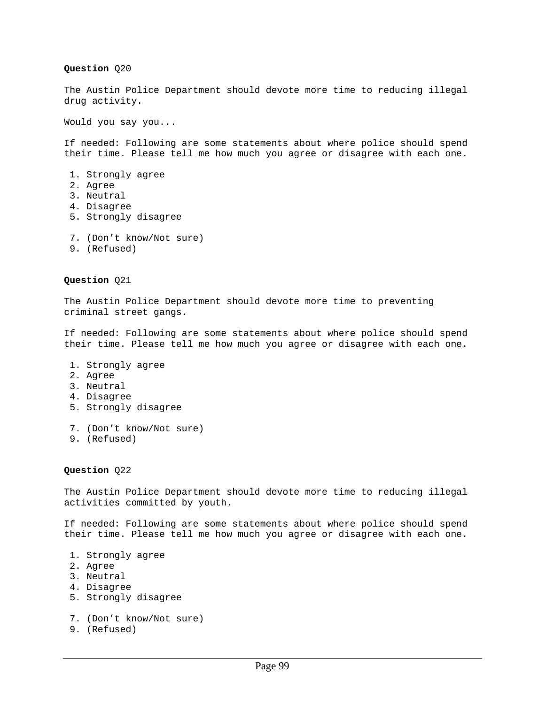The Austin Police Department should devote more time to reducing illegal drug activity.

Would you say you...

If needed: Following are some statements about where police should spend their time. Please tell me how much you agree or disagree with each one.

- 1. Strongly agree
- 2. Agree
- 3. Neutral
- 4. Disagree
- 5. Strongly disagree
- 7. (Don't know/Not sure)
- 9. (Refused)

#### **Question** Q21

The Austin Police Department should devote more time to preventing criminal street gangs.

If needed: Following are some statements about where police should spend their time. Please tell me how much you agree or disagree with each one.

- 1. Strongly agree
- 2. Agree
- 3. Neutral
- 4. Disagree
- 5. Strongly disagree
- 7. (Don't know/Not sure)
- 9. (Refused)

#### **Question** Q22

The Austin Police Department should devote more time to reducing illegal activities committed by youth.

If needed: Following are some statements about where police should spend their time. Please tell me how much you agree or disagree with each one.

- 1. Strongly agree
- 2. Agree
- 3. Neutral
- 4. Disagree
- 5. Strongly disagree

```
 7. (Don't know/Not sure)
```
9. (Refused)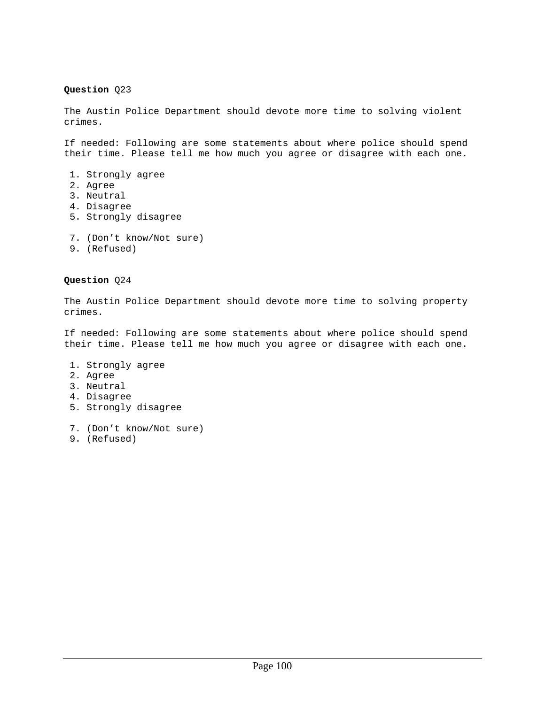# **Question** Q23

The Austin Police Department should devote more time to solving violent crimes.

If needed: Following are some statements about where police should spend their time. Please tell me how much you agree or disagree with each one.

- 1. Strongly agree
- 2. Agree
- 3. Neutral
- 4. Disagree
- 5. Strongly disagree
- 7. (Don't know/Not sure)
- 9. (Refused)

## **Question** Q24

The Austin Police Department should devote more time to solving property crimes.

If needed: Following are some statements about where police should spend their time. Please tell me how much you agree or disagree with each one.

- 1. Strongly agree
- 2. Agree
- 3. Neutral
- 4. Disagree
- 5. Strongly disagree
- 7. (Don't know/Not sure)
- 9. (Refused)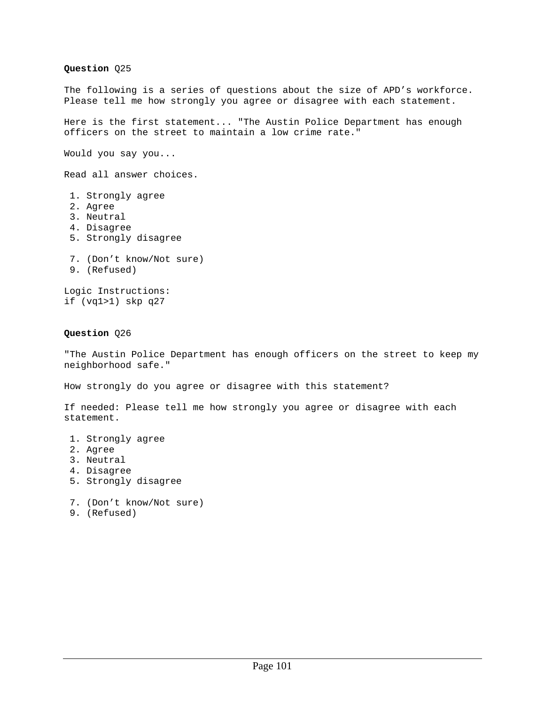**Question** Q25 The following is a series of questions about the size of APD's workforce. Please tell me how strongly you agree or disagree with each statement. Here is the first statement... "The Austin Police Department has enough officers on the street to maintain a low crime rate." Would you say you... Read all answer choices. 1. Strongly agree 2. Agree 3. Neutral 4. Disagree 5. Strongly disagree 7. (Don't know/Not sure) 9. (Refused) Logic Instructions: if (vq1>1) skp q27 **Question** Q26 "The Austin Police Department has enough officers on the street to keep my neighborhood safe." How strongly do you agree or disagree with this statement?

If needed: Please tell me how strongly you agree or disagree with each statement.

- 1. Strongly agree
- 2. Agree
- 3. Neutral
- 4. Disagree
- 5. Strongly disagree

7. (Don't know/Not sure)

9. (Refused)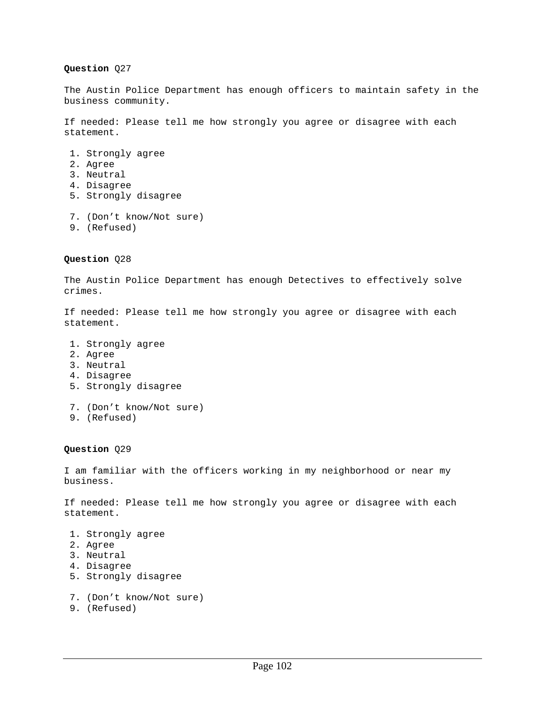## **Question** Q27

The Austin Police Department has enough officers to maintain safety in the business community.

If needed: Please tell me how strongly you agree or disagree with each statement.

- 1. Strongly agree
- 2. Agree
- 3. Neutral
- 4. Disagree
- 5. Strongly disagree
- 7. (Don't know/Not sure)
- 9. (Refused)

# **Question** Q28

The Austin Police Department has enough Detectives to effectively solve crimes.

If needed: Please tell me how strongly you agree or disagree with each statement.

- 1. Strongly agree
- 2. Agree
- 3. Neutral
- 4. Disagree
- 5. Strongly disagree
- 7. (Don't know/Not sure)
- 9. (Refused)

### **Question** Q29

I am familiar with the officers working in my neighborhood or near my business.

If needed: Please tell me how strongly you agree or disagree with each statement.

- 1. Strongly agree
- 2. Agree
- 3. Neutral
- 4. Disagree
- 5. Strongly disagree
- 7. (Don't know/Not sure)
- 9. (Refused)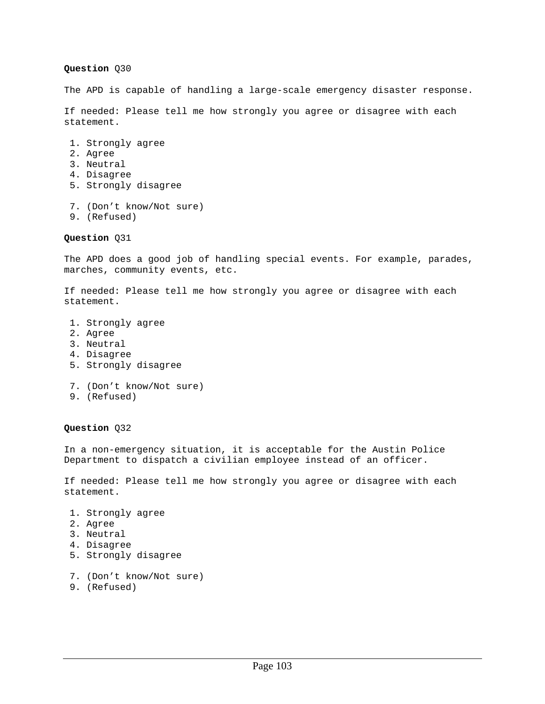### **Question** Q30

The APD is capable of handling a large-scale emergency disaster response.

If needed: Please tell me how strongly you agree or disagree with each statement.

- 1. Strongly agree
- 2. Agree
- 3. Neutral
- 4. Disagree
- 5. Strongly disagree
- 7. (Don't know/Not sure)
- 9. (Refused)

**Question** Q31

The APD does a good job of handling special events. For example, parades, marches, community events, etc.

If needed: Please tell me how strongly you agree or disagree with each statement.

- 1. Strongly agree
- 2. Agree
- 3. Neutral
- 4. Disagree
- 5. Strongly disagree
- 7. (Don't know/Not sure)
- 9. (Refused)

#### **Question** Q32

In a non-emergency situation, it is acceptable for the Austin Police Department to dispatch a civilian employee instead of an officer.

If needed: Please tell me how strongly you agree or disagree with each statement.

- 1. Strongly agree 2. Agree
- 3. Neutral
- 4. Disagree
- 5. Strongly disagree
- 7. (Don't know/Not sure)
- 9. (Refused)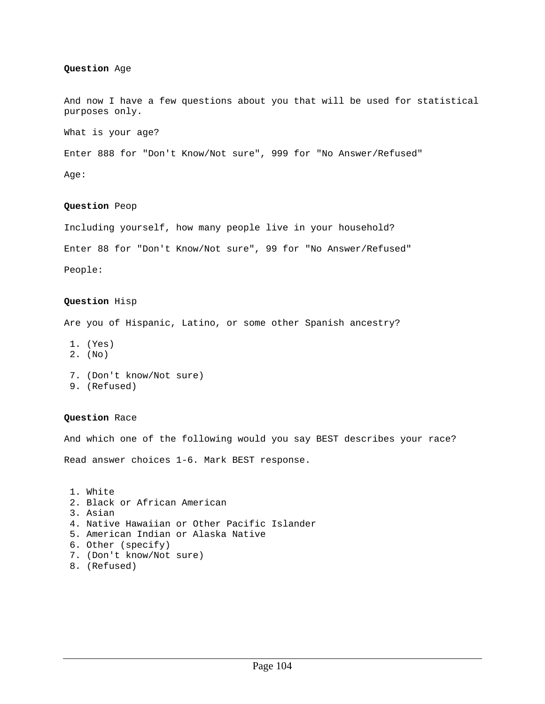#### **Question** Age

And now I have a few questions about you that will be used for statistical purposes only.

What is your age?

Enter 888 for "Don't Know/Not sure", 999 for "No Answer/Refused"

Age:

#### **Question** Peop

Including yourself, how many people live in your household? Enter 88 for "Don't Know/Not sure", 99 for "No Answer/Refused" People:

#### **Question** Hisp

Are you of Hispanic, Latino, or some other Spanish ancestry?

- 1. (Yes)
- 2. (No)
- 7. (Don't know/Not sure)
- 9. (Refused)

### **Question** Race

And which one of the following would you say BEST describes your race?

Read answer choices 1-6. Mark BEST response.

```
 1. White 
2. Black or African American 
3. Asian 
4. Native Hawaiian or Other Pacific Islander 
5. American Indian or Alaska Native 
6. Other (specify) 
7. (Don't know/Not sure) 
8. (Refused)
```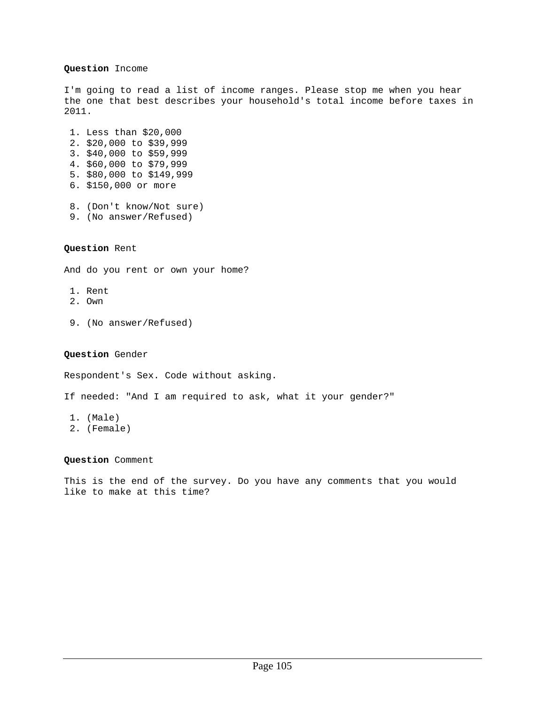#### **Question** Income

I'm going to read a list of income ranges. Please stop me when you hear the one that best describes your household's total income before taxes in 2011.

 1. Less than \$20,000 2. \$20,000 to \$39,999 3. \$40,000 to \$59,999 4. \$60,000 to \$79,999 5. \$80,000 to \$149,999 6. \$150,000 or more

 8. (Don't know/Not sure) 9. (No answer/Refused)

# **Question** Rent

And do you rent or own your home?

- 1. Rent
- 2. Own
- 9. (No answer/Refused)

#### **Question** Gender

Respondent's Sex. Code without asking.

If needed: "And I am required to ask, what it your gender?"

- 1. (Male)
- 2. (Female)

#### **Question** Comment

This is the end of the survey. Do you have any comments that you would like to make at this time?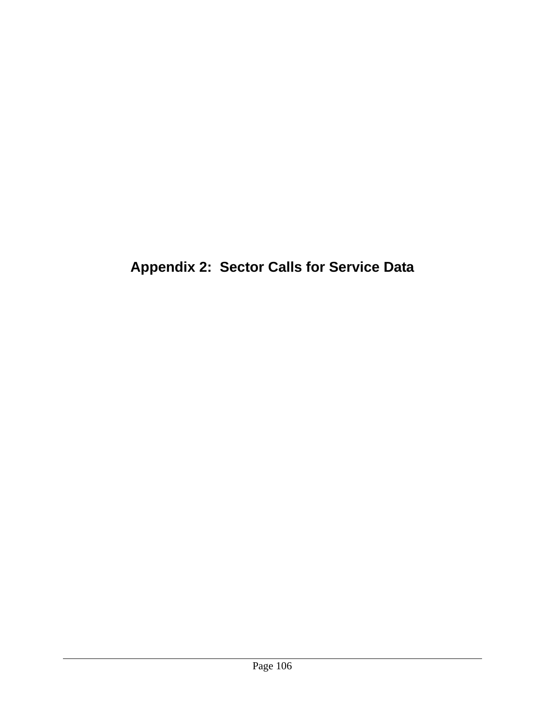**Appendix 2: Sector Calls for Service Data**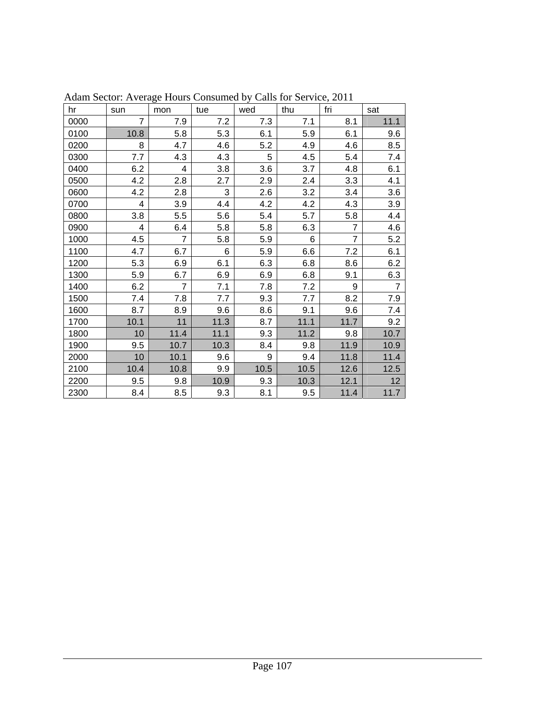| hr   | sun                     | mon            | tue  | wed  | thu  | fri            | sat            |
|------|-------------------------|----------------|------|------|------|----------------|----------------|
| 0000 | $\overline{7}$          | 7.9            | 7.2  | 7.3  | 7.1  | 8.1            | 11.1           |
| 0100 | 10.8                    | 5.8            | 5.3  | 6.1  | 5.9  | 6.1            | 9.6            |
| 0200 | 8                       | 4.7            | 4.6  | 5.2  | 4.9  | 4.6            | 8.5            |
| 0300 | 7.7                     | 4.3            | 4.3  | 5    | 4.5  | 5.4            | 7.4            |
| 0400 | 6.2                     | 4              | 3.8  | 3.6  | 3.7  | 4.8            | 6.1            |
| 0500 | 4.2                     | 2.8            | 2.7  | 2.9  | 2.4  | 3.3            | 4.1            |
| 0600 | 4.2                     | 2.8            | 3    | 2.6  | 3.2  | 3.4            | 3.6            |
| 0700 | $\overline{\mathbf{4}}$ | 3.9            | 4.4  | 4.2  | 4.2  | 4.3            | 3.9            |
| 0800 | 3.8                     | 5.5            | 5.6  | 5.4  | 5.7  | 5.8            | 4.4            |
| 0900 | 4                       | 6.4            | 5.8  | 5.8  | 6.3  | $\overline{7}$ | 4.6            |
| 1000 | 4.5                     | $\overline{7}$ | 5.8  | 5.9  | 6    | $\overline{7}$ | 5.2            |
| 1100 | 4.7                     | 6.7            | 6    | 5.9  | 6.6  | 7.2            | 6.1            |
| 1200 | 5.3                     | 6.9            | 6.1  | 6.3  | 6.8  | 8.6            | 6.2            |
| 1300 | 5.9                     | 6.7            | 6.9  | 6.9  | 6.8  | 9.1            | 6.3            |
| 1400 | 6.2                     | $\overline{7}$ | 7.1  | 7.8  | 7.2  | 9              | $\overline{7}$ |
| 1500 | 7.4                     | 7.8            | 7.7  | 9.3  | 7.7  | 8.2            | 7.9            |
| 1600 | 8.7                     | 8.9            | 9.6  | 8.6  | 9.1  | 9.6            | 7.4            |
| 1700 | 10.1                    | 11             | 11.3 | 8.7  | 11.1 | 11.7           | 9.2            |
| 1800 | 10                      | 11.4           | 11.1 | 9.3  | 11.2 | 9.8            | 10.7           |
| 1900 | 9.5                     | 10.7           | 10.3 | 8.4  | 9.8  | 11.9           | 10.9           |
| 2000 | 10                      | 10.1           | 9.6  | 9    | 9.4  | 11.8           | 11.4           |
| 2100 | 10.4                    | 10.8           | 9.9  | 10.5 | 10.5 | 12.6           | 12.5           |
| 2200 | 9.5                     | 9.8            | 10.9 | 9.3  | 10.3 | 12.1           | 12             |
| 2300 | 8.4                     | 8.5            | 9.3  | 8.1  | 9.5  | 11.4           | 11.7           |

Adam Sector: Average Hours Consumed by Calls for Service, 2011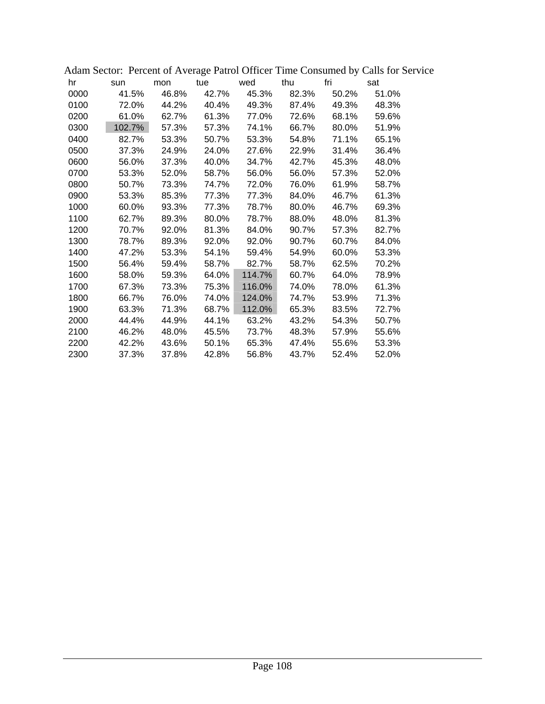|      |     |        |       |             |        |             |       | Adam Sector: Percent of Average Patrol Officer Time Consumed by Calls for Servi |  |
|------|-----|--------|-------|-------------|--------|-------------|-------|---------------------------------------------------------------------------------|--|
| hr   | sun |        | mon   |             |        | tue wed thu | fri   | sat                                                                             |  |
| 0000 |     | 41.5%  | 46.8% | 42.7%       | 45.3%  | 82.3%       | 50.2% | 51.0%                                                                           |  |
| 0100 |     | 72.0%  |       | 44.2% 40.4% |        | 49.3% 87.4% | 49.3% | 48.3%                                                                           |  |
| 0200 |     | 61.0%  | 62.7% | 61.3%       | 77.0%  | 72.6%       | 68.1% | 59.6%                                                                           |  |
| 0300 |     | 102.7% | 57.3% | 57.3%       | 74.1%  | 66.7%       | 80.0% | 51.9%                                                                           |  |
| 0400 |     | 82.7%  | 53.3% | 50.7%       | 53.3%  | 54.8%       | 71.1% | 65.1%                                                                           |  |
| 0500 |     | 37.3%  | 24.9% | 24.0%       | 27.6%  | 22.9%       | 31.4% | 36.4%                                                                           |  |
| 0600 |     | 56.0%  | 37.3% | 40.0%       | 34.7%  | 42.7%       | 45.3% | 48.0%                                                                           |  |
| 0700 |     | 53.3%  | 52.0% | 58.7%       | 56.0%  | 56.0%       | 57.3% | 52.0%                                                                           |  |
| 0800 |     | 50.7%  | 73.3% | 74.7%       | 72.0%  | 76.0%       | 61.9% | 58.7%                                                                           |  |
| 0900 |     | 53.3%  | 85.3% | 77.3%       | 77.3%  | 84.0%       | 46.7% | 61.3%                                                                           |  |
| 1000 |     | 60.0%  | 93.3% | 77.3%       | 78.7%  | 80.0%       | 46.7% | 69.3%                                                                           |  |
| 1100 |     | 62.7%  | 89.3% | 80.0%       | 78.7%  | 88.0%       | 48.0% | 81.3%                                                                           |  |
| 1200 |     | 70.7%  | 92.0% | 81.3%       | 84.0%  | 90.7%       | 57.3% | 82.7%                                                                           |  |
| 1300 |     | 78.7%  | 89.3% | 92.0%       | 92.0%  | 90.7%       | 60.7% | 84.0%                                                                           |  |
| 1400 |     | 47.2%  | 53.3% | 54.1%       | 59.4%  | 54.9%       | 60.0% | 53.3%                                                                           |  |
| 1500 |     | 56.4%  | 59.4% | 58.7%       | 82.7%  | 58.7%       | 62.5% | 70.2%                                                                           |  |
| 1600 |     | 58.0%  | 59.3% | 64.0%       | 114.7% | 60.7%       | 64.0% | 78.9%                                                                           |  |
| 1700 |     | 67.3%  | 73.3% | 75.3%       | 116.0% | 74.0%       | 78.0% | 61.3%                                                                           |  |
| 1800 |     | 66.7%  | 76.0% | 74.0%       | 124.0% | 74.7%       | 53.9% | 71.3%                                                                           |  |
| 1900 |     | 63.3%  | 71.3% | 68.7%       | 112.0% | 65.3%       | 83.5% | 72.7%                                                                           |  |
| 2000 |     | 44.4%  | 44.9% | 44.1%       | 63.2%  | 43.2%       | 54.3% | 50.7%                                                                           |  |
| 2100 |     | 46.2%  | 48.0% | 45.5%       | 73.7%  | 48.3%       | 57.9% | 55.6%                                                                           |  |
| 2200 |     | 42.2%  | 43.6% | 50.1%       | 65.3%  | 47.4%       | 55.6% | 53.3%                                                                           |  |
| 2300 |     | 37.3%  | 37.8% | 42.8%       | 56.8%  | 43.7%       | 52.4% | 52.0%                                                                           |  |

Adam Sector: Percent of Average Patrol Officer Time Consumed by Calls for Service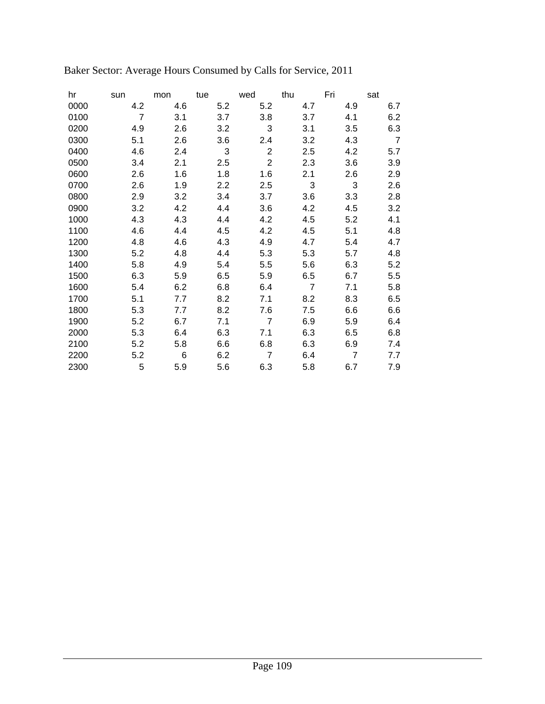| hr   | sun            | mon | tue | wed            | thu            | Fri            | sat            |
|------|----------------|-----|-----|----------------|----------------|----------------|----------------|
| 0000 | 4.2            | 4.6 | 5.2 | 5.2            | 4.7            | 4.9            | 6.7            |
| 0100 | $\overline{7}$ | 3.1 | 3.7 | 3.8            | 3.7            | 4.1            | 6.2            |
| 0200 | 4.9            | 2.6 | 3.2 | 3              | 3.1            | 3.5            | 6.3            |
| 0300 | 5.1            | 2.6 | 3.6 | 2.4            | 3.2            | 4.3            | $\overline{7}$ |
| 0400 | 4.6            | 2.4 | 3   | $\overline{c}$ | 2.5            | 4.2            | 5.7            |
| 0500 | 3.4            | 2.1 | 2.5 | $\overline{2}$ | 2.3            | 3.6            | 3.9            |
| 0600 | 2.6            | 1.6 | 1.8 | 1.6            | 2.1            | 2.6            | 2.9            |
| 0700 | 2.6            | 1.9 | 2.2 | 2.5            | 3              | 3              | 2.6            |
| 0800 | 2.9            | 3.2 | 3.4 | 3.7            | 3.6            | 3.3            | 2.8            |
| 0900 | 3.2            | 4.2 | 4.4 | 3.6            | 4.2            | 4.5            | 3.2            |
| 1000 | 4.3            | 4.3 | 4.4 | 4.2            | 4.5            | 5.2            | 4.1            |
| 1100 | 4.6            | 4.4 | 4.5 | 4.2            | 4.5            | 5.1            | 4.8            |
| 1200 | 4.8            | 4.6 | 4.3 | 4.9            | 4.7            | 5.4            | 4.7            |
| 1300 | 5.2            | 4.8 | 4.4 | 5.3            | 5.3            | 5.7            | 4.8            |
| 1400 | 5.8            | 4.9 | 5.4 | 5.5            | 5.6            | 6.3            | 5.2            |
| 1500 | 6.3            | 5.9 | 6.5 | 5.9            | 6.5            | 6.7            | 5.5            |
| 1600 | 5.4            | 6.2 | 6.8 | 6.4            | $\overline{7}$ | 7.1            | 5.8            |
| 1700 | 5.1            | 7.7 | 8.2 | 7.1            | 8.2            | 8.3            | 6.5            |
| 1800 | 5.3            | 7.7 | 8.2 | 7.6            | 7.5            | 6.6            | 6.6            |
| 1900 | 5.2            | 6.7 | 7.1 | $\overline{7}$ | 6.9            | 5.9            | 6.4            |
| 2000 | 5.3            | 6.4 | 6.3 | 7.1            | 6.3            | 6.5            | 6.8            |
| 2100 | 5.2            | 5.8 | 6.6 | 6.8            | 6.3            | 6.9            | 7.4            |
| 2200 | 5.2            | 6   | 6.2 | $\overline{7}$ | 6.4            | $\overline{7}$ | 7.7            |
| 2300 | 5              | 5.9 | 5.6 | 6.3            | 5.8            | 6.7            | 7.9            |

# Baker Sector: Average Hours Consumed by Calls for Service, 2011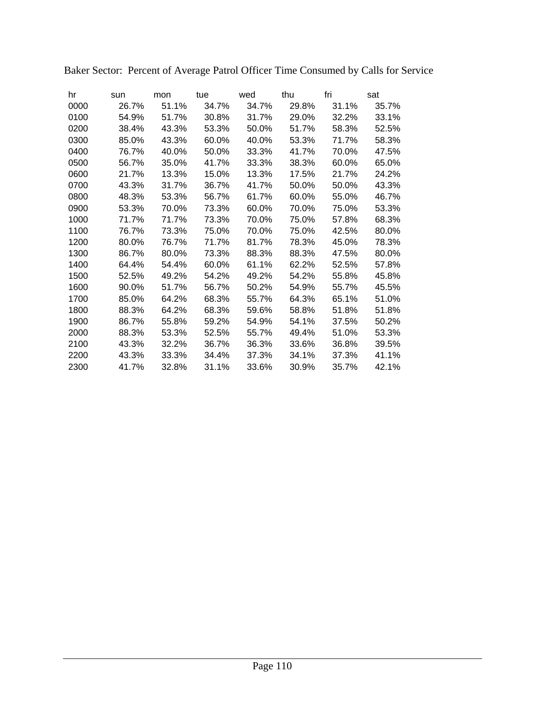| hr   | sun   | mon   | tue   | wed   | thu   | fri   | sat   |
|------|-------|-------|-------|-------|-------|-------|-------|
| 0000 | 26.7% | 51.1% | 34.7% | 34.7% | 29.8% | 31.1% | 35.7% |
| 0100 | 54.9% | 51.7% | 30.8% | 31.7% | 29.0% | 32.2% | 33.1% |
| 0200 | 38.4% | 43.3% | 53.3% | 50.0% | 51.7% | 58.3% | 52.5% |
| 0300 | 85.0% | 43.3% | 60.0% | 40.0% | 53.3% | 71.7% | 58.3% |
| 0400 | 76.7% | 40.0% | 50.0% | 33.3% | 41.7% | 70.0% | 47.5% |
| 0500 | 56.7% | 35.0% | 41.7% | 33.3% | 38.3% | 60.0% | 65.0% |
| 0600 | 21.7% | 13.3% | 15.0% | 13.3% | 17.5% | 21.7% | 24.2% |
| 0700 | 43.3% | 31.7% | 36.7% | 41.7% | 50.0% | 50.0% | 43.3% |
| 0800 | 48.3% | 53.3% | 56.7% | 61.7% | 60.0% | 55.0% | 46.7% |
| 0900 | 53.3% | 70.0% | 73.3% | 60.0% | 70.0% | 75.0% | 53.3% |
| 1000 | 71.7% | 71.7% | 73.3% | 70.0% | 75.0% | 57.8% | 68.3% |
| 1100 | 76.7% | 73.3% | 75.0% | 70.0% | 75.0% | 42.5% | 80.0% |
| 1200 | 80.0% | 76.7% | 71.7% | 81.7% | 78.3% | 45.0% | 78.3% |
| 1300 | 86.7% | 80.0% | 73.3% | 88.3% | 88.3% | 47.5% | 80.0% |
| 1400 | 64.4% | 54.4% | 60.0% | 61.1% | 62.2% | 52.5% | 57.8% |
| 1500 | 52.5% | 49.2% | 54.2% | 49.2% | 54.2% | 55.8% | 45.8% |
| 1600 | 90.0% | 51.7% | 56.7% | 50.2% | 54.9% | 55.7% | 45.5% |
| 1700 | 85.0% | 64.2% | 68.3% | 55.7% | 64.3% | 65.1% | 51.0% |
| 1800 | 88.3% | 64.2% | 68.3% | 59.6% | 58.8% | 51.8% | 51.8% |
| 1900 | 86.7% | 55.8% | 59.2% | 54.9% | 54.1% | 37.5% | 50.2% |
| 2000 | 88.3% | 53.3% | 52.5% | 55.7% | 49.4% | 51.0% | 53.3% |
| 2100 | 43.3% | 32.2% | 36.7% | 36.3% | 33.6% | 36.8% | 39.5% |
| 2200 | 43.3% | 33.3% | 34.4% | 37.3% | 34.1% | 37.3% | 41.1% |
| 2300 | 41.7% | 32.8% | 31.1% | 33.6% | 30.9% | 35.7% | 42.1% |

Baker Sector: Percent of Average Patrol Officer Time Consumed by Calls for Service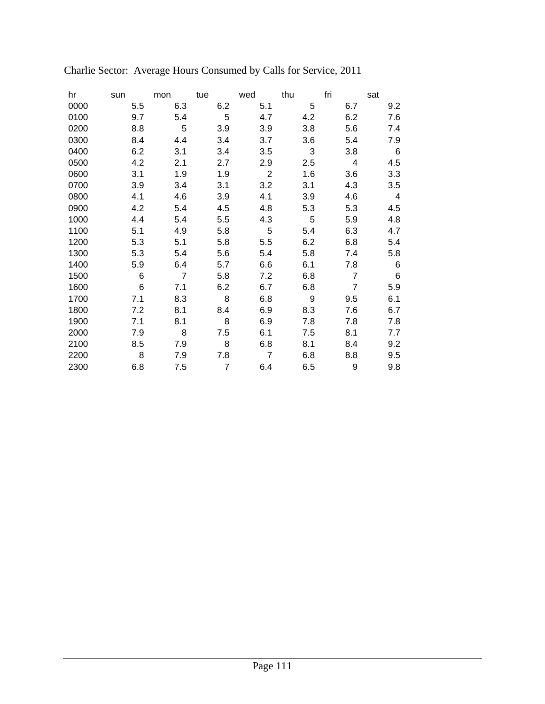| hr   | sun | mon            | tue            | wed            | thu | fri            | sat             |
|------|-----|----------------|----------------|----------------|-----|----------------|-----------------|
| 0000 | 5.5 | 6.3            | 6.2            | 5.1            | 5   | 6.7            | 9.2             |
| 0100 | 9.7 | 5.4            | 5              | 4.7            | 4.2 | 6.2            | 7.6             |
| 0200 | 8.8 | 5              | 3.9            | 3.9            | 3.8 | 5.6            | 7.4             |
| 0300 | 8.4 | 4.4            | 3.4            | 3.7            | 3.6 | 5.4            | 7.9             |
| 0400 | 6.2 | 3.1            | 3.4            | 3.5            | 3   | 3.8            | 6               |
| 0500 | 4.2 | 2.1            | 2.7            | 2.9            | 2.5 | 4              | 4.5             |
| 0600 | 3.1 | 1.9            | 1.9            | $\overline{2}$ | 1.6 | 3.6            | 3.3             |
| 0700 | 3.9 | 3.4            | 3.1            | 3.2            | 3.1 | 4.3            | 3.5             |
| 0800 | 4.1 | 4.6            | 3.9            | 4.1            | 3.9 | 4.6            | 4               |
| 0900 | 4.2 | 5.4            | 4.5            | 4.8            | 5.3 | 5.3            | 4.5             |
| 1000 | 4.4 | 5.4            | 5.5            | 4.3            | 5   | 5.9            | 4.8             |
| 1100 | 5.1 | 4.9            | 5.8            | 5              | 5.4 | 6.3            | 4.7             |
| 1200 | 5.3 | 5.1            | 5.8            | 5.5            | 6.2 | 6.8            | 5.4             |
| 1300 | 5.3 | 5.4            | 5.6            | 5.4            | 5.8 | 7.4            | 5.8             |
| 1400 | 5.9 | 6.4            | 5.7            | 6.6            | 6.1 | 7.8            | $6\phantom{1}6$ |
| 1500 | 6   | $\overline{7}$ | 5.8            | 7.2            | 6.8 | 7              | 6               |
| 1600 | 6   | 7.1            | 6.2            | 6.7            | 6.8 | $\overline{7}$ | 5.9             |
| 1700 | 7.1 | 8.3            | 8              | 6.8            | 9   | 9.5            | 6.1             |
| 1800 | 7.2 | 8.1            | 8.4            | 6.9            | 8.3 | 7.6            | 6.7             |
| 1900 | 7.1 | 8.1            | 8              | 6.9            | 7.8 | 7.8            | 7.8             |
| 2000 | 7.9 | 8              | 7.5            | 6.1            | 7.5 | 8.1            | 7.7             |
| 2100 | 8.5 | 7.9            | 8              | 6.8            | 8.1 | 8.4            | 9.2             |
| 2200 | 8   | 7.9            | 7.8            | $\overline{7}$ | 6.8 | 8.8            | 9.5             |
| 2300 | 6.8 | 7.5            | $\overline{7}$ | 6.4            | 6.5 | 9              | 9.8             |

# Charlie Sector: Average Hours Consumed by Calls for Service, 2011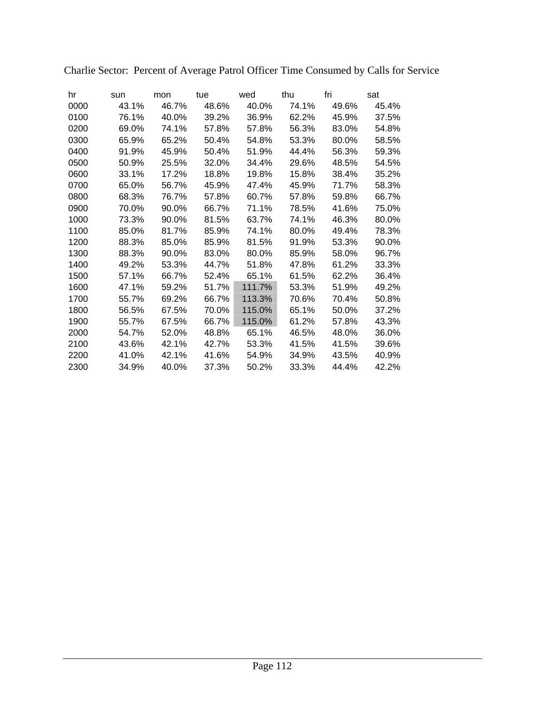| hr   | sun   | mon   | tue   | wed    | thu   | fri   | sat   |
|------|-------|-------|-------|--------|-------|-------|-------|
| 0000 | 43.1% | 46.7% | 48.6% | 40.0%  | 74.1% | 49.6% | 45.4% |
| 0100 | 76.1% | 40.0% | 39.2% | 36.9%  | 62.2% | 45.9% | 37.5% |
| 0200 | 69.0% | 74.1% | 57.8% | 57.8%  | 56.3% | 83.0% | 54.8% |
| 0300 | 65.9% | 65.2% | 50.4% | 54.8%  | 53.3% | 80.0% | 58.5% |
| 0400 | 91.9% | 45.9% | 50.4% | 51.9%  | 44.4% | 56.3% | 59.3% |
| 0500 | 50.9% | 25.5% | 32.0% | 34.4%  | 29.6% | 48.5% | 54.5% |
| 0600 | 33.1% | 17.2% | 18.8% | 19.8%  | 15.8% | 38.4% | 35.2% |
| 0700 | 65.0% | 56.7% | 45.9% | 47.4%  | 45.9% | 71.7% | 58.3% |
| 0800 | 68.3% | 76.7% | 57.8% | 60.7%  | 57.8% | 59.8% | 66.7% |
| 0900 | 70.0% | 90.0% | 66.7% | 71.1%  | 78.5% | 41.6% | 75.0% |
| 1000 | 73.3% | 90.0% | 81.5% | 63.7%  | 74.1% | 46.3% | 80.0% |
| 1100 | 85.0% | 81.7% | 85.9% | 74.1%  | 80.0% | 49.4% | 78.3% |
| 1200 | 88.3% | 85.0% | 85.9% | 81.5%  | 91.9% | 53.3% | 90.0% |
| 1300 | 88.3% | 90.0% | 83.0% | 80.0%  | 85.9% | 58.0% | 96.7% |
| 1400 | 49.2% | 53.3% | 44.7% | 51.8%  | 47.8% | 61.2% | 33.3% |
| 1500 | 57.1% | 66.7% | 52.4% | 65.1%  | 61.5% | 62.2% | 36.4% |
| 1600 | 47.1% | 59.2% | 51.7% | 111.7% | 53.3% | 51.9% | 49.2% |
| 1700 | 55.7% | 69.2% | 66.7% | 113.3% | 70.6% | 70.4% | 50.8% |
| 1800 | 56.5% | 67.5% | 70.0% | 115.0% | 65.1% | 50.0% | 37.2% |
| 1900 | 55.7% | 67.5% | 66.7% | 115.0% | 61.2% | 57.8% | 43.3% |
| 2000 | 54.7% | 52.0% | 48.8% | 65.1%  | 46.5% | 48.0% | 36.0% |
| 2100 | 43.6% | 42.1% | 42.7% | 53.3%  | 41.5% | 41.5% | 39.6% |
| 2200 | 41.0% | 42.1% | 41.6% | 54.9%  | 34.9% | 43.5% | 40.9% |
| 2300 | 34.9% | 40.0% | 37.3% | 50.2%  | 33.3% | 44.4% | 42.2% |

Charlie Sector: Percent of Average Patrol Officer Time Consumed by Calls for Service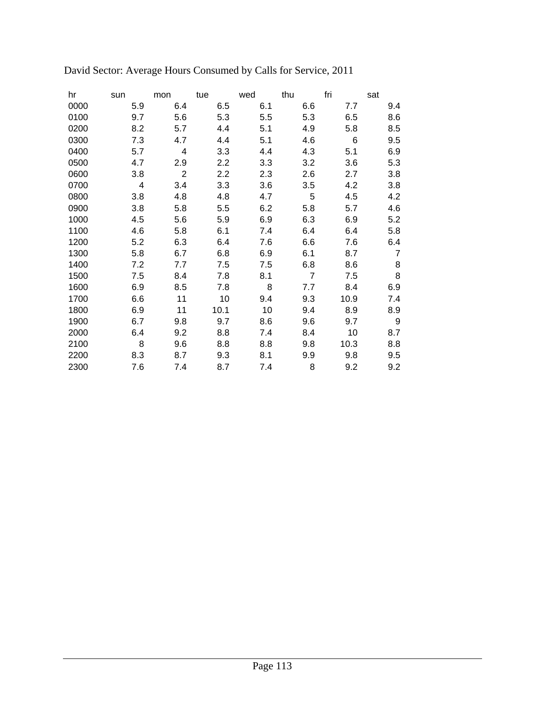| hr   | sun | mon            | tue     | wed | thu            | fri  | sat            |
|------|-----|----------------|---------|-----|----------------|------|----------------|
| 0000 | 5.9 | 6.4            | 6.5     | 6.1 | 6.6            | 7.7  | 9.4            |
| 0100 | 9.7 | 5.6            | 5.3     | 5.5 | 5.3            | 6.5  | 8.6            |
| 0200 | 8.2 | 5.7            | 4.4     | 5.1 | 4.9            | 5.8  | 8.5            |
| 0300 | 7.3 | 4.7            | 4.4     | 5.1 | 4.6            | 6    | 9.5            |
| 0400 | 5.7 | 4              | 3.3     | 4.4 | 4.3            | 5.1  | 6.9            |
| 0500 | 4.7 | 2.9            | $2.2\,$ | 3.3 | 3.2            | 3.6  | 5.3            |
| 0600 | 3.8 | $\overline{2}$ | $2.2\,$ | 2.3 | 2.6            | 2.7  | 3.8            |
| 0700 | 4   | 3.4            | 3.3     | 3.6 | 3.5            | 4.2  | 3.8            |
| 0800 | 3.8 | 4.8            | 4.8     | 4.7 | 5              | 4.5  | 4.2            |
| 0900 | 3.8 | 5.8            | 5.5     | 6.2 | 5.8            | 5.7  | 4.6            |
| 1000 | 4.5 | 5.6            | 5.9     | 6.9 | 6.3            | 6.9  | 5.2            |
| 1100 | 4.6 | 5.8            | 6.1     | 7.4 | 6.4            | 6.4  | 5.8            |
| 1200 | 5.2 | 6.3            | 6.4     | 7.6 | 6.6            | 7.6  | 6.4            |
| 1300 | 5.8 | 6.7            | 6.8     | 6.9 | 6.1            | 8.7  | $\overline{7}$ |
| 1400 | 7.2 | 7.7            | 7.5     | 7.5 | 6.8            | 8.6  | 8              |
| 1500 | 7.5 | 8.4            | 7.8     | 8.1 | $\overline{7}$ | 7.5  | 8              |
| 1600 | 6.9 | 8.5            | 7.8     | 8   | 7.7            | 8.4  | 6.9            |
| 1700 | 6.6 | 11             | 10      | 9.4 | 9.3            | 10.9 | 7.4            |
| 1800 | 6.9 | 11             | 10.1    | 10  | 9.4            | 8.9  | 8.9            |
| 1900 | 6.7 | 9.8            | 9.7     | 8.6 | 9.6            | 9.7  | 9              |
| 2000 | 6.4 | 9.2            | 8.8     | 7.4 | 8.4            | 10   | 8.7            |
| 2100 | 8   | 9.6            | 8.8     | 8.8 | 9.8            | 10.3 | 8.8            |
| 2200 | 8.3 | 8.7            | 9.3     | 8.1 | 9.9            | 9.8  | 9.5            |
| 2300 | 7.6 | 7.4            | 8.7     | 7.4 | 8              | 9.2  | 9.2            |
|      |     |                |         |     |                |      |                |

David Sector: Average Hours Consumed by Calls for Service, 2011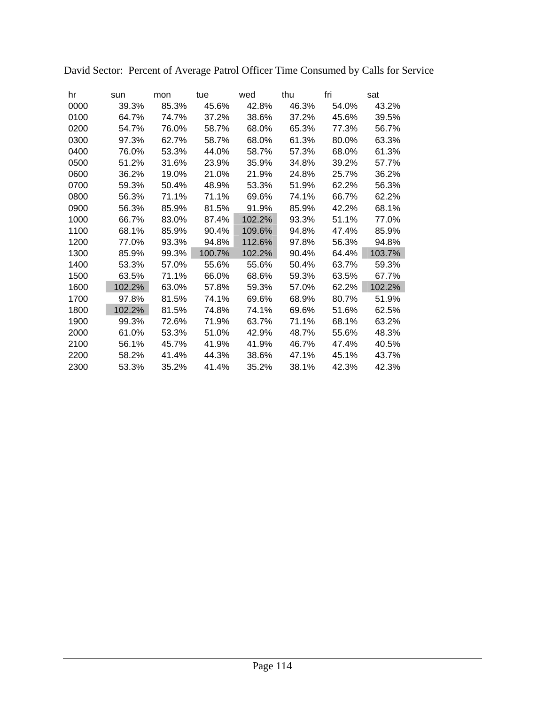| hr   | sun    | mon   | tue    | wed    | thu   | fri   | sat    |
|------|--------|-------|--------|--------|-------|-------|--------|
| 0000 | 39.3%  | 85.3% | 45.6%  | 42.8%  | 46.3% | 54.0% | 43.2%  |
| 0100 | 64.7%  | 74.7% | 37.2%  | 38.6%  | 37.2% | 45.6% | 39.5%  |
| 0200 | 54.7%  | 76.0% | 58.7%  | 68.0%  | 65.3% | 77.3% | 56.7%  |
| 0300 | 97.3%  | 62.7% | 58.7%  | 68.0%  | 61.3% | 80.0% | 63.3%  |
| 0400 | 76.0%  | 53.3% | 44.0%  | 58.7%  | 57.3% | 68.0% | 61.3%  |
| 0500 | 51.2%  | 31.6% | 23.9%  | 35.9%  | 34.8% | 39.2% | 57.7%  |
| 0600 | 36.2%  | 19.0% | 21.0%  | 21.9%  | 24.8% | 25.7% | 36.2%  |
| 0700 | 59.3%  | 50.4% | 48.9%  | 53.3%  | 51.9% | 62.2% | 56.3%  |
| 0800 | 56.3%  | 71.1% | 71.1%  | 69.6%  | 74.1% | 66.7% | 62.2%  |
| 0900 | 56.3%  | 85.9% | 81.5%  | 91.9%  | 85.9% | 42.2% | 68.1%  |
| 1000 | 66.7%  | 83.0% | 87.4%  | 102.2% | 93.3% | 51.1% | 77.0%  |
| 1100 | 68.1%  | 85.9% | 90.4%  | 109.6% | 94.8% | 47.4% | 85.9%  |
| 1200 | 77.0%  | 93.3% | 94.8%  | 112.6% | 97.8% | 56.3% | 94.8%  |
| 1300 | 85.9%  | 99.3% | 100.7% | 102.2% | 90.4% | 64.4% | 103.7% |
| 1400 | 53.3%  | 57.0% | 55.6%  | 55.6%  | 50.4% | 63.7% | 59.3%  |
| 1500 | 63.5%  | 71.1% | 66.0%  | 68.6%  | 59.3% | 63.5% | 67.7%  |
| 1600 | 102.2% | 63.0% | 57.8%  | 59.3%  | 57.0% | 62.2% | 102.2% |
| 1700 | 97.8%  | 81.5% | 74.1%  | 69.6%  | 68.9% | 80.7% | 51.9%  |
| 1800 | 102.2% | 81.5% | 74.8%  | 74.1%  | 69.6% | 51.6% | 62.5%  |
| 1900 | 99.3%  | 72.6% | 71.9%  | 63.7%  | 71.1% | 68.1% | 63.2%  |
| 2000 | 61.0%  | 53.3% | 51.0%  | 42.9%  | 48.7% | 55.6% | 48.3%  |
| 2100 | 56.1%  | 45.7% | 41.9%  | 41.9%  | 46.7% | 47.4% | 40.5%  |
| 2200 | 58.2%  | 41.4% | 44.3%  | 38.6%  | 47.1% | 45.1% | 43.7%  |
| 2300 | 53.3%  | 35.2% | 41.4%  | 35.2%  | 38.1% | 42.3% | 42.3%  |

David Sector: Percent of Average Patrol Officer Time Consumed by Calls for Service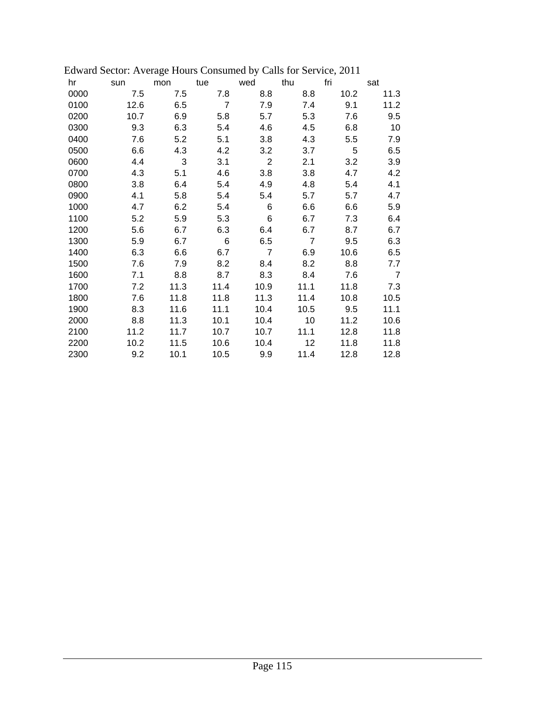|      | Laward Bector. Average Hours Consumed by Cans for Bervice, 2011 |      |                |                |                |      |                |
|------|-----------------------------------------------------------------|------|----------------|----------------|----------------|------|----------------|
| hr   | sun                                                             | mon  | tue            | wed            | thu            | fri  | sat            |
| 0000 | 7.5                                                             | 7.5  | 7.8            | 8.8            | 8.8            | 10.2 | 11.3           |
| 0100 | 12.6                                                            | 6.5  | $\overline{7}$ | 7.9            | 7.4            | 9.1  | 11.2           |
| 0200 | 10.7                                                            | 6.9  | 5.8            | 5.7            | 5.3            | 7.6  | 9.5            |
| 0300 | 9.3                                                             | 6.3  | 5.4            | 4.6            | 4.5            | 6.8  | 10             |
| 0400 | 7.6                                                             | 5.2  | 5.1            | 3.8            | 4.3            | 5.5  | 7.9            |
| 0500 | 6.6                                                             | 4.3  | 4.2            | 3.2            | 3.7            | 5    | 6.5            |
| 0600 | 4.4                                                             | 3    | 3.1            | $\overline{2}$ | 2.1            | 3.2  | 3.9            |
| 0700 | 4.3                                                             | 5.1  | 4.6            | 3.8            | 3.8            | 4.7  | 4.2            |
| 0800 | 3.8                                                             | 6.4  | 5.4            | 4.9            | 4.8            | 5.4  | 4.1            |
| 0900 | 4.1                                                             | 5.8  | 5.4            | 5.4            | 5.7            | 5.7  | 4.7            |
| 1000 | 4.7                                                             | 6.2  | 5.4            | 6              | 6.6            | 6.6  | 5.9            |
| 1100 | 5.2                                                             | 5.9  | 5.3            | 6              | 6.7            | 7.3  | 6.4            |
| 1200 | 5.6                                                             | 6.7  | 6.3            | 6.4            | 6.7            | 8.7  | 6.7            |
| 1300 | 5.9                                                             | 6.7  | 6              | 6.5            | $\overline{7}$ | 9.5  | 6.3            |
| 1400 | 6.3                                                             | 6.6  | 6.7            | $\overline{7}$ | 6.9            | 10.6 | 6.5            |
| 1500 | 7.6                                                             | 7.9  | 8.2            | 8.4            | 8.2            | 8.8  | 7.7            |
| 1600 | 7.1                                                             | 8.8  | 8.7            | 8.3            | 8.4            | 7.6  | $\overline{7}$ |
| 1700 | 7.2                                                             | 11.3 | 11.4           | 10.9           | 11.1           | 11.8 | 7.3            |
| 1800 | 7.6                                                             | 11.8 | 11.8           | 11.3           | 11.4           | 10.8 | 10.5           |
| 1900 | 8.3                                                             | 11.6 | 11.1           | 10.4           | 10.5           | 9.5  | 11.1           |
| 2000 | 8.8                                                             | 11.3 | 10.1           | 10.4           | 10             | 11.2 | 10.6           |
| 2100 | 11.2                                                            | 11.7 | 10.7           | 10.7           | 11.1           | 12.8 | 11.8           |
| 2200 | 10.2                                                            | 11.5 | 10.6           | 10.4           | 12             | 11.8 | 11.8           |
| 2300 | 9.2                                                             | 10.1 | 10.5           | 9.9            | 11.4           | 12.8 | 12.8           |

|  |  | Edward Sector: Average Hours Consumed by Calls for Service, 2011 |  |  |  |
|--|--|------------------------------------------------------------------|--|--|--|
|--|--|------------------------------------------------------------------|--|--|--|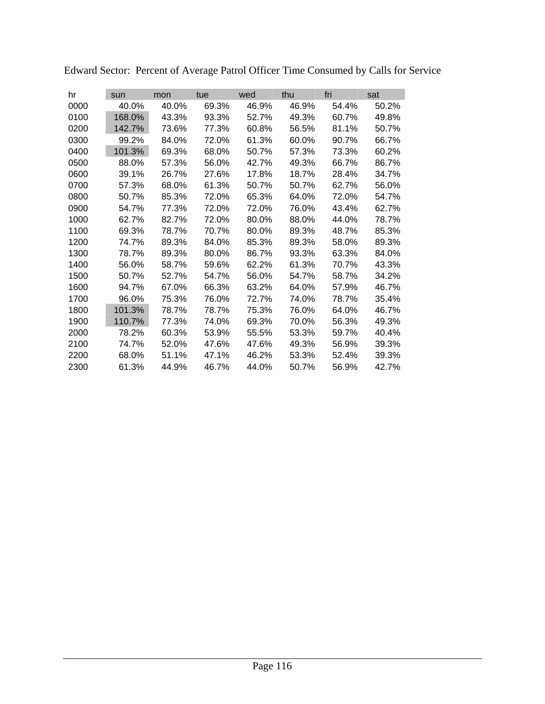| hr   | sun    | mon   | tue   | wed   | thu   | fri   | sat   |
|------|--------|-------|-------|-------|-------|-------|-------|
| 0000 | 40.0%  | 40.0% | 69.3% | 46.9% | 46.9% | 54.4% | 50.2% |
| 0100 | 168.0% | 43.3% | 93.3% | 52.7% | 49.3% | 60.7% | 49.8% |
| 0200 | 142.7% | 73.6% | 77.3% | 60.8% | 56.5% | 81.1% | 50.7% |
| 0300 | 99.2%  | 84.0% | 72.0% | 61.3% | 60.0% | 90.7% | 66.7% |
| 0400 | 101.3% | 69.3% | 68.0% | 50.7% | 57.3% | 73.3% | 60.2% |
| 0500 | 88.0%  | 57.3% | 56.0% | 42.7% | 49.3% | 66.7% | 86.7% |
| 0600 | 39.1%  | 26.7% | 27.6% | 17.8% | 18.7% | 28.4% | 34.7% |
| 0700 | 57.3%  | 68.0% | 61.3% | 50.7% | 50.7% | 62.7% | 56.0% |
| 0800 | 50.7%  | 85.3% | 72.0% | 65.3% | 64.0% | 72.0% | 54.7% |
| 0900 | 54.7%  | 77.3% | 72.0% | 72.0% | 76.0% | 43.4% | 62.7% |
| 1000 | 62.7%  | 82.7% | 72.0% | 80.0% | 88.0% | 44.0% | 78.7% |
| 1100 | 69.3%  | 78.7% | 70.7% | 80.0% | 89.3% | 48.7% | 85.3% |
| 1200 | 74.7%  | 89.3% | 84.0% | 85.3% | 89.3% | 58.0% | 89.3% |
| 1300 | 78.7%  | 89.3% | 80.0% | 86.7% | 93.3% | 63.3% | 84.0% |
| 1400 | 56.0%  | 58.7% | 59.6% | 62.2% | 61.3% | 70.7% | 43.3% |
| 1500 | 50.7%  | 52.7% | 54.7% | 56.0% | 54.7% | 58.7% | 34.2% |
| 1600 | 94.7%  | 67.0% | 66.3% | 63.2% | 64.0% | 57.9% | 46.7% |
| 1700 | 96.0%  | 75.3% | 76.0% | 72.7% | 74.0% | 78.7% | 35.4% |
| 1800 | 101.3% | 78.7% | 78.7% | 75.3% | 76.0% | 64.0% | 46.7% |
| 1900 | 110.7% | 77.3% | 74.0% | 69.3% | 70.0% | 56.3% | 49.3% |
| 2000 | 78.2%  | 60.3% | 53.9% | 55.5% | 53.3% | 59.7% | 40.4% |
| 2100 | 74.7%  | 52.0% | 47.6% | 47.6% | 49.3% | 56.9% | 39.3% |
| 2200 | 68.0%  | 51.1% | 47.1% | 46.2% | 53.3% | 52.4% | 39.3% |
| 2300 | 61.3%  | 44.9% | 46.7% | 44.0% | 50.7% | 56.9% | 42.7% |

Edward Sector: Percent of Average Patrol Officer Time Consumed by Calls for Service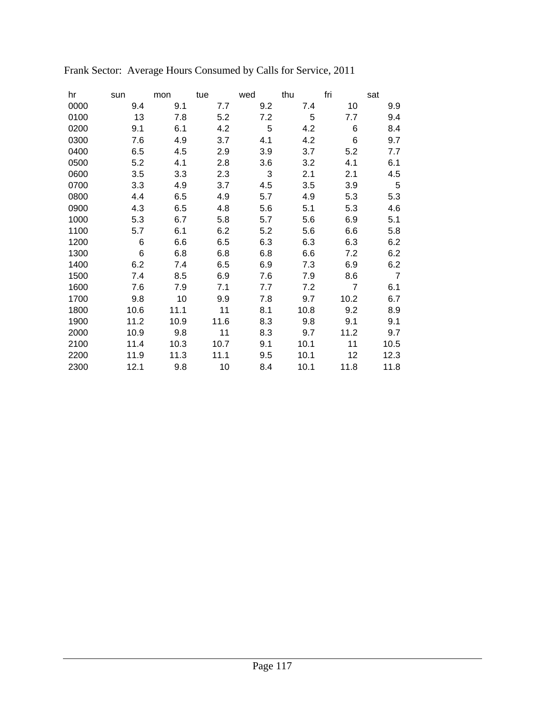| hr   | sun  | mon  | tue  | wed | thu  | fri            | sat            |
|------|------|------|------|-----|------|----------------|----------------|
| 0000 | 9.4  | 9.1  | 7.7  | 9.2 | 7.4  | 10             | 9.9            |
| 0100 | 13   | 7.8  | 5.2  | 7.2 | 5    | 7.7            | 9.4            |
| 0200 | 9.1  | 6.1  | 4.2  | 5   | 4.2  | 6              | 8.4            |
| 0300 | 7.6  | 4.9  | 3.7  | 4.1 | 4.2  | 6              | 9.7            |
| 0400 | 6.5  | 4.5  | 2.9  | 3.9 | 3.7  | 5.2            | 7.7            |
| 0500 | 5.2  | 4.1  | 2.8  | 3.6 | 3.2  | 4.1            | 6.1            |
| 0600 | 3.5  | 3.3  | 2.3  | 3   | 2.1  | 2.1            | 4.5            |
| 0700 | 3.3  | 4.9  | 3.7  | 4.5 | 3.5  | 3.9            | 5              |
| 0800 | 4.4  | 6.5  | 4.9  | 5.7 | 4.9  | 5.3            | 5.3            |
| 0900 | 4.3  | 6.5  | 4.8  | 5.6 | 5.1  | 5.3            | 4.6            |
| 1000 | 5.3  | 6.7  | 5.8  | 5.7 | 5.6  | 6.9            | 5.1            |
| 1100 | 5.7  | 6.1  | 6.2  | 5.2 | 5.6  | 6.6            | 5.8            |
| 1200 | 6    | 6.6  | 6.5  | 6.3 | 6.3  | 6.3            | 6.2            |
| 1300 | 6    | 6.8  | 6.8  | 6.8 | 6.6  | 7.2            | 6.2            |
| 1400 | 6.2  | 7.4  | 6.5  | 6.9 | 7.3  | 6.9            | 6.2            |
| 1500 | 7.4  | 8.5  | 6.9  | 7.6 | 7.9  | 8.6            | $\overline{7}$ |
| 1600 | 7.6  | 7.9  | 7.1  | 7.7 | 7.2  | $\overline{7}$ | 6.1            |
| 1700 | 9.8  | 10   | 9.9  | 7.8 | 9.7  | 10.2           | 6.7            |
| 1800 | 10.6 | 11.1 | 11   | 8.1 | 10.8 | 9.2            | 8.9            |
| 1900 | 11.2 | 10.9 | 11.6 | 8.3 | 9.8  | 9.1            | 9.1            |
| 2000 | 10.9 | 9.8  | 11   | 8.3 | 9.7  | 11.2           | 9.7            |
| 2100 | 11.4 | 10.3 | 10.7 | 9.1 | 10.1 | 11             | 10.5           |
| 2200 | 11.9 | 11.3 | 11.1 | 9.5 | 10.1 | 12             | 12.3           |
| 2300 | 12.1 | 9.8  | 10   | 8.4 | 10.1 | 11.8           | 11.8           |

# Frank Sector: Average Hours Consumed by Calls for Service, 2011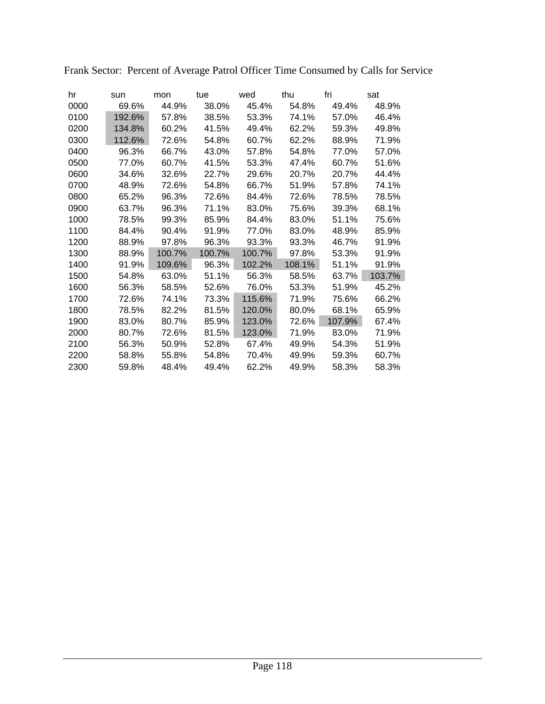| hr   | sun    | mon    | tue    | wed    | thu    | fri    | sat    |
|------|--------|--------|--------|--------|--------|--------|--------|
| 0000 | 69.6%  | 44.9%  | 38.0%  | 45.4%  | 54.8%  | 49.4%  | 48.9%  |
| 0100 | 192.6% | 57.8%  | 38.5%  | 53.3%  | 74.1%  | 57.0%  | 46.4%  |
| 0200 | 134.8% | 60.2%  | 41.5%  | 49.4%  | 62.2%  | 59.3%  | 49.8%  |
| 0300 | 112.6% | 72.6%  | 54.8%  | 60.7%  | 62.2%  | 88.9%  | 71.9%  |
| 0400 | 96.3%  | 66.7%  | 43.0%  | 57.8%  | 54.8%  | 77.0%  | 57.0%  |
| 0500 | 77.0%  | 60.7%  | 41.5%  | 53.3%  | 47.4%  | 60.7%  | 51.6%  |
| 0600 | 34.6%  | 32.6%  | 22.7%  | 29.6%  | 20.7%  | 20.7%  | 44.4%  |
| 0700 | 48.9%  | 72.6%  | 54.8%  | 66.7%  | 51.9%  | 57.8%  | 74.1%  |
| 0800 | 65.2%  | 96.3%  | 72.6%  | 84.4%  | 72.6%  | 78.5%  | 78.5%  |
| 0900 | 63.7%  | 96.3%  | 71.1%  | 83.0%  | 75.6%  | 39.3%  | 68.1%  |
| 1000 | 78.5%  | 99.3%  | 85.9%  | 84.4%  | 83.0%  | 51.1%  | 75.6%  |
| 1100 | 84.4%  | 90.4%  | 91.9%  | 77.0%  | 83.0%  | 48.9%  | 85.9%  |
| 1200 | 88.9%  | 97.8%  | 96.3%  | 93.3%  | 93.3%  | 46.7%  | 91.9%  |
| 1300 | 88.9%  | 100.7% | 100.7% | 100.7% | 97.8%  | 53.3%  | 91.9%  |
| 1400 | 91.9%  | 109.6% | 96.3%  | 102.2% | 108.1% | 51.1%  | 91.9%  |
| 1500 | 54.8%  | 63.0%  | 51.1%  | 56.3%  | 58.5%  | 63.7%  | 103.7% |
| 1600 | 56.3%  | 58.5%  | 52.6%  | 76.0%  | 53.3%  | 51.9%  | 45.2%  |
| 1700 | 72.6%  | 74.1%  | 73.3%  | 115.6% | 71.9%  | 75.6%  | 66.2%  |
| 1800 | 78.5%  | 82.2%  | 81.5%  | 120.0% | 80.0%  | 68.1%  | 65.9%  |
| 1900 | 83.0%  | 80.7%  | 85.9%  | 123.0% | 72.6%  | 107.9% | 67.4%  |
| 2000 | 80.7%  | 72.6%  | 81.5%  | 123.0% | 71.9%  | 83.0%  | 71.9%  |
| 2100 | 56.3%  | 50.9%  | 52.8%  | 67.4%  | 49.9%  | 54.3%  | 51.9%  |
| 2200 | 58.8%  | 55.8%  | 54.8%  | 70.4%  | 49.9%  | 59.3%  | 60.7%  |
| 2300 | 59.8%  | 48.4%  | 49.4%  | 62.2%  | 49.9%  | 58.3%  | 58.3%  |

Frank Sector: Percent of Average Patrol Officer Time Consumed by Calls for Service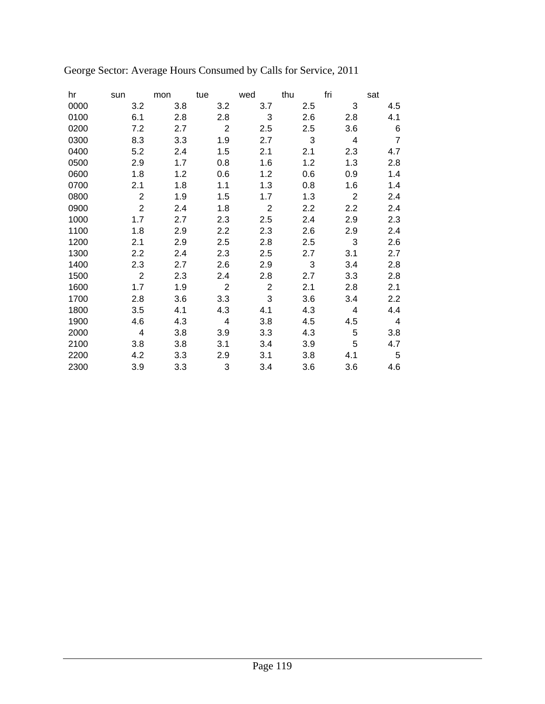| hr   | sun            | mon | tue            | wed            | thu | fri | sat            |
|------|----------------|-----|----------------|----------------|-----|-----|----------------|
| 0000 | 3.2            | 3.8 | 3.2            | 3.7            | 2.5 | 3   | 4.5            |
| 0100 | 6.1            | 2.8 | 2.8            | 3              | 2.6 | 2.8 | 4.1            |
| 0200 | 7.2            | 2.7 | $\overline{2}$ | 2.5            | 2.5 | 3.6 | 6              |
| 0300 | 8.3            | 3.3 | 1.9            | 2.7            | 3   | 4   | $\overline{7}$ |
| 0400 | 5.2            | 2.4 | 1.5            | 2.1            | 2.1 | 2.3 | 4.7            |
| 0500 | 2.9            | 1.7 | 0.8            | 1.6            | 1.2 | 1.3 | 2.8            |
| 0600 | 1.8            | 1.2 | 0.6            | 1.2            | 0.6 | 0.9 | 1.4            |
| 0700 | 2.1            | 1.8 | 1.1            | 1.3            | 0.8 | 1.6 | 1.4            |
| 0800 | $\overline{2}$ | 1.9 | 1.5            | 1.7            | 1.3 | 2   | 2.4            |
| 0900 | $\overline{2}$ | 2.4 | 1.8            | $\overline{2}$ | 2.2 | 2.2 | 2.4            |
| 1000 | 1.7            | 2.7 | 2.3            | 2.5            | 2.4 | 2.9 | 2.3            |
| 1100 | 1.8            | 2.9 | 2.2            | 2.3            | 2.6 | 2.9 | 2.4            |
| 1200 | 2.1            | 2.9 | 2.5            | 2.8            | 2.5 | 3   | 2.6            |
| 1300 | 2.2            | 2.4 | 2.3            | 2.5            | 2.7 | 3.1 | 2.7            |
| 1400 | 2.3            | 2.7 | 2.6            | 2.9            | 3   | 3.4 | 2.8            |
| 1500 | $\overline{2}$ | 2.3 | 2.4            | 2.8            | 2.7 | 3.3 | 2.8            |
| 1600 | 1.7            | 1.9 | $\overline{2}$ | $\overline{2}$ | 2.1 | 2.8 | 2.1            |
| 1700 | 2.8            | 3.6 | 3.3            | 3              | 3.6 | 3.4 | 2.2            |
| 1800 | 3.5            | 4.1 | 4.3            | 4.1            | 4.3 | 4   | 4.4            |
| 1900 | 4.6            | 4.3 | 4              | 3.8            | 4.5 | 4.5 | 4              |
| 2000 | 4              | 3.8 | 3.9            | 3.3            | 4.3 | 5   | 3.8            |
| 2100 | 3.8            | 3.8 | 3.1            | 3.4            | 3.9 | 5   | 4.7            |
| 2200 | 4.2            | 3.3 | 2.9            | 3.1            | 3.8 | 4.1 | 5              |
| 2300 | 3.9            | 3.3 | 3              | 3.4            | 3.6 | 3.6 | 4.6            |

George Sector: Average Hours Consumed by Calls for Service, 2011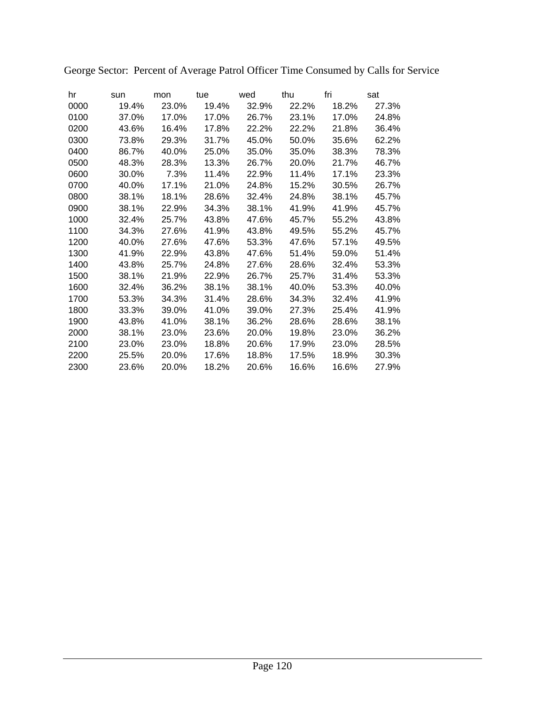| hr   | sun   | mon   | tue   | wed   | thu   | fri   | sat   |
|------|-------|-------|-------|-------|-------|-------|-------|
| 0000 | 19.4% | 23.0% | 19.4% | 32.9% | 22.2% | 18.2% | 27.3% |
| 0100 | 37.0% | 17.0% | 17.0% | 26.7% | 23.1% | 17.0% | 24.8% |
| 0200 | 43.6% | 16.4% | 17.8% | 22.2% | 22.2% | 21.8% | 36.4% |
| 0300 | 73.8% | 29.3% | 31.7% | 45.0% | 50.0% | 35.6% | 62.2% |
| 0400 | 86.7% | 40.0% | 25.0% | 35.0% | 35.0% | 38.3% | 78.3% |
| 0500 | 48.3% | 28.3% | 13.3% | 26.7% | 20.0% | 21.7% | 46.7% |
| 0600 | 30.0% | 7.3%  | 11.4% | 22.9% | 11.4% | 17.1% | 23.3% |
| 0700 | 40.0% | 17.1% | 21.0% | 24.8% | 15.2% | 30.5% | 26.7% |
| 0800 | 38.1% | 18.1% | 28.6% | 32.4% | 24.8% | 38.1% | 45.7% |
| 0900 | 38.1% | 22.9% | 34.3% | 38.1% | 41.9% | 41.9% | 45.7% |
| 1000 | 32.4% | 25.7% | 43.8% | 47.6% | 45.7% | 55.2% | 43.8% |
| 1100 | 34.3% | 27.6% | 41.9% | 43.8% | 49.5% | 55.2% | 45.7% |
| 1200 | 40.0% | 27.6% | 47.6% | 53.3% | 47.6% | 57.1% | 49.5% |
| 1300 | 41.9% | 22.9% | 43.8% | 47.6% | 51.4% | 59.0% | 51.4% |
| 1400 | 43.8% | 25.7% | 24.8% | 27.6% | 28.6% | 32.4% | 53.3% |
| 1500 | 38.1% | 21.9% | 22.9% | 26.7% | 25.7% | 31.4% | 53.3% |
| 1600 | 32.4% | 36.2% | 38.1% | 38.1% | 40.0% | 53.3% | 40.0% |
| 1700 | 53.3% | 34.3% | 31.4% | 28.6% | 34.3% | 32.4% | 41.9% |
| 1800 | 33.3% | 39.0% | 41.0% | 39.0% | 27.3% | 25.4% | 41.9% |
| 1900 | 43.8% | 41.0% | 38.1% | 36.2% | 28.6% | 28.6% | 38.1% |
| 2000 | 38.1% | 23.0% | 23.6% | 20.0% | 19.8% | 23.0% | 36.2% |
| 2100 | 23.0% | 23.0% | 18.8% | 20.6% | 17.9% | 23.0% | 28.5% |
| 2200 | 25.5% | 20.0% | 17.6% | 18.8% | 17.5% | 18.9% | 30.3% |
| 2300 | 23.6% | 20.0% | 18.2% | 20.6% | 16.6% | 16.6% | 27.9% |

George Sector: Percent of Average Patrol Officer Time Consumed by Calls for Service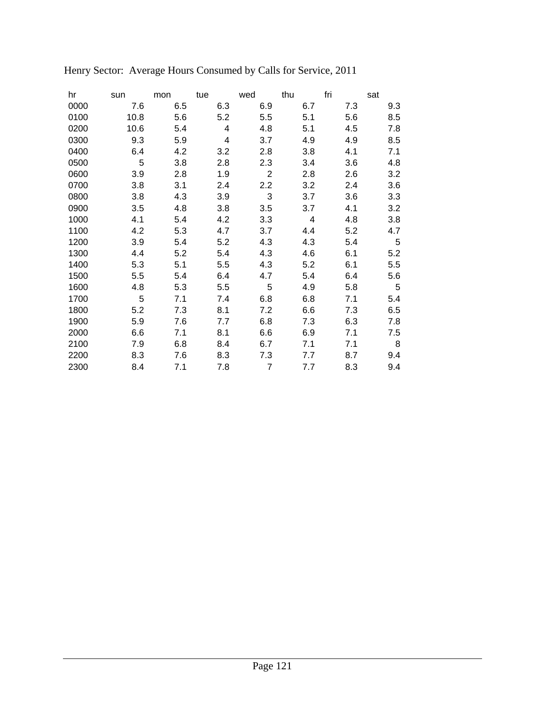| hr   | sun  | mon | tue | wed            | thu | fri | sat         |
|------|------|-----|-----|----------------|-----|-----|-------------|
| 0000 | 7.6  | 6.5 | 6.3 | 6.9            | 6.7 | 7.3 | 9.3         |
| 0100 | 10.8 | 5.6 | 5.2 | 5.5            | 5.1 | 5.6 | 8.5         |
| 0200 | 10.6 | 5.4 | 4   | 4.8            | 5.1 | 4.5 | 7.8         |
| 0300 | 9.3  | 5.9 | 4   | 3.7            | 4.9 | 4.9 | 8.5         |
| 0400 | 6.4  | 4.2 | 3.2 | 2.8            | 3.8 | 4.1 | 7.1         |
| 0500 | 5    | 3.8 | 2.8 | 2.3            | 3.4 | 3.6 | 4.8         |
| 0600 | 3.9  | 2.8 | 1.9 | $\overline{2}$ | 2.8 | 2.6 | 3.2         |
| 0700 | 3.8  | 3.1 | 2.4 | 2.2            | 3.2 | 2.4 | 3.6         |
| 0800 | 3.8  | 4.3 | 3.9 | 3              | 3.7 | 3.6 | 3.3         |
| 0900 | 3.5  | 4.8 | 3.8 | 3.5            | 3.7 | 4.1 | 3.2         |
| 1000 | 4.1  | 5.4 | 4.2 | 3.3            | 4   | 4.8 | 3.8         |
| 1100 | 4.2  | 5.3 | 4.7 | 3.7            | 4.4 | 5.2 | 4.7         |
| 1200 | 3.9  | 5.4 | 5.2 | 4.3            | 4.3 | 5.4 | $\,$ 5 $\,$ |
| 1300 | 4.4  | 5.2 | 5.4 | 4.3            | 4.6 | 6.1 | 5.2         |
| 1400 | 5.3  | 5.1 | 5.5 | 4.3            | 5.2 | 6.1 | 5.5         |
| 1500 | 5.5  | 5.4 | 6.4 | 4.7            | 5.4 | 6.4 | 5.6         |
| 1600 | 4.8  | 5.3 | 5.5 | 5              | 4.9 | 5.8 | $\sqrt{5}$  |
| 1700 | 5    | 7.1 | 7.4 | 6.8            | 6.8 | 7.1 | 5.4         |
| 1800 | 5.2  | 7.3 | 8.1 | 7.2            | 6.6 | 7.3 | 6.5         |
| 1900 | 5.9  | 7.6 | 7.7 | 6.8            | 7.3 | 6.3 | 7.8         |
| 2000 | 6.6  | 7.1 | 8.1 | 6.6            | 6.9 | 7.1 | 7.5         |
| 2100 | 7.9  | 6.8 | 8.4 | 6.7            | 7.1 | 7.1 | 8           |
| 2200 | 8.3  | 7.6 | 8.3 | 7.3            | 7.7 | 8.7 | 9.4         |
| 2300 | 8.4  | 7.1 | 7.8 | 7              | 7.7 | 8.3 | 9.4         |

Henry Sector: Average Hours Consumed by Calls for Service, 2011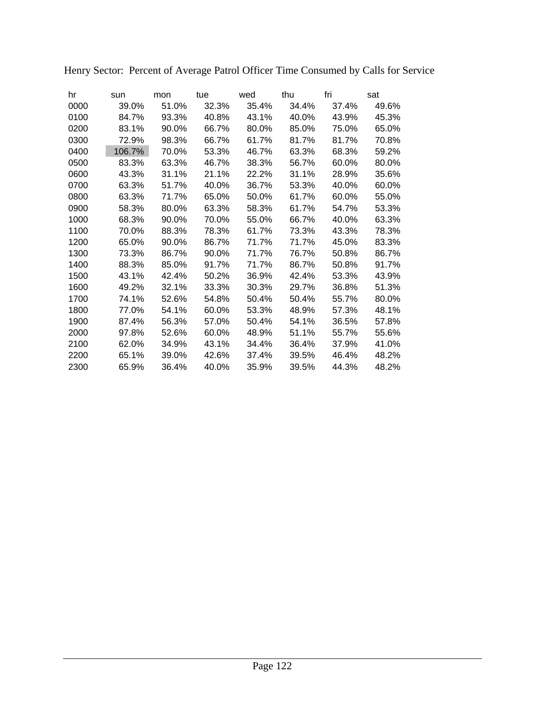| hr   | sun    | mon   | tue   | wed   | thu   | fri   | sat   |
|------|--------|-------|-------|-------|-------|-------|-------|
| 0000 | 39.0%  | 51.0% | 32.3% | 35.4% | 34.4% | 37.4% | 49.6% |
| 0100 | 84.7%  | 93.3% | 40.8% | 43.1% | 40.0% | 43.9% | 45.3% |
| 0200 | 83.1%  | 90.0% | 66.7% | 80.0% | 85.0% | 75.0% | 65.0% |
| 0300 | 72.9%  | 98.3% | 66.7% | 61.7% | 81.7% | 81.7% | 70.8% |
| 0400 | 106.7% | 70.0% | 53.3% | 46.7% | 63.3% | 68.3% | 59.2% |
| 0500 | 83.3%  | 63.3% | 46.7% | 38.3% | 56.7% | 60.0% | 80.0% |
| 0600 | 43.3%  | 31.1% | 21.1% | 22.2% | 31.1% | 28.9% | 35.6% |
| 0700 | 63.3%  | 51.7% | 40.0% | 36.7% | 53.3% | 40.0% | 60.0% |
| 0800 | 63.3%  | 71.7% | 65.0% | 50.0% | 61.7% | 60.0% | 55.0% |
| 0900 | 58.3%  | 80.0% | 63.3% | 58.3% | 61.7% | 54.7% | 53.3% |
| 1000 | 68.3%  | 90.0% | 70.0% | 55.0% | 66.7% | 40.0% | 63.3% |
| 1100 | 70.0%  | 88.3% | 78.3% | 61.7% | 73.3% | 43.3% | 78.3% |
| 1200 | 65.0%  | 90.0% | 86.7% | 71.7% | 71.7% | 45.0% | 83.3% |
| 1300 | 73.3%  | 86.7% | 90.0% | 71.7% | 76.7% | 50.8% | 86.7% |
| 1400 | 88.3%  | 85.0% | 91.7% | 71.7% | 86.7% | 50.8% | 91.7% |
| 1500 | 43.1%  | 42.4% | 50.2% | 36.9% | 42.4% | 53.3% | 43.9% |
| 1600 | 49.2%  | 32.1% | 33.3% | 30.3% | 29.7% | 36.8% | 51.3% |
| 1700 | 74.1%  | 52.6% | 54.8% | 50.4% | 50.4% | 55.7% | 80.0% |
| 1800 | 77.0%  | 54.1% | 60.0% | 53.3% | 48.9% | 57.3% | 48.1% |
| 1900 | 87.4%  | 56.3% | 57.0% | 50.4% | 54.1% | 36.5% | 57.8% |
| 2000 | 97.8%  | 52.6% | 60.0% | 48.9% | 51.1% | 55.7% | 55.6% |
| 2100 | 62.0%  | 34.9% | 43.1% | 34.4% | 36.4% | 37.9% | 41.0% |
| 2200 | 65.1%  | 39.0% | 42.6% | 37.4% | 39.5% | 46.4% | 48.2% |
| 2300 | 65.9%  | 36.4% | 40.0% | 35.9% | 39.5% | 44.3% | 48.2% |

Henry Sector: Percent of Average Patrol Officer Time Consumed by Calls for Service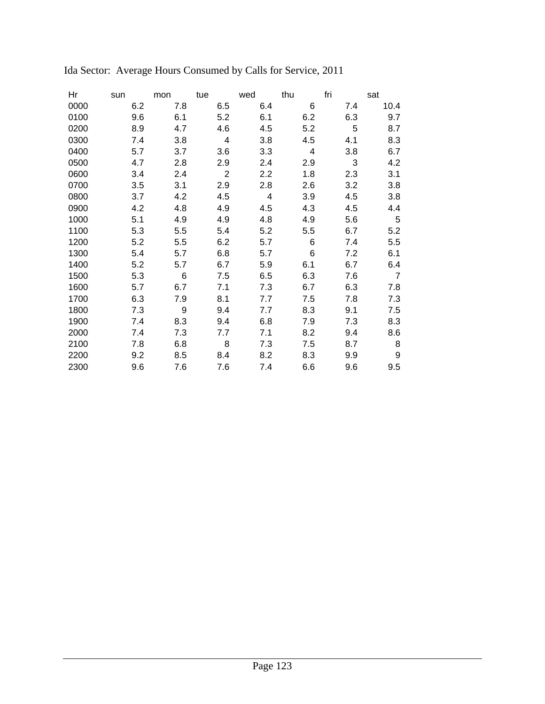| Ηr   | sun | mon | tue | wed | thu | fri | sat            |
|------|-----|-----|-----|-----|-----|-----|----------------|
| 0000 | 6.2 | 7.8 | 6.5 | 6.4 | 6   | 7.4 | 10.4           |
| 0100 | 9.6 | 6.1 | 5.2 | 6.1 | 6.2 | 6.3 | 9.7            |
| 0200 | 8.9 | 4.7 | 4.6 | 4.5 | 5.2 | 5   | 8.7            |
| 0300 | 7.4 | 3.8 | 4   | 3.8 | 4.5 | 4.1 | 8.3            |
| 0400 | 5.7 | 3.7 | 3.6 | 3.3 | 4   | 3.8 | 6.7            |
| 0500 | 4.7 | 2.8 | 2.9 | 2.4 | 2.9 | 3   | 4.2            |
| 0600 | 3.4 | 2.4 | 2   | 2.2 | 1.8 | 2.3 | 3.1            |
| 0700 | 3.5 | 3.1 | 2.9 | 2.8 | 2.6 | 3.2 | 3.8            |
| 0800 | 3.7 | 4.2 | 4.5 | 4   | 3.9 | 4.5 | 3.8            |
| 0900 | 4.2 | 4.8 | 4.9 | 4.5 | 4.3 | 4.5 | 4.4            |
| 1000 | 5.1 | 4.9 | 4.9 | 4.8 | 4.9 | 5.6 | 5              |
| 1100 | 5.3 | 5.5 | 5.4 | 5.2 | 5.5 | 6.7 | 5.2            |
| 1200 | 5.2 | 5.5 | 6.2 | 5.7 | 6   | 7.4 | 5.5            |
| 1300 | 5.4 | 5.7 | 6.8 | 5.7 | 6   | 7.2 | 6.1            |
| 1400 | 5.2 | 5.7 | 6.7 | 5.9 | 6.1 | 6.7 | 6.4            |
| 1500 | 5.3 | 6   | 7.5 | 6.5 | 6.3 | 7.6 | $\overline{7}$ |
| 1600 | 5.7 | 6.7 | 7.1 | 7.3 | 6.7 | 6.3 | 7.8            |
| 1700 | 6.3 | 7.9 | 8.1 | 7.7 | 7.5 | 7.8 | 7.3            |
| 1800 | 7.3 | 9   | 9.4 | 7.7 | 8.3 | 9.1 | 7.5            |
| 1900 | 7.4 | 8.3 | 9.4 | 6.8 | 7.9 | 7.3 | 8.3            |
| 2000 | 7.4 | 7.3 | 7.7 | 7.1 | 8.2 | 9.4 | 8.6            |
| 2100 | 7.8 | 6.8 | 8   | 7.3 | 7.5 | 8.7 | 8              |
| 2200 | 9.2 | 8.5 | 8.4 | 8.2 | 8.3 | 9.9 | 9              |
| 2300 | 9.6 | 7.6 | 7.6 | 7.4 | 6.6 | 9.6 | 9.5            |

# Ida Sector: Average Hours Consumed by Calls for Service, 2011